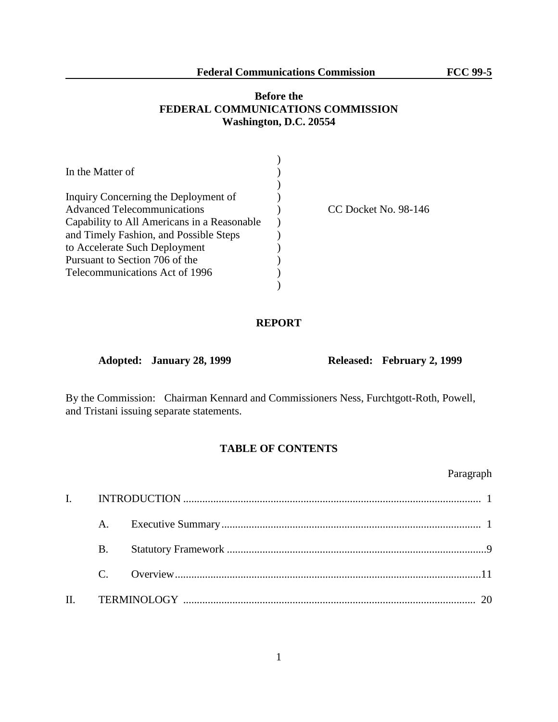# **Before the FEDERAL COMMUNICATIONS COMMISSION Washington, D.C. 20554**

| In the Matter of                            |                      |
|---------------------------------------------|----------------------|
|                                             |                      |
| Inquiry Concerning the Deployment of        |                      |
| <b>Advanced Telecommunications</b>          | CC Docket No. 98-146 |
| Capability to All Americans in a Reasonable |                      |
| and Timely Fashion, and Possible Steps      |                      |
| to Accelerate Such Deployment               |                      |
| Pursuant to Section 706 of the              |                      |
| Telecommunications Act of 1996              |                      |
|                                             |                      |

## **REPORT**

**Adopted: January 28, 1999 Released: February 2, 1999**

By the Commission: Chairman Kennard and Commissioners Ness, Furchtgott-Roth, Powell, and Tristani issuing separate statements.

## **TABLE OF CONTENTS**

Paragraph

| <b>B.</b> |  |  |
|-----------|--|--|
|           |  |  |
|           |  |  |

1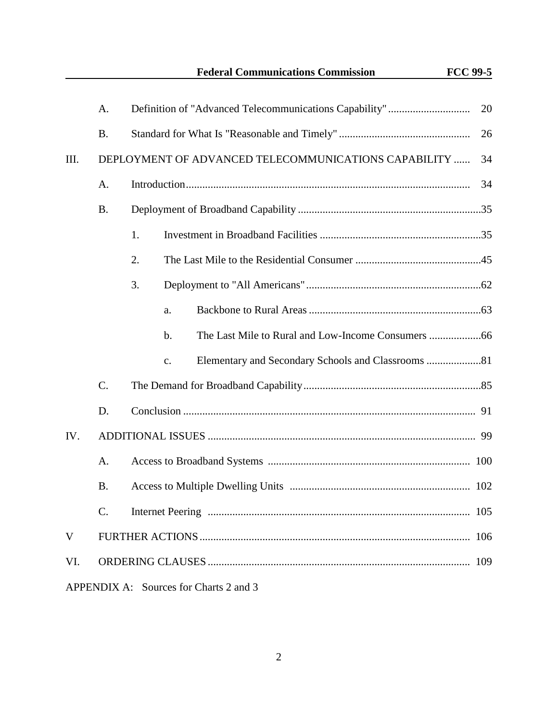**Federal Communications Commission FCC 99-5**

|     | Α.                                     |                                                                      | 20  |  |  |
|-----|----------------------------------------|----------------------------------------------------------------------|-----|--|--|
|     | <b>B.</b>                              | 26                                                                   |     |  |  |
| Ш.  |                                        | DEPLOYMENT OF ADVANCED TELECOMMUNICATIONS CAPABILITY<br>34           |     |  |  |
|     | A.                                     |                                                                      | 34  |  |  |
|     | <b>B.</b>                              |                                                                      |     |  |  |
|     |                                        | 1.                                                                   |     |  |  |
|     |                                        | 2.                                                                   |     |  |  |
|     |                                        | 3.                                                                   |     |  |  |
|     |                                        | a.                                                                   |     |  |  |
|     |                                        | b.                                                                   |     |  |  |
|     |                                        | Elementary and Secondary Schools and Classrooms 81<br>$\mathbf{C}$ . |     |  |  |
|     | C.                                     |                                                                      |     |  |  |
|     | D.                                     |                                                                      |     |  |  |
| IV. |                                        |                                                                      |     |  |  |
|     | A.                                     |                                                                      |     |  |  |
|     | <b>B.</b>                              |                                                                      |     |  |  |
|     | $\mathcal{C}$                          | <b>Internet Peering</b>                                              | 105 |  |  |
| V   |                                        |                                                                      | 106 |  |  |
| VI. |                                        |                                                                      |     |  |  |
|     | APPENDIX A: Sources for Charts 2 and 3 |                                                                      |     |  |  |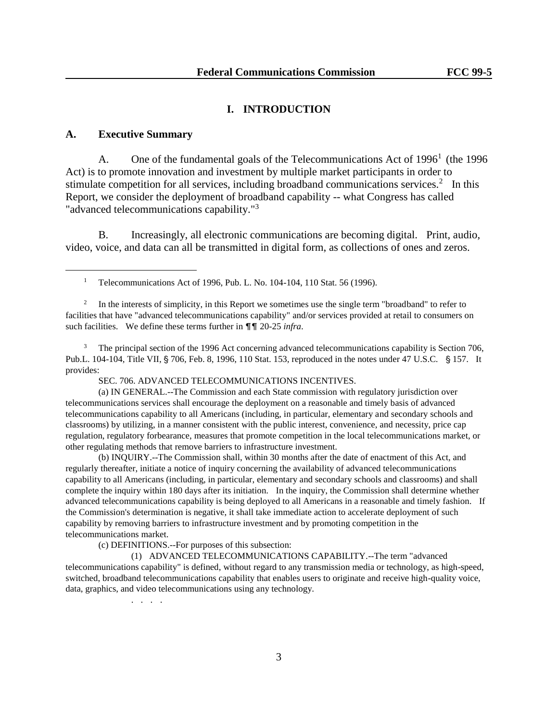### **I. INTRODUCTION**

## **A. Executive Summary**

L,

A. One of the fundamental goals of the Telecommunications Act of  $1996<sup>1</sup>$  (the 1996 Act) is to promote innovation and investment by multiple market participants in order to stimulate competition for all services, including broadband communications services.<sup>2</sup> In this Report, we consider the deployment of broadband capability -- what Congress has called "advanced telecommunications capability."<sup>3</sup>

B. Increasingly, all electronic communications are becoming digital. Print, audio, video, voice, and data can all be transmitted in digital form, as collections of ones and zeros.

<sup>1</sup> Telecommunications Act of 1996, Pub. L. No. 104-104, 110 Stat. 56 (1996).

2 In the interests of simplicity, in this Report we sometimes use the single term "broadband" to refer to facilities that have "advanced telecommunications capability" and/or services provided at retail to consumers on such facilities. We define these terms further in  $\P\P$  20-25 *infra*.

<sup>3</sup> The principal section of the 1996 Act concerning advanced telecommunications capability is Section 706, Pub.L.  $104-104$ , Title VII,  $\frac{6}{5}$  706, Feb. 8, 1996, 110 Stat. 153, reproduced in the notes under 47 U.S.C.  $\frac{6}{5}$  157. It provides:

SEC. 706. ADVANCED TELECOMMUNICATIONS INCENTIVES.

(a) IN GENERAL.--The Commission and each State commission with regulatory jurisdiction over telecommunications services shall encourage the deployment on a reasonable and timely basis of advanced telecommunications capability to all Americans (including, in particular, elementary and secondary schools and classrooms) by utilizing, in a manner consistent with the public interest, convenience, and necessity, price cap regulation, regulatory forbearance, measures that promote competition in the local telecommunications market, or other regulating methods that remove barriers to infrastructure investment.

(b) INQUIRY.--The Commission shall, within 30 months after the date of enactment of this Act, and regularly thereafter, initiate a notice of inquiry concerning the availability of advanced telecommunications capability to all Americans (including, in particular, elementary and secondary schools and classrooms) and shall complete the inquiry within 180 days after its initiation. In the inquiry, the Commission shall determine whether advanced telecommunications capability is being deployed to all Americans in a reasonable and timely fashion. If the Commission's determination is negative, it shall take immediate action to accelerate deployment of such capability by removing barriers to infrastructure investment and by promoting competition in the telecommunications market.

(c) DEFINITIONS.--For purposes of this subsection:

(1) ADVANCED TELECOMMUNICATIONS CAPABILITY.--The term "advanced telecommunications capability" is defined, without regard to any transmission media or technology, as high-speed, switched, broadband telecommunications capability that enables users to originate and receive high-quality voice, data, graphics, and video telecommunications using any technology.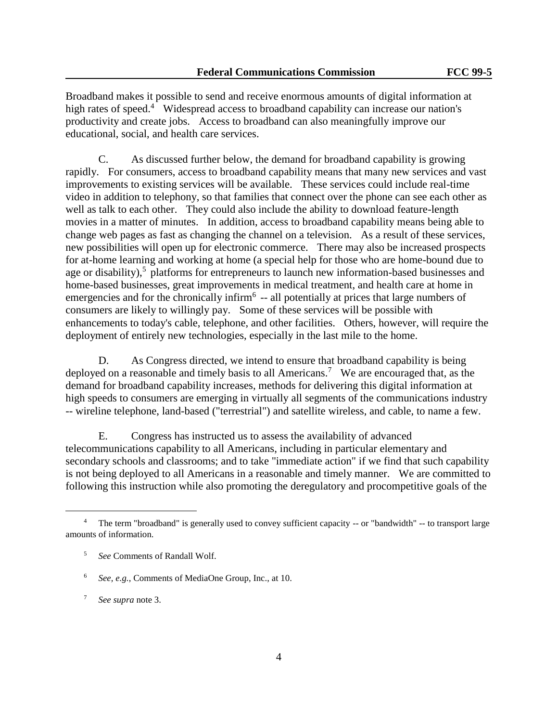Broadband makes it possible to send and receive enormous amounts of digital information at high rates of speed.<sup>4</sup> Widespread access to broadband capability can increase our nation's productivity and create jobs. Access to broadband can also meaningfully improve our educational, social, and health care services.

C. As discussed further below, the demand for broadband capability is growing rapidly. For consumers, access to broadband capability means that many new services and vast improvements to existing services will be available. These services could include real-time video in addition to telephony, so that families that connect over the phone can see each other as well as talk to each other. They could also include the ability to download feature-length movies in a matter of minutes. In addition, access to broadband capability means being able to change web pages as fast as changing the channel on a television. As a result of these services, new possibilities will open up for electronic commerce. There may also be increased prospects for at-home learning and working at home (a special help for those who are home-bound due to age or disability),<sup>5</sup> platforms for entrepreneurs to launch new information-based businesses and home-based businesses, great improvements in medical treatment, and health care at home in emergencies and for the chronically infirm<sup>6</sup> -- all potentially at prices that large numbers of consumers are likely to willingly pay. Some of these services will be possible with enhancements to today's cable, telephone, and other facilities. Others, however, will require the deployment of entirely new technologies, especially in the last mile to the home.

D. As Congress directed, we intend to ensure that broadband capability is being deployed on a reasonable and timely basis to all Americans.<sup>7</sup> We are encouraged that, as the demand for broadband capability increases, methods for delivering this digital information at high speeds to consumers are emerging in virtually all segments of the communications industry -- wireline telephone, land-based ("terrestrial") and satellite wireless, and cable, to name a few.

E. Congress has instructed us to assess the availability of advanced telecommunications capability to all Americans, including in particular elementary and secondary schools and classrooms; and to take "immediate action" if we find that such capability is not being deployed to all Americans in a reasonable and timely manner. We are committed to following this instruction while also promoting the deregulatory and procompetitive goals of the

<sup>&</sup>lt;sup>4</sup> The term "broadband" is generally used to convey sufficient capacity -- or "bandwidth" -- to transport large amounts of information.

<sup>5</sup> *See* Comments of Randall Wolf.

<sup>6</sup> *See, e.g.*, Comments of MediaOne Group, Inc., at 10.

<sup>7</sup> *See supra* note 3.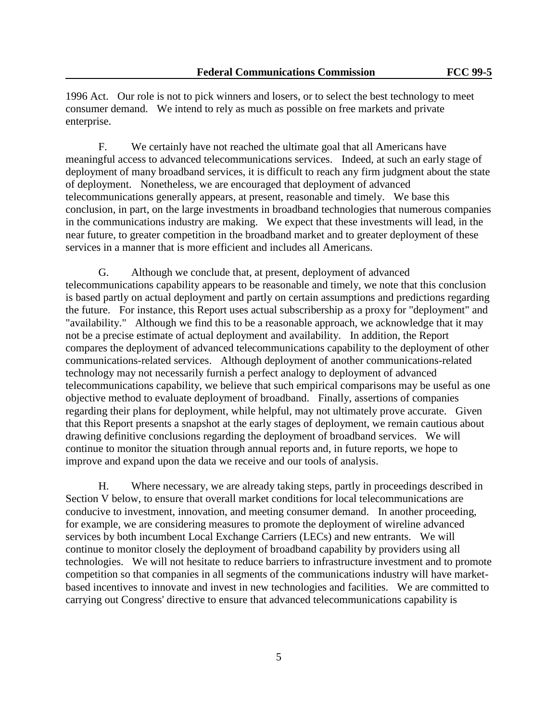1996 Act. Our role is not to pick winners and losers, or to select the best technology to meet consumer demand. We intend to rely as much as possible on free markets and private enterprise.

F. We certainly have not reached the ultimate goal that all Americans have meaningful access to advanced telecommunications services. Indeed, at such an early stage of deployment of many broadband services, it is difficult to reach any firm judgment about the state of deployment. Nonetheless, we are encouraged that deployment of advanced telecommunications generally appears, at present, reasonable and timely. We base this conclusion, in part, on the large investments in broadband technologies that numerous companies in the communications industry are making. We expect that these investments will lead, in the near future, to greater competition in the broadband market and to greater deployment of these services in a manner that is more efficient and includes all Americans.

G. Although we conclude that, at present, deployment of advanced telecommunications capability appears to be reasonable and timely, we note that this conclusion is based partly on actual deployment and partly on certain assumptions and predictions regarding the future. For instance, this Report uses actual subscribership as a proxy for "deployment" and "availability." Although we find this to be a reasonable approach, we acknowledge that it may not be a precise estimate of actual deployment and availability. In addition, the Report compares the deployment of advanced telecommunications capability to the deployment of other communications-related services. Although deployment of another communications-related technology may not necessarily furnish a perfect analogy to deployment of advanced telecommunications capability, we believe that such empirical comparisons may be useful as one objective method to evaluate deployment of broadband. Finally, assertions of companies regarding their plans for deployment, while helpful, may not ultimately prove accurate. Given that this Report presents a snapshot at the early stages of deployment, we remain cautious about drawing definitive conclusions regarding the deployment of broadband services. We will continue to monitor the situation through annual reports and, in future reports, we hope to improve and expand upon the data we receive and our tools of analysis.

H. Where necessary, we are already taking steps, partly in proceedings described in Section V below, to ensure that overall market conditions for local telecommunications are conducive to investment, innovation, and meeting consumer demand. In another proceeding, for example, we are considering measures to promote the deployment of wireline advanced services by both incumbent Local Exchange Carriers (LECs) and new entrants. We will continue to monitor closely the deployment of broadband capability by providers using all technologies. We will not hesitate to reduce barriers to infrastructure investment and to promote competition so that companies in all segments of the communications industry will have marketbased incentives to innovate and invest in new technologies and facilities. We are committed to carrying out Congress' directive to ensure that advanced telecommunications capability is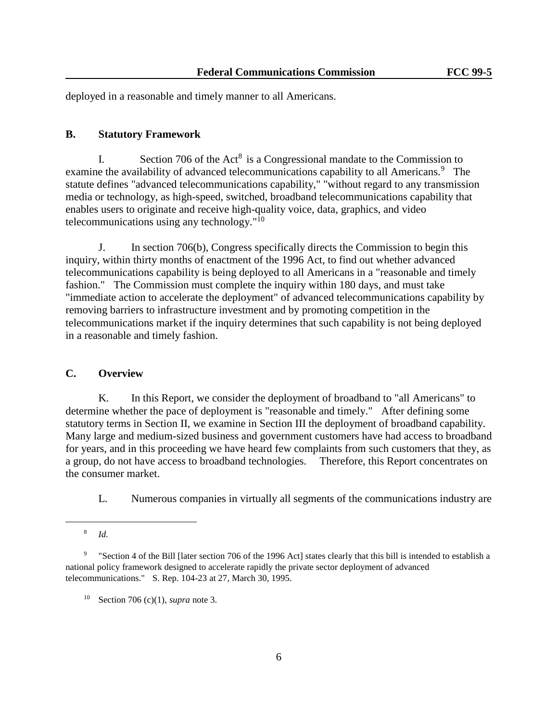deployed in a reasonable and timely manner to all Americans.

### **B. Statutory Framework**

I. Section 706 of the  $Act^8$  is a Congressional mandate to the Commission to examine the availability of advanced telecommunications capability to all Americans.<sup>9</sup> The statute defines "advanced telecommunications capability," "without regard to any transmission media or technology, as high-speed, switched, broadband telecommunications capability that enables users to originate and receive high-quality voice, data, graphics, and video telecommunications using any technology."<sup>10</sup>

J. In section 706(b), Congress specifically directs the Commission to begin this inquiry, within thirty months of enactment of the 1996 Act, to find out whether advanced telecommunications capability is being deployed to all Americans in a "reasonable and timely fashion." The Commission must complete the inquiry within 180 days, and must take "immediate action to accelerate the deployment" of advanced telecommunications capability by removing barriers to infrastructure investment and by promoting competition in the telecommunications market if the inquiry determines that such capability is not being deployed in a reasonable and timely fashion.

## **C. Overview**

K. In this Report, we consider the deployment of broadband to "all Americans" to determine whether the pace of deployment is "reasonable and timely." After defining some statutory terms in Section II, we examine in Section III the deployment of broadband capability. Many large and medium-sized business and government customers have had access to broadband for years, and in this proceeding we have heard few complaints from such customers that they, as a group, do not have access to broadband technologies. Therefore, this Report concentrates on the consumer market.

L. Numerous companies in virtually all segments of the communications industry are

<sup>8</sup> *Id.*

<sup>9</sup> "Section 4 of the Bill [later section 706 of the 1996 Act] states clearly that this bill is intended to establish a national policy framework designed to accelerate rapidly the private sector deployment of advanced telecommunications." S. Rep. 104-23 at 27, March 30, 1995.

<sup>10</sup> Section 706 (c)(1), *supra* note 3.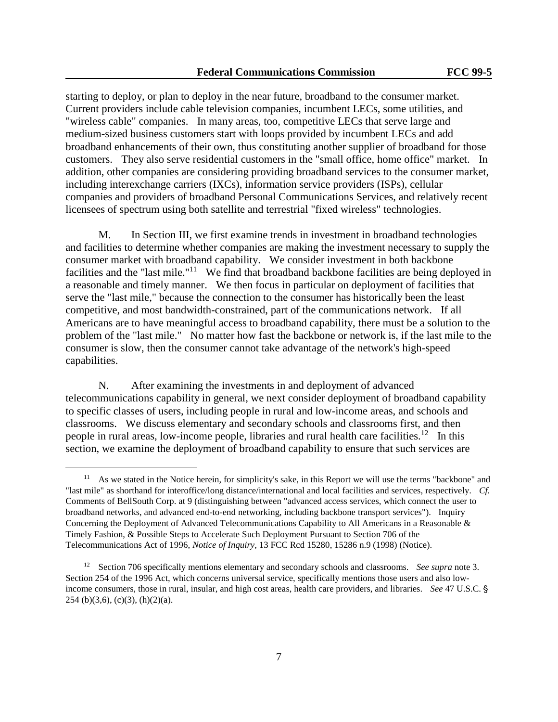starting to deploy, or plan to deploy in the near future, broadband to the consumer market. Current providers include cable television companies, incumbent LECs, some utilities, and "wireless cable" companies. In many areas, too, competitive LECs that serve large and medium-sized business customers start with loops provided by incumbent LECs and add broadband enhancements of their own, thus constituting another supplier of broadband for those customers. They also serve residential customers in the "small office, home office" market. In addition, other companies are considering providing broadband services to the consumer market, including interexchange carriers (IXCs), information service providers (ISPs), cellular companies and providers of broadband Personal Communications Services, and relatively recent licensees of spectrum using both satellite and terrestrial "fixed wireless" technologies.

M. In Section III, we first examine trends in investment in broadband technologies and facilities to determine whether companies are making the investment necessary to supply the consumer market with broadband capability. We consider investment in both backbone facilities and the "last mile."<sup>11</sup> We find that broadband backbone facilities are being deployed in a reasonable and timely manner. We then focus in particular on deployment of facilities that serve the "last mile," because the connection to the consumer has historically been the least competitive, and most bandwidth-constrained, part of the communications network. If all Americans are to have meaningful access to broadband capability, there must be a solution to the problem of the "last mile." No matter how fast the backbone or network is, if the last mile to the consumer is slow, then the consumer cannot take advantage of the network's high-speed capabilities.

N. After examining the investments in and deployment of advanced telecommunications capability in general, we next consider deployment of broadband capability to specific classes of users, including people in rural and low-income areas, and schools and classrooms. We discuss elementary and secondary schools and classrooms first, and then people in rural areas, low-income people, libraries and rural health care facilities.<sup>12</sup> In this section, we examine the deployment of broadband capability to ensure that such services are

<sup>&</sup>lt;sup>11</sup> As we stated in the Notice herein, for simplicity's sake, in this Report we will use the terms "backbone" and "last mile" as shorthand for interoffice/long distance/international and local facilities and services, respectively. *Cf.* Comments of BellSouth Corp. at 9 (distinguishing between "advanced access services, which connect the user to broadband networks, and advanced end-to-end networking, including backbone transport services"). Inquiry Concerning the Deployment of Advanced Telecommunications Capability to All Americans in a Reasonable & Timely Fashion, & Possible Steps to Accelerate Such Deployment Pursuant to Section 706 of the Telecommunications Act of 1996, *Notice of Inquiry*, 13 FCC Rcd 15280, 15286 n.9 (1998) (Notice).

<sup>12</sup> Section 706 specifically mentions elementary and secondary schools and classrooms. *See supra* note 3. Section 254 of the 1996 Act, which concerns universal service, specifically mentions those users and also lowincome consumers, those in rural, insular, and high cost areas, health care providers, and libraries. *See* 47 U.S.C. § 254 (b)(3,6), (c)(3), (h)(2)(a).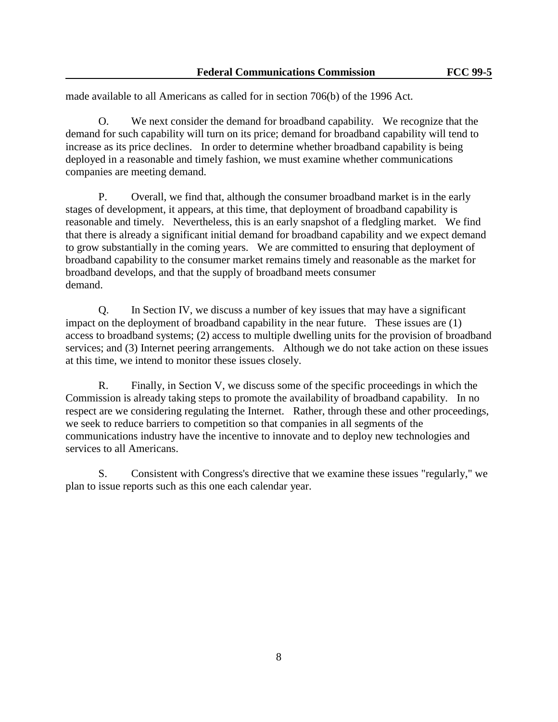made available to all Americans as called for in section 706(b) of the 1996 Act.

O. We next consider the demand for broadband capability. We recognize that the demand for such capability will turn on its price; demand for broadband capability will tend to increase as its price declines. In order to determine whether broadband capability is being deployed in a reasonable and timely fashion, we must examine whether communications companies are meeting demand.

P. Overall, we find that, although the consumer broadband market is in the early stages of development, it appears, at this time, that deployment of broadband capability is reasonable and timely. Nevertheless, this is an early snapshot of a fledgling market. We find that there is already a significant initial demand for broadband capability and we expect demand to grow substantially in the coming years. We are committed to ensuring that deployment of broadband capability to the consumer market remains timely and reasonable as the market for broadband develops, and that the supply of broadband meets consumer demand.

Q. In Section IV, we discuss a number of key issues that may have a significant impact on the deployment of broadband capability in the near future. These issues are (1) access to broadband systems; (2) access to multiple dwelling units for the provision of broadband services; and (3) Internet peering arrangements. Although we do not take action on these issues at this time, we intend to monitor these issues closely.

R. Finally, in Section V, we discuss some of the specific proceedings in which the Commission is already taking steps to promote the availability of broadband capability. In no respect are we considering regulating the Internet. Rather, through these and other proceedings, we seek to reduce barriers to competition so that companies in all segments of the communications industry have the incentive to innovate and to deploy new technologies and services to all Americans.

S. Consistent with Congress's directive that we examine these issues "regularly," we plan to issue reports such as this one each calendar year.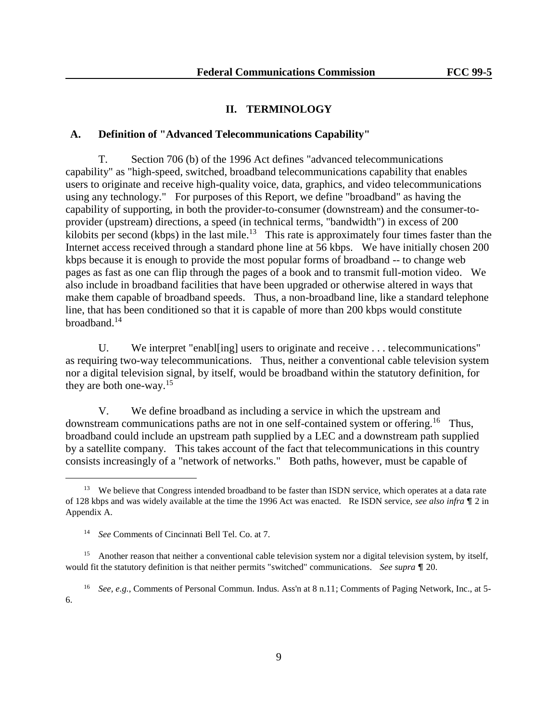### **II. TERMINOLOGY**

### **A. Definition of "Advanced Telecommunications Capability"**

T. Section 706 (b) of the 1996 Act defines "advanced telecommunications capability" as "high-speed, switched, broadband telecommunications capability that enables users to originate and receive high-quality voice, data, graphics, and video telecommunications using any technology." For purposes of this Report, we define "broadband" as having the capability of supporting, in both the provider-to-consumer (downstream) and the consumer-toprovider (upstream) directions, a speed (in technical terms, "bandwidth") in excess of 200 kilobits per second (kbps) in the last mile.<sup>13</sup> This rate is approximately four times faster than the Internet access received through a standard phone line at 56 kbps. We have initially chosen 200 kbps because it is enough to provide the most popular forms of broadband -- to change web pages as fast as one can flip through the pages of a book and to transmit full-motion video. We also include in broadband facilities that have been upgraded or otherwise altered in ways that make them capable of broadband speeds. Thus, a non-broadband line, like a standard telephone line, that has been conditioned so that it is capable of more than 200 kbps would constitute broadband.<sup>14</sup>

U. We interpret "enabl[ing] users to originate and receive . . . telecommunications" as requiring two-way telecommunications. Thus, neither a conventional cable television system nor a digital television signal, by itself, would be broadband within the statutory definition, for they are both one-way.<sup>15</sup>

V. We define broadband as including a service in which the upstream and downstream communications paths are not in one self-contained system or offering.<sup>16</sup> Thus, broadband could include an upstream path supplied by a LEC and a downstream path supplied by a satellite company. This takes account of the fact that telecommunications in this country consists increasingly of a "network of networks." Both paths, however, must be capable of

<sup>&</sup>lt;sup>13</sup> We believe that Congress intended broadband to be faster than ISDN service, which operates at a data rate of 128 kbps and was widely available at the time the 1996 Act was enacted. Re ISDN service, *see also infra*  $\P$  2 in Appendix A.

<sup>14</sup> *See* Comments of Cincinnati Bell Tel. Co. at 7.

<sup>&</sup>lt;sup>15</sup> Another reason that neither a conventional cable television system nor a digital television system, by itself, would fit the statutory definition is that neither permits "switched" communications. *See supra*  $\P$  20.

<sup>16</sup> *See, e.g.*, Comments of Personal Commun. Indus. Ass'n at 8 n.11; Comments of Paging Network, Inc., at 5- 6.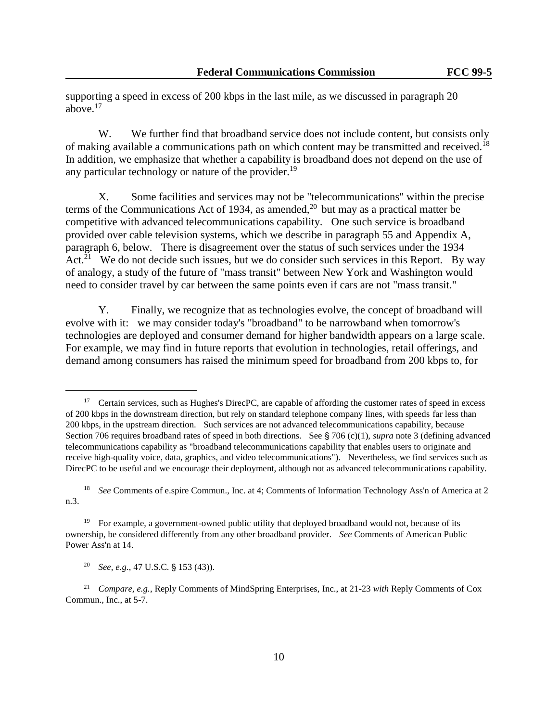supporting a speed in excess of 200 kbps in the last mile, as we discussed in paragraph 20 above. $17$ 

W. We further find that broadband service does not include content, but consists only of making available a communications path on which content may be transmitted and received.<sup>18</sup> In addition, we emphasize that whether a capability is broadband does not depend on the use of any particular technology or nature of the provider.<sup>19</sup>

X. Some facilities and services may not be "telecommunications" within the precise terms of the Communications Act of 1934, as amended,<sup>20</sup> but may as a practical matter be competitive with advanced telecommunications capability. One such service is broadband provided over cable television systems, which we describe in paragraph 55 and Appendix A, paragraph 6, below. There is disagreement over the status of such services under the 1934 Act.<sup>21</sup> We do not decide such issues, but we do consider such services in this Report. By way of analogy, a study of the future of "mass transit" between New York and Washington would need to consider travel by car between the same points even if cars are not "mass transit."

Y. Finally, we recognize that as technologies evolve, the concept of broadband will evolve with it: we may consider today's "broadband" to be narrowband when tomorrow's technologies are deployed and consumer demand for higher bandwidth appears on a large scale. For example, we may find in future reports that evolution in technologies, retail offerings, and demand among consumers has raised the minimum speed for broadband from 200 kbps to, for

<sup>&</sup>lt;sup>17</sup> Certain services, such as Hughes's DirecPC, are capable of affording the customer rates of speed in excess of 200 kbps in the downstream direction, but rely on standard telephone company lines, with speeds far less than 200 kbps, in the upstream direction. Such services are not advanced telecommunications capability, because Section 706 requires broadband rates of speed in both directions. See  $\S$  706 (c)(1), *supra* note 3 (defining advanced telecommunications capability as "broadband telecommunications capability that enables users to originate and receive high-quality voice, data, graphics, and video telecommunications"). Nevertheless, we find services such as DirecPC to be useful and we encourage their deployment, although not as advanced telecommunications capability.

<sup>&</sup>lt;sup>18</sup> *See* Comments of e.spire Commun., Inc. at 4; Comments of Information Technology Ass'n of America at 2 n.3.

<sup>&</sup>lt;sup>19</sup> For example, a government-owned public utility that deployed broadband would not, because of its ownership, be considered differently from any other broadband provider. *See* Comments of American Public Power Ass'n at 14.

<sup>&</sup>lt;sup>20</sup> *See, e.g.*, 47 U.S.C. § 153 (43)).

<sup>21</sup> *Compare, e.g.*, Reply Comments of MindSpring Enterprises, Inc., at 21-23 *with* Reply Comments of Cox Commun., Inc., at 5-7.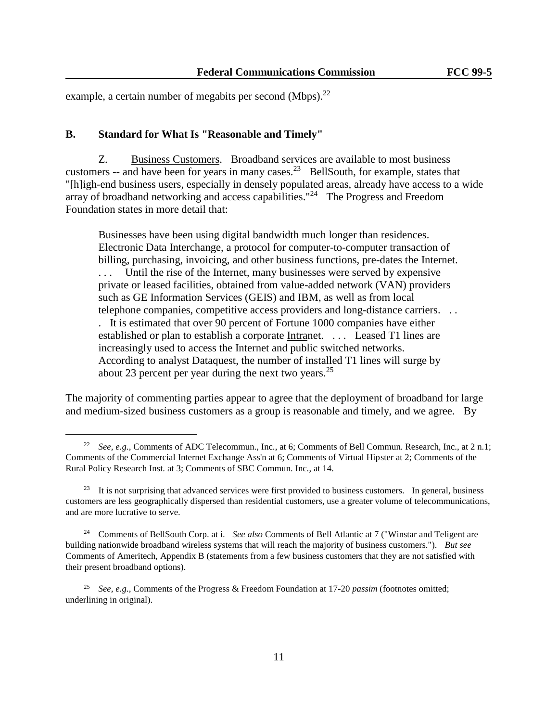example, a certain number of megabits per second (Mbps). $^{22}$ 

## **B. Standard for What Is "Reasonable and Timely"**

L,

Z. Business Customers. Broadband services are available to most business customers  $-$  and have been for years in many cases.<sup>23</sup> BellSouth, for example, states that "[h]igh-end business users, especially in densely populated areas, already have access to a wide array of broadband networking and access capabilities."<sup>24</sup> The Progress and Freedom Foundation states in more detail that:

Businesses have been using digital bandwidth much longer than residences. Electronic Data Interchange, a protocol for computer-to-computer transaction of billing, purchasing, invoicing, and other business functions, pre-dates the Internet. . . . Until the rise of the Internet, many businesses were served by expensive private or leased facilities, obtained from value-added network (VAN) providers such as GE Information Services (GEIS) and IBM, as well as from local telephone companies, competitive access providers and long-distance carriers. . . . It is estimated that over 90 percent of Fortune 1000 companies have either established or plan to establish a corporate Intranet. . . . Leased T1 lines are increasingly used to access the Internet and public switched networks. According to analyst Dataquest, the number of installed T1 lines will surge by about 23 percent per year during the next two years.<sup>25</sup>

The majority of commenting parties appear to agree that the deployment of broadband for large and medium-sized business customers as a group is reasonable and timely, and we agree. By

<sup>&</sup>lt;sup>22</sup> *See, e.g.*, Comments of ADC Telecommun., Inc., at 6; Comments of Bell Commun. Research, Inc., at 2 n.1; Comments of the Commercial Internet Exchange Ass'n at 6; Comments of Virtual Hipster at 2; Comments of the Rural Policy Research Inst. at 3; Comments of SBC Commun. Inc., at 14.

<sup>&</sup>lt;sup>23</sup> It is not surprising that advanced services were first provided to business customers. In general, business customers are less geographically dispersed than residential customers, use a greater volume of telecommunications, and are more lucrative to serve.

<sup>24</sup> Comments of BellSouth Corp. at i. *See also* Comments of Bell Atlantic at 7 ("Winstar and Teligent are building nationwide broadband wireless systems that will reach the majority of business customers."). *But see* Comments of Ameritech, Appendix B (statements from a few business customers that they are not satisfied with their present broadband options).

<sup>25</sup> *See, e.g.*, Comments of the Progress & Freedom Foundation at 17-20 *passim* (footnotes omitted; underlining in original).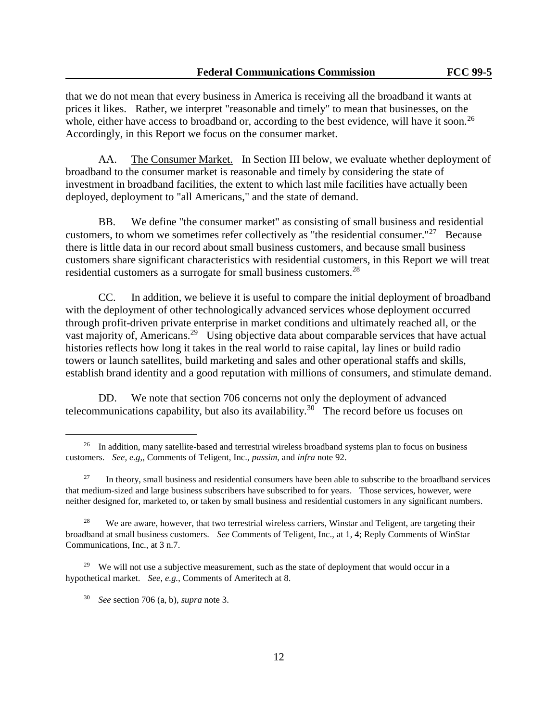that we do not mean that every business in America is receiving all the broadband it wants at prices it likes. Rather, we interpret "reasonable and timely" to mean that businesses, on the whole, either have access to broadband or, according to the best evidence, will have it soon.<sup>26</sup> Accordingly, in this Report we focus on the consumer market.

AA. The Consumer Market. In Section III below, we evaluate whether deployment of broadband to the consumer market is reasonable and timely by considering the state of investment in broadband facilities, the extent to which last mile facilities have actually been deployed, deployment to "all Americans," and the state of demand.

BB. We define "the consumer market" as consisting of small business and residential customers, to whom we sometimes refer collectively as "the residential consumer."<sup>27</sup> Because there is little data in our record about small business customers, and because small business customers share significant characteristics with residential customers, in this Report we will treat residential customers as a surrogate for small business customers.<sup>28</sup>

CC. In addition, we believe it is useful to compare the initial deployment of broadband with the deployment of other technologically advanced services whose deployment occurred through profit-driven private enterprise in market conditions and ultimately reached all, or the vast majority of, Americans.<sup>29</sup> Using objective data about comparable services that have actual histories reflects how long it takes in the real world to raise capital, lay lines or build radio towers or launch satellites, build marketing and sales and other operational staffs and skills, establish brand identity and a good reputation with millions of consumers, and stimulate demand.

DD. We note that section 706 concerns not only the deployment of advanced telecommunications capability, but also its availability.<sup>30</sup> The record before us focuses on

<sup>&</sup>lt;sup>26</sup> In addition, many satellite-based and terrestrial wireless broadband systems plan to focus on business customers. *See, e.g,*, Comments of Teligent, Inc., *passim*, and *infra* note 92.

<sup>27</sup> In theory, small business and residential consumers have been able to subscribe to the broadband services that medium-sized and large business subscribers have subscribed to for years. Those services, however, were neither designed for, marketed to, or taken by small business and residential customers in any significant numbers.

<sup>28</sup> We are aware, however, that two terrestrial wireless carriers, Winstar and Teligent, are targeting their broadband at small business customers. *See* Comments of Teligent, Inc., at 1, 4; Reply Comments of WinStar Communications, Inc., at 3 n.7.

<sup>&</sup>lt;sup>29</sup> We will not use a subjective measurement, such as the state of deployment that would occur in a hypothetical market. *See*, *e.g.*, Comments of Ameritech at 8.

<sup>30</sup> *See* section 706 (a, b), *supra* note 3.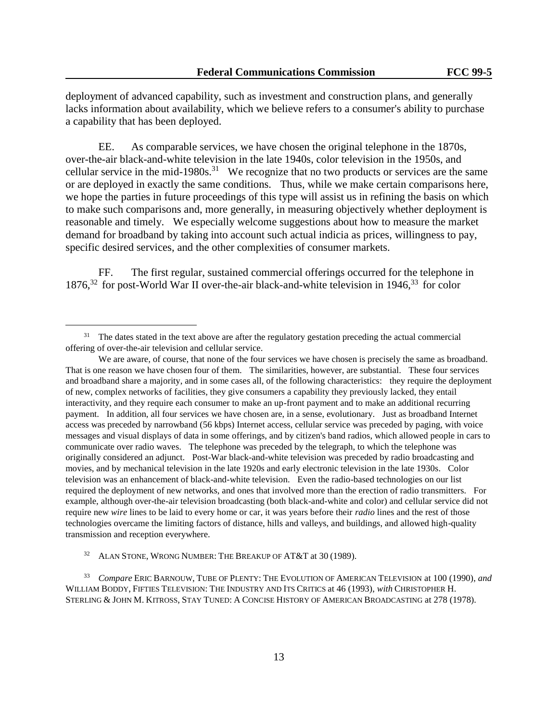deployment of advanced capability, such as investment and construction plans, and generally lacks information about availability, which we believe refers to a consumer's ability to purchase a capability that has been deployed.

EE. As comparable services, we have chosen the original telephone in the 1870s, over-the-air black-and-white television in the late 1940s, color television in the 1950s, and cellular service in the mid-1980s.<sup>31</sup> We recognize that no two products or services are the same or are deployed in exactly the same conditions. Thus, while we make certain comparisons here, we hope the parties in future proceedings of this type will assist us in refining the basis on which to make such comparisons and, more generally, in measuring objectively whether deployment is reasonable and timely. We especially welcome suggestions about how to measure the market demand for broadband by taking into account such actual indicia as prices, willingness to pay, specific desired services, and the other complexities of consumer markets.

FF. The first regular, sustained commercial offerings occurred for the telephone in  $1876<sup>32</sup>$  for post-World War II over-the-air black-and-white television in 1946 $<sup>33</sup>$  for color</sup>

L,

<sup>32</sup> ALAN STONE, WRONG NUMBER: THE BREAKUP OF AT&T at 30 (1989).

<sup>33</sup> *Compare* ERIC BARNOUW, TUBE OF PLENTY: THE EVOLUTION OF AMERICAN TELEVISION at 100 (1990), *and* WILLIAM BODDY, FIFTIES TELEVISION: THE INDUSTRY AND ITS CRITICS at 46 (1993), *with* CHRISTOPHER H. STERLING & JOHN M. KITROSS, STAY TUNED: A CONCISE HISTORY OF AMERICAN BROADCASTING at 278 (1978).

<sup>&</sup>lt;sup>31</sup> The dates stated in the text above are after the regulatory gestation preceding the actual commercial offering of over-the-air television and cellular service.

We are aware, of course, that none of the four services we have chosen is precisely the same as broadband. That is one reason we have chosen four of them. The similarities, however, are substantial. These four services and broadband share a majority, and in some cases all, of the following characteristics: they require the deployment of new, complex networks of facilities, they give consumers a capability they previously lacked, they entail interactivity, and they require each consumer to make an up-front payment and to make an additional recurring payment. In addition, all four services we have chosen are, in a sense, evolutionary. Just as broadband Internet access was preceded by narrowband (56 kbps) Internet access, cellular service was preceded by paging, with voice messages and visual displays of data in some offerings, and by citizen's band radios, which allowed people in cars to communicate over radio waves. The telephone was preceded by the telegraph, to which the telephone was originally considered an adjunct. Post-War black-and-white television was preceded by radio broadcasting and movies, and by mechanical television in the late 1920s and early electronic television in the late 1930s. Color television was an enhancement of black-and-white television. Even the radio-based technologies on our list required the deployment of new networks, and ones that involved more than the erection of radio transmitters. For example, although over-the-air television broadcasting (both black-and-white and color) and cellular service did not require new *wire* lines to be laid to every home or car, it was years before their *radio* lines and the rest of those technologies overcame the limiting factors of distance, hills and valleys, and buildings, and allowed high-quality transmission and reception everywhere.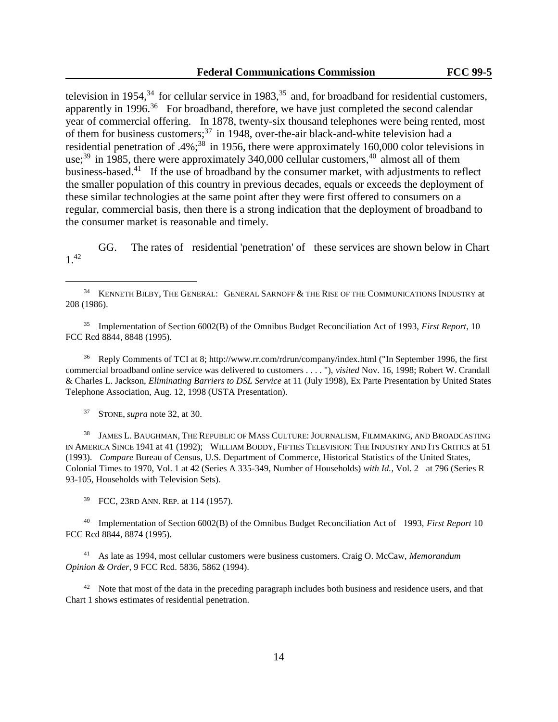television in 1954, $34$  for cellular service in 1983, $35$  and, for broadband for residential customers, apparently in 1996. $36$  For broadband, therefore, we have just completed the second calendar year of commercial offering. In 1878, twenty-six thousand telephones were being rented, most of them for business customers; $^{37}$  in 1948, over-the-air black-and-white television had a residential penetration of .4%;<sup>38</sup> in 1956, there were approximately 160,000 color televisions in use;<sup>39</sup> in 1985, there were approximately 340,000 cellular customers,<sup>40</sup> almost all of them business-based.<sup>41</sup> If the use of broadband by the consumer market, with adjustments to reflect the smaller population of this country in previous decades, equals or exceeds the deployment of these similar technologies at the same point after they were first offered to consumers on a regular, commercial basis, then there is a strong indication that the deployment of broadband to the consumer market is reasonable and timely.

GG. The rates of residential 'penetration' of these services are shown below in Chart 1.<sup>42</sup>

<sup>35</sup> Implementation of Section 6002(B) of the Omnibus Budget Reconciliation Act of 1993, *First Report*, 10 FCC Rcd 8844, 8848 (1995).

<sup>36</sup> Reply Comments of TCI at 8; http://www.rr.com/rdrun/company/index.html ("In September 1996, the first commercial broadband online service was delivered to customers . . . . "), *visited* Nov. 16, 1998; Robert W. Crandall & Charles L. Jackson, *Eliminating Barriers to DSL Service* at 11 (July 1998), Ex Parte Presentation by United States Telephone Association, Aug. 12, 1998 (USTA Presentation).

<sup>37</sup> STONE, *supra* note 32, at 30.

L,

<sup>38</sup> JAMES L. BAUGHMAN, THE REPUBLIC OF MASS CULTURE: JOURNALISM, FILMMAKING, AND BROADCASTING IN AMERICA SINCE 1941 at 41 (1992); WILLIAM BODDY, FIFTIES TELEVISION: THE INDUSTRY AND ITS CRITICS at 51 (1993). *Compare* Bureau of Census, U.S. Department of Commerce, Historical Statistics of the United States, Colonial Times to 1970, Vol. 1 at 42 (Series A 335-349, Number of Households) *with Id.*, Vol. 2 at 796 (Series R 93-105, Households with Television Sets).

<sup>39</sup> FCC, 23RD ANN. REP. at 114 (1957).

<sup>40</sup> Implementation of Section 6002(B) of the Omnibus Budget Reconciliation Act of 1993, *First Report* 10 FCC Rcd 8844, 8874 (1995).

<sup>41</sup> As late as 1994, most cellular customers were business customers. Craig O. McCaw, *Memorandum Opinion & Order*, 9 FCC Rcd. 5836, 5862 (1994).

<sup>42</sup> Note that most of the data in the preceding paragraph includes both business and residence users, and that Chart 1 shows estimates of residential penetration.

<sup>&</sup>lt;sup>34</sup> KENNETH BILBY, THE GENERAL: GENERAL SARNOFF & THE RISE OF THE COMMUNICATIONS INDUSTRY at 208 (1986).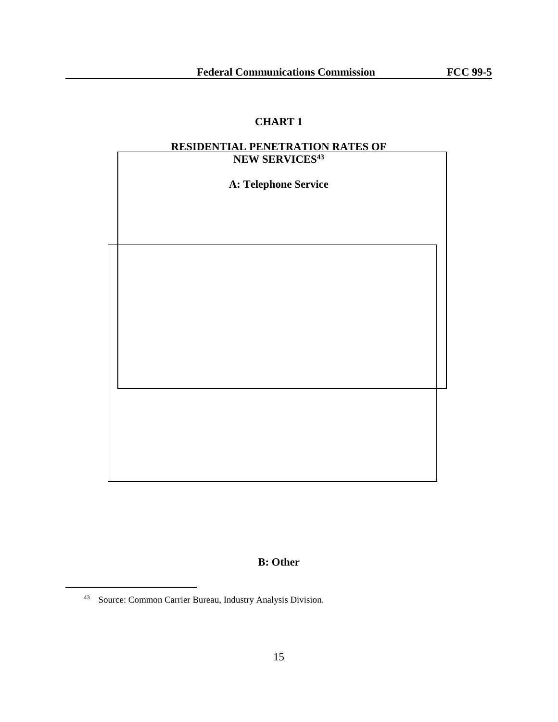# **CHART 1**

# **RESIDENTIAL PENETRATION RATES OF**

| NEW SERVICES <sup>43</sup> |  |
|----------------------------|--|
| A: Telephone Service       |  |
|                            |  |
|                            |  |
|                            |  |
|                            |  |
|                            |  |
|                            |  |
|                            |  |
|                            |  |
|                            |  |
|                            |  |
|                            |  |
|                            |  |
|                            |  |
|                            |  |
|                            |  |

**B: Other**

<sup>43</sup> Source: Common Carrier Bureau, Industry Analysis Division.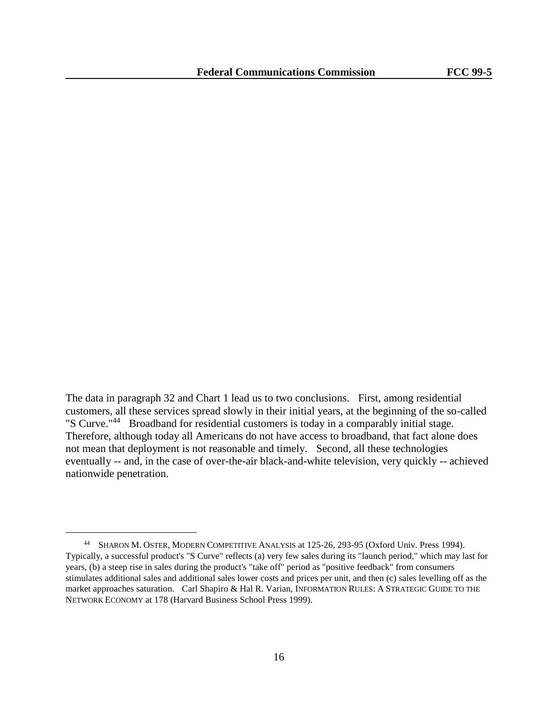The data in paragraph 32 and Chart 1 lead us to two conclusions. First, among residential customers, all these services spread slowly in their initial years, at the beginning of the so-called "S Curve."<sup>44</sup> Broadband for residential customers is today in a comparably initial stage. Therefore, although today all Americans do not have access to broadband, that fact alone does not mean that deployment is not reasonable and timely. Second, all these technologies eventually -- and, in the case of over-the-air black-and-white television, very quickly -- achieved nationwide penetration.

<sup>44</sup> SHARON M. OSTER, MODERN COMPETITIVE ANALYSIS at 125-26, 293-95 (Oxford Univ. Press 1994). Typically, a successful product's "S Curve" reflects (a) very few sales during its "launch period," which may last for years, (b) a steep rise in sales during the product's "take off" period as "positive feedback" from consumers stimulates additional sales and additional sales lower costs and prices per unit, and then (c) sales levelling off as the market approaches saturation. Carl Shapiro & Hal R. Varian, INFORMATION RULES: A STRATEGIC GUIDE TO THE NETWORK ECONOMY at 178 (Harvard Business School Press 1999).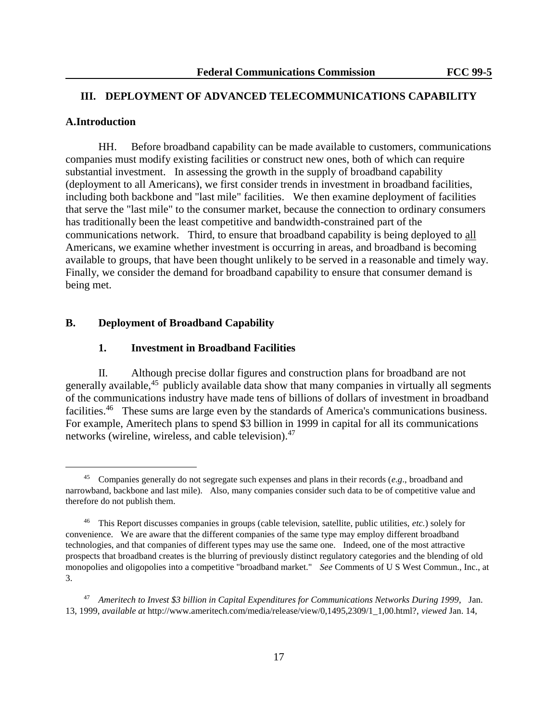## **III. DEPLOYMENT OF ADVANCED TELECOMMUNICATIONS CAPABILITY**

## **A.Introduction**

L,

HH. Before broadband capability can be made available to customers, communications companies must modify existing facilities or construct new ones, both of which can require substantial investment. In assessing the growth in the supply of broadband capability (deployment to all Americans), we first consider trends in investment in broadband facilities, including both backbone and "last mile" facilities. We then examine deployment of facilities that serve the "last mile" to the consumer market, because the connection to ordinary consumers has traditionally been the least competitive and bandwidth-constrained part of the communications network. Third, to ensure that broadband capability is being deployed to all Americans, we examine whether investment is occurring in areas, and broadband is becoming available to groups, that have been thought unlikely to be served in a reasonable and timely way. Finally, we consider the demand for broadband capability to ensure that consumer demand is being met.

## **B. Deployment of Broadband Capability**

## **1. Investment in Broadband Facilities**

II. Although precise dollar figures and construction plans for broadband are not generally available,<sup>45</sup> publicly available data show that many companies in virtually all segments of the communications industry have made tens of billions of dollars of investment in broadband facilities.<sup>46</sup> These sums are large even by the standards of America's communications business. For example, Ameritech plans to spend \$3 billion in 1999 in capital for all its communications networks (wireline, wireless, and cable television).<sup>47</sup>

<sup>45</sup> Companies generally do not segregate such expenses and plans in their records (*e.g*., broadband and narrowband, backbone and last mile). Also, many companies consider such data to be of competitive value and therefore do not publish them.

<sup>46</sup> This Report discusses companies in groups (cable television, satellite, public utilities, *etc.*) solely for convenience. We are aware that the different companies of the same type may employ different broadband technologies, and that companies of different types may use the same one. Indeed, one of the most attractive prospects that broadband creates is the blurring of previously distinct regulatory categories and the blending of old monopolies and oligopolies into a competitive "broadband market." *See* Comments of U S West Commun., Inc., at 3.

<sup>47</sup> *Ameritech to Invest \$3 billion in Capital Expenditures for Communications Networks During 1999*, Jan. 13, 1999, *available at* http://www.ameritech.com/media/release/view/0,1495,2309/1\_1,00.html?, *viewed* Jan. 14,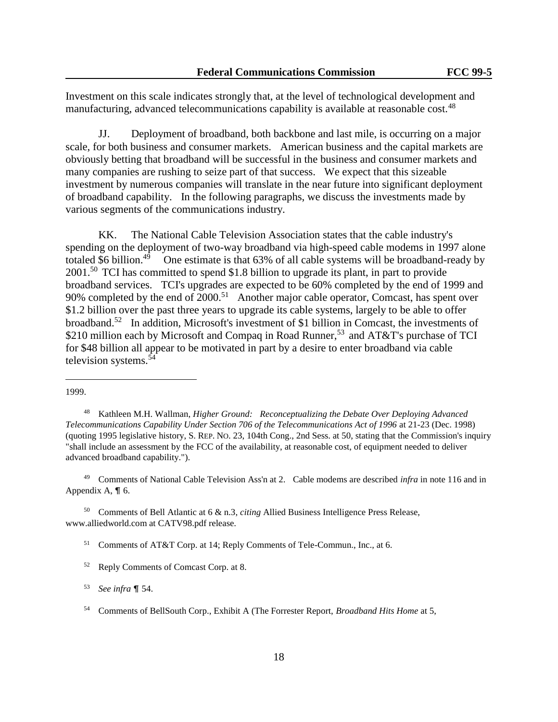Investment on this scale indicates strongly that, at the level of technological development and manufacturing, advanced telecommunications capability is available at reasonable cost.<sup>48</sup>

JJ. Deployment of broadband, both backbone and last mile, is occurring on a major scale, for both business and consumer markets. American business and the capital markets are obviously betting that broadband will be successful in the business and consumer markets and many companies are rushing to seize part of that success. We expect that this sizeable investment by numerous companies will translate in the near future into significant deployment of broadband capability. In the following paragraphs, we discuss the investments made by various segments of the communications industry.

KK. The National Cable Television Association states that the cable industry's spending on the deployment of two-way broadband via high-speed cable modems in 1997 alone totaled \$6 billion.<sup>49</sup> One estimate is that  $63\%$  of all cable systems will be broadband-ready by 2001.<sup>50</sup> TCI has committed to spend \$1.8 billion to upgrade its plant, in part to provide broadband services. TCI's upgrades are expected to be 60% completed by the end of 1999 and 90% completed by the end of  $2000$ <sup>51</sup> Another major cable operator, Comcast, has spent over \$1.2 billion over the past three years to upgrade its cable systems, largely to be able to offer broadband.<sup>52</sup> In addition, Microsoft's investment of \$1 billion in Comcast, the investments of \$210 million each by Microsoft and Compaq in Road Runner,<sup>53</sup> and AT&T's purchase of TCI for \$48 billion all appear to be motivated in part by a desire to enter broadband via cable television systems.<sup>54</sup>

L,

<sup>49</sup> Comments of National Cable Television Ass'n at 2. Cable modems are described *infra* in note 116 and in Appendix A,  $\P$  6.

<sup>50</sup> Comments of Bell Atlantic at 6 & n.3, *citing* Allied Business Intelligence Press Release, www.alliedworld.com at CATV98.pdf release.

<sup>51</sup> Comments of AT&T Corp. at 14; Reply Comments of Tele-Commun., Inc., at 6.

<sup>1999.</sup>

<sup>48</sup> Kathleen M.H. Wallman, *Higher Ground: Reconceptualizing the Debate Over Deploying Advanced Telecommunications Capability Under Section 706 of the Telecommunications Act of 1996* at 21-23 (Dec. 1998) (quoting 1995 legislative history, S. REP. NO. 23, 104th Cong., 2nd Sess. at 50, stating that the Commission's inquiry "shall include an assessment by the FCC of the availability, at reasonable cost, of equipment needed to deliver advanced broadband capability.").

<sup>52</sup> Reply Comments of Comcast Corp. at 8.

<sup>53</sup> *See infra* ¶ 54.

<sup>54</sup> Comments of BellSouth Corp., Exhibit A (The Forrester Report, *Broadband Hits Home* at 5,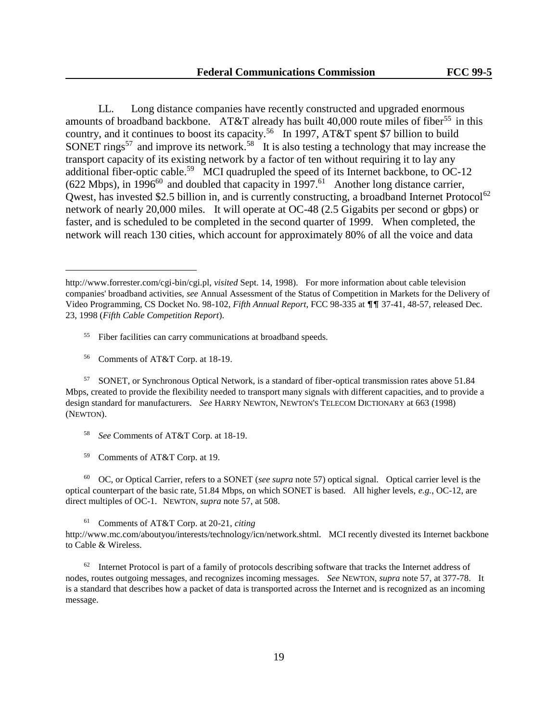LL. Long distance companies have recently constructed and upgraded enormous amounts of broadband backbone. AT&T already has built 40,000 route miles of fiber<sup>55</sup> in this country, and it continues to boost its capacity.<sup>56</sup> In 1997, AT&T spent \$7 billion to build SONET rings<sup>57</sup> and improve its network.<sup>58</sup> It is also testing a technology that may increase the transport capacity of its existing network by a factor of ten without requiring it to lay any additional fiber-optic cable.<sup>59</sup> MCI quadrupled the speed of its Internet backbone, to OC-12  $(622 \text{ Mbps})$ , in 1996<sup>60</sup> and doubled that capacity in 1997.<sup>61</sup> Another long distance carrier, Qwest, has invested \$2.5 billion in, and is currently constructing, a broadband Internet Protocol<sup>62</sup> network of nearly 20,000 miles. It will operate at OC-48 (2.5 Gigabits per second or gbps) or faster, and is scheduled to be completed in the second quarter of 1999. When completed, the network will reach 130 cities, which account for approximately 80% of all the voice and data

- <sup>55</sup> Fiber facilities can carry communications at broadband speeds.
- <sup>56</sup> Comments of AT&T Corp. at 18-19.

L,

<sup>57</sup> SONET, or Synchronous Optical Network, is a standard of fiber-optical transmission rates above 51.84 Mbps, created to provide the flexibility needed to transport many signals with different capacities, and to provide a design standard for manufacturers. *See* HARRY NEWTON, NEWTON'S TELECOM DICTIONARY at 663 (1998) (NEWTON).

- <sup>58</sup> *See* Comments of AT&T Corp. at 18-19.
- <sup>59</sup> Comments of AT&T Corp. at 19.

<sup>60</sup> OC, or Optical Carrier, refers to a SONET (*see supra* note 57) optical signal. Optical carrier level is the optical counterpart of the basic rate, 51.84 Mbps, on which SONET is based. All higher levels, *e.g.*, OC-12, are direct multiples of OC-1. NEWTON, *supra* note 57, at 508.

<sup>61</sup> Comments of AT&T Corp. at 20-21, *citing*

http://www.mc.com/aboutyou/interests/technology/icn/network.shtml. MCI recently divested its Internet backbone to Cable & Wireless.

<sup>62</sup> Internet Protocol is part of a family of protocols describing software that tracks the Internet address of nodes, routes outgoing messages, and recognizes incoming messages. *See* NEWTON, *supra* note 57, at 377-78. It is a standard that describes how a packet of data is transported across the Internet and is recognized as an incoming message.

http://www.forrester.com/cgi-bin/cgi.pl, *visited* Sept. 14, 1998). For more information about cable television companies' broadband activities, *see* Annual Assessment of the Status of Competition in Markets for the Delivery of Video Programming, CS Docket No. 98-102, *Fifth Annual Report*, FCC 98-335 at  $\P\P$  37-41, 48-57, released Dec. 23, 1998 (*Fifth Cable Competition Report*).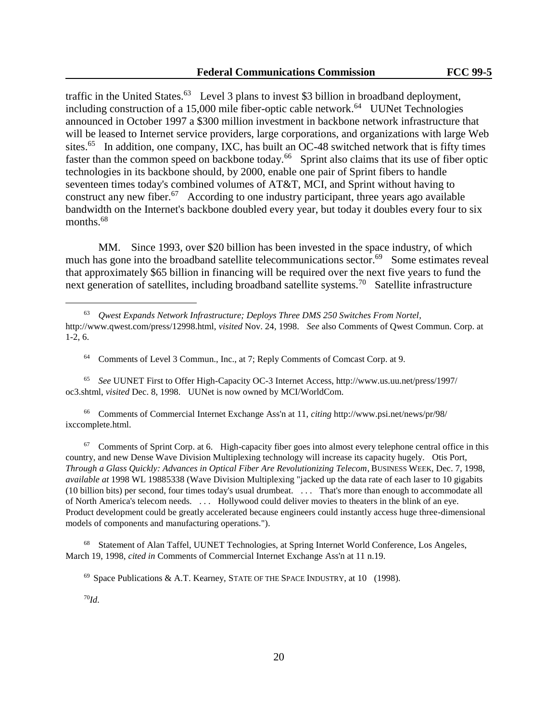traffic in the United States.<sup>63</sup> Level 3 plans to invest \$3 billion in broadband deployment, including construction of a 15,000 mile fiber-optic cable network.<sup>64</sup> UUNet Technologies announced in October 1997 a \$300 million investment in backbone network infrastructure that will be leased to Internet service providers, large corporations, and organizations with large Web sites.<sup>65</sup> In addition, one company, IXC, has built an OC-48 switched network that is fifty times faster than the common speed on backbone today.<sup>66</sup> Sprint also claims that its use of fiber optic technologies in its backbone should, by 2000, enable one pair of Sprint fibers to handle seventeen times today's combined volumes of AT&T, MCI, and Sprint without having to construct any new fiber.<sup>67</sup> According to one industry participant, three years ago available bandwidth on the Internet's backbone doubled every year, but today it doubles every four to six months.<sup>68</sup>

MM. Since 1993, over \$20 billion has been invested in the space industry, of which much has gone into the broadband satellite telecommunications sector.<sup>69</sup> Some estimates reveal that approximately \$65 billion in financing will be required over the next five years to fund the next generation of satellites, including broadband satellite systems.<sup>70</sup> Satellite infrastructure

<sup>64</sup> Comments of Level 3 Commun., Inc., at 7; Reply Comments of Comcast Corp. at 9.

<sup>65</sup> *See* UUNET First to Offer High-Capacity OC-3 Internet Access, http://www.us.uu.net/press/1997/ oc3.shtml, *visited* Dec. 8, 1998. UUNet is now owned by MCI/WorldCom.

<sup>66</sup> Comments of Commercial Internet Exchange Ass'n at 11, *citing* http://www.psi.net/news/pr/98/ ixccomplete.html.

<sup>67</sup> Comments of Sprint Corp. at 6. High-capacity fiber goes into almost every telephone central office in this country, and new Dense Wave Division Multiplexing technology will increase its capacity hugely. Otis Port, *Through a Glass Quickly: Advances in Optical Fiber Are Revolutionizing Telecom*, BUSINESS WEEK, Dec. 7, 1998, *available at* 1998 WL 19885338 (Wave Division Multiplexing "jacked up the data rate of each laser to 10 gigabits (10 billion bits) per second, four times today's usual drumbeat. . . . That's more than enough to accommodate all of North America's telecom needs. . . . Hollywood could deliver movies to theaters in the blink of an eye. Product development could be greatly accelerated because engineers could instantly access huge three-dimensional models of components and manufacturing operations.").

<sup>68</sup> Statement of Alan Taffel, UUNET Technologies, at Spring Internet World Conference, Los Angeles, March 19, 1998, *cited in* Comments of Commercial Internet Exchange Ass'n at 11 n.19.

70*Id.*

<sup>63</sup> *Qwest Expands Network Infrastructure; Deploys Three DMS 250 Switches From Nortel*, http://www.qwest.com/press/12998.html, *visited* Nov. 24, 1998. *See* also Comments of Qwest Commun. Corp. at 1-2, 6.

<sup>69</sup> Space Publications & A.T. Kearney, STATE OF THE SPACE INDUSTRY, at 10 (1998).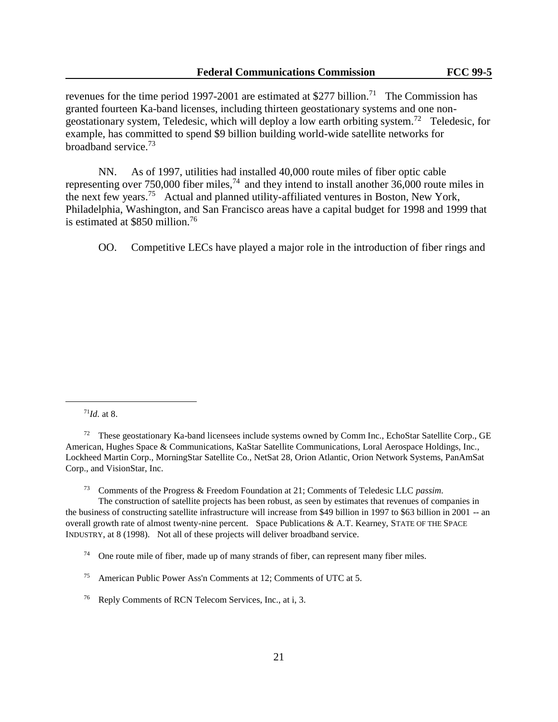revenues for the time period 1997-2001 are estimated at \$277 billion.<sup>71</sup> The Commission has granted fourteen Ka-band licenses, including thirteen geostationary systems and one nongeostationary system, Teledesic, which will deploy a low earth orbiting system.<sup>72</sup> Teledesic, for example, has committed to spend \$9 billion building world-wide satellite networks for broadband service.<sup>73</sup>

NN. As of 1997, utilities had installed 40,000 route miles of fiber optic cable representing over 750,000 fiber miles,<sup>74</sup> and they intend to install another 36,000 route miles in the next few years.<sup>75</sup> Actual and planned utility-affiliated ventures in Boston, New York, Philadelphia, Washington, and San Francisco areas have a capital budget for 1998 and 1999 that is estimated at \$850 million.<sup>76</sup>

OO. Competitive LECs have played a major role in the introduction of fiber rings and

<sup>71</sup>*Id.* at 8.

L,

<sup>73</sup> Comments of the Progress & Freedom Foundation at 21; Comments of Teledesic LLC *passim*.

The construction of satellite projects has been robust, as seen by estimates that revenues of companies in the business of constructing satellite infrastructure will increase from \$49 billion in 1997 to \$63 billion in 2001 -- an overall growth rate of almost twenty-nine percent. Space Publications & A.T. Kearney, STATE OF THE SPACE INDUSTRY, at 8 (1998). Not all of these projects will deliver broadband service.

 $74$  One route mile of fiber, made up of many strands of fiber, can represent many fiber miles.

<sup>75</sup> American Public Power Ass'n Comments at 12; Comments of UTC at 5.

<sup>&</sup>lt;sup>72</sup> These geostationary Ka-band licensees include systems owned by Comm Inc., EchoStar Satellite Corp., GE American, Hughes Space & Communications, KaStar Satellite Communications, Loral Aerospace Holdings, Inc., Lockheed Martin Corp., MorningStar Satellite Co., NetSat 28, Orion Atlantic, Orion Network Systems, PanAmSat Corp., and VisionStar, Inc.

<sup>76</sup> Reply Comments of RCN Telecom Services, Inc., at i, 3.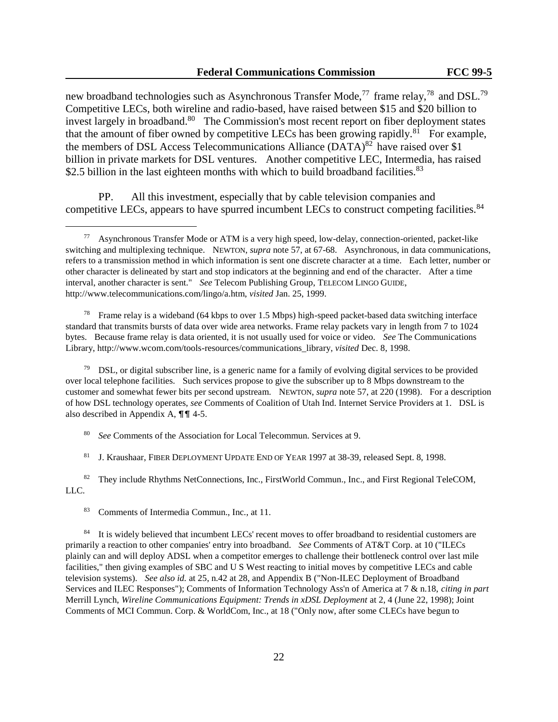new broadband technologies such as Asynchronous Transfer Mode,<sup>77</sup> frame relay,<sup>78</sup> and DSL.<sup>79</sup> Competitive LECs, both wireline and radio-based, have raised between \$15 and \$20 billion to invest largely in broadband.<sup>80</sup> The Commission's most recent report on fiber deployment states that the amount of fiber owned by competitive LECs has been growing rapidly.<sup>81</sup> For example, the members of DSL Access Telecommunications Alliance  $(DATA)^{82}$  have raised over \$1 billion in private markets for DSL ventures. Another competitive LEC, Intermedia, has raised \$2.5 billion in the last eighteen months with which to build broadband facilities.<sup>83</sup>

PP. All this investment, especially that by cable television companies and competitive LECs, appears to have spurred incumbent LECs to construct competing facilities.<sup>84</sup>

<sup>78</sup> Frame relay is a wideband (64 kbps to over 1.5 Mbps) high-speed packet-based data switching interface standard that transmits bursts of data over wide area networks. Frame relay packets vary in length from 7 to 1024 bytes. Because frame relay is data oriented, it is not usually used for voice or video. *See* The Communications Library, http://www.wcom.com/tools-resources/communications\_library, *visited* Dec. 8, 1998.

 $79$  DSL, or digital subscriber line, is a generic name for a family of evolving digital services to be provided over local telephone facilities. Such services propose to give the subscriber up to 8 Mbps downstream to the customer and somewhat fewer bits per second upstream. NEWTON, *supra* note 57, at 220 (1998). For a description of how DSL technology operates, *see* Comments of Coalition of Utah Ind. Internet Service Providers at 1. DSL is also described in Appendix A,  $\P\P$  4-5.

<sup>80</sup> *See* Comments of the Association for Local Telecommun. Services at 9.

<sup>81</sup> J. Kraushaar, FIBER DEPLOYMENT UPDATE END OF YEAR 1997 at 38-39, released Sept. 8, 1998.

<sup>82</sup> They include Rhythms NetConnections, Inc., FirstWorld Commun., Inc., and First Regional TeleCOM, LLC.

<sup>83</sup> Comments of Intermedia Commun., Inc., at 11.

<u>.</u>

<sup>84</sup> It is widely believed that incumbent LECs' recent moves to offer broadband to residential customers are primarily a reaction to other companies' entry into broadband. *See* Comments of AT&T Corp. at 10 ("ILECs plainly can and will deploy ADSL when a competitor emerges to challenge their bottleneck control over last mile facilities," then giving examples of SBC and U S West reacting to initial moves by competitive LECs and cable television systems). *See also id.* at 25, n.42 at 28, and Appendix B ("Non-ILEC Deployment of Broadband Services and ILEC Responses"); Comments of Information Technology Ass'n of America at 7 & n.18, *citing in part* Merrill Lynch, *Wireline Communications Equipment: Trends in xDSL Deployment* at 2, 4 (June 22, 1998); Joint Comments of MCI Commun. Corp. & WorldCom, Inc., at 18 ("Only now, after some CLECs have begun to

<sup>77</sup> Asynchronous Transfer Mode or ATM is a very high speed, low-delay, connection-oriented, packet-like switching and multiplexing technique. NEWTON, *supra* note 57, at 67-68. Asynchronous, in data communications, refers to a transmission method in which information is sent one discrete character at a time. Each letter, number or other character is delineated by start and stop indicators at the beginning and end of the character. After a time interval, another character is sent." *See* Telecom Publishing Group, TELECOM LINGO GUIDE, http://www.telecommunications.com/lingo/a.htm, *visited* Jan. 25, 1999.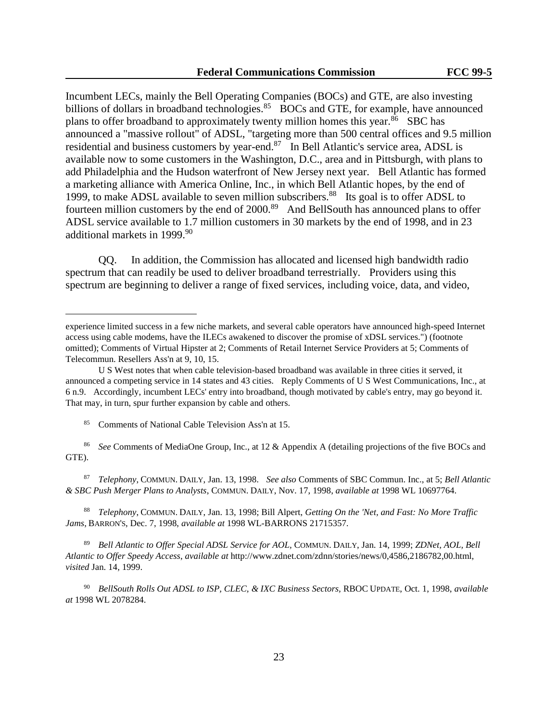Incumbent LECs, mainly the Bell Operating Companies (BOCs) and GTE, are also investing billions of dollars in broadband technologies.<sup>85</sup> BOCs and GTE, for example, have announced plans to offer broadband to approximately twenty million homes this year.<sup>86</sup> SBC has announced a "massive rollout" of ADSL, "targeting more than 500 central offices and 9.5 million residential and business customers by year-end.<sup>87</sup> In Bell Atlantic's service area, ADSL is available now to some customers in the Washington, D.C., area and in Pittsburgh, with plans to add Philadelphia and the Hudson waterfront of New Jersey next year. Bell Atlantic has formed a marketing alliance with America Online, Inc., in which Bell Atlantic hopes, by the end of 1999, to make ADSL available to seven million subscribers.<sup>88</sup> Its goal is to offer ADSL to fourteen million customers by the end of 2000.<sup>89</sup> And BellSouth has announced plans to offer ADSL service available to 1.7 million customers in 30 markets by the end of 1998, and in 23 additional markets in 1999.<sup>90</sup>

QQ. In addition, the Commission has allocated and licensed high bandwidth radio spectrum that can readily be used to deliver broadband terrestrially. Providers using this spectrum are beginning to deliver a range of fixed services, including voice, data, and video,

<sup>85</sup> Comments of National Cable Television Ass'n at 15.

L,

<sup>86</sup> *See* Comments of MediaOne Group, Inc., at 12 & Appendix A (detailing projections of the five BOCs and GTE).

<sup>87</sup> *Telephony*, COMMUN. DAILY, Jan. 13, 1998. *See also* Comments of SBC Commun. Inc., at 5; *Bell Atlantic & SBC Push Merger Plans to Analysts*, COMMUN. DAILY, Nov. 17, 1998, *available at* 1998 WL 10697764.

<sup>88</sup> *Telephony*, COMMUN. DAILY, Jan. 13, 1998; Bill Alpert, *Getting On the 'Net, and Fast: No More Traffic Jams*, BARRON'S, Dec. 7, 1998, *available at* 1998 WL-BARRONS 21715357.

<sup>89</sup> *Bell Atlantic to Offer Special ADSL Service for AOL,* COMMUN. DAILY, Jan. 14, 1999; *ZDNet, AOL, Bell Atlantic to Offer Speedy Access*, *available at* http://www.zdnet.com/zdnn/stories/news/0,4586,2186782,00.html, *visited* Jan. 14, 1999.

<sup>90</sup> *BellSouth Rolls Out ADSL to ISP, CLEC, & IXC Business Sectors,* RBOC UPDATE, Oct. 1, 1998, *available at* 1998 WL 2078284.

experience limited success in a few niche markets, and several cable operators have announced high-speed Internet access using cable modems, have the ILECs awakened to discover the promise of xDSL services.") (footnote omitted); Comments of Virtual Hipster at 2; Comments of Retail Internet Service Providers at 5; Comments of Telecommun. Resellers Ass'n at 9, 10, 15.

U S West notes that when cable television-based broadband was available in three cities it served, it announced a competing service in 14 states and 43 cities. Reply Comments of U S West Communications, Inc., at 6 n.9. Accordingly, incumbent LECs' entry into broadband, though motivated by cable's entry, may go beyond it. That may, in turn, spur further expansion by cable and others.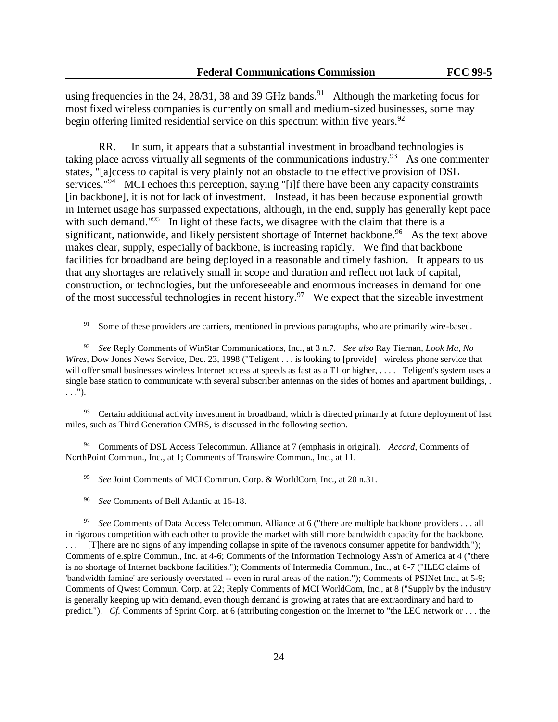using frequencies in the 24, 28/31, 38 and 39 GHz bands.<sup>91</sup> Although the marketing focus for most fixed wireless companies is currently on small and medium-sized businesses, some may begin offering limited residential service on this spectrum within five years.<sup>92</sup>

RR. In sum, it appears that a substantial investment in broadband technologies is taking place across virtually all segments of the communications industry.<sup>93</sup> As one commenter states, "[a]ccess to capital is very plainly not an obstacle to the effective provision of DSL services."<sup>94</sup> MCI echoes this perception, saying "[i]f there have been any capacity constraints [in backbone], it is not for lack of investment. Instead, it has been because exponential growth in Internet usage has surpassed expectations, although, in the end, supply has generally kept pace with such demand."<sup>95</sup> In light of these facts, we disagree with the claim that there is a significant, nationwide, and likely persistent shortage of Internet backbone.<sup>96</sup> As the text above makes clear, supply, especially of backbone, is increasing rapidly. We find that backbone facilities for broadband are being deployed in a reasonable and timely fashion. It appears to us that any shortages are relatively small in scope and duration and reflect not lack of capital, construction, or technologies, but the unforeseeable and enormous increases in demand for one of the most successful technologies in recent history.<sup>97</sup> We expect that the sizeable investment

<sup>93</sup> Certain additional activity investment in broadband, which is directed primarily at future deployment of last miles, such as Third Generation CMRS, is discussed in the following section.

<sup>94</sup> Comments of DSL Access Telecommun. Alliance at 7 (emphasis in original). *Accord*, Comments of NorthPoint Commun., Inc., at 1; Comments of Transwire Commun., Inc., at 11.

<sup>95</sup> *See* Joint Comments of MCI Commun. Corp. & WorldCom, Inc., at 20 n.31.

<sup>&</sup>lt;sup>91</sup> Some of these providers are carriers, mentioned in previous paragraphs, who are primarily wire-based.

<sup>92</sup> *See* Reply Comments of WinStar Communications, Inc., at 3 n.7. *See also* Ray Tiernan, *Look Ma, No Wires*, Dow Jones News Service, Dec. 23, 1998 ("Teligent . . . is looking to [provide] wireless phone service that will offer small businesses wireless Internet access at speeds as fast as a T1 or higher, .... Teligent's system uses a single base station to communicate with several subscriber antennas on the sides of homes and apartment buildings, . . . .").

<sup>96</sup> *See* Comments of Bell Atlantic at 16-18.

<sup>97</sup> *See* Comments of Data Access Telecommun. Alliance at 6 ("there are multiple backbone providers . . . all in rigorous competition with each other to provide the market with still more bandwidth capacity for the backbone. . . . [T]here are no signs of any impending collapse in spite of the ravenous consumer appetite for bandwidth."); Comments of e.spire Commun., Inc. at 4-6; Comments of the Information Technology Ass'n of America at 4 ("there is no shortage of Internet backbone facilities."); Comments of Intermedia Commun., Inc., at 6-7 ("ILEC claims of 'bandwidth famine' are seriously overstated -- even in rural areas of the nation."); Comments of PSINet Inc., at 5-9; Comments of Qwest Commun. Corp. at 22; Reply Comments of MCI WorldCom, Inc., at 8 ("Supply by the industry is generally keeping up with demand, even though demand is growing at rates that are extraordinary and hard to predict."). *Cf.* Comments of Sprint Corp. at 6 (attributing congestion on the Internet to "the LEC network or . . . the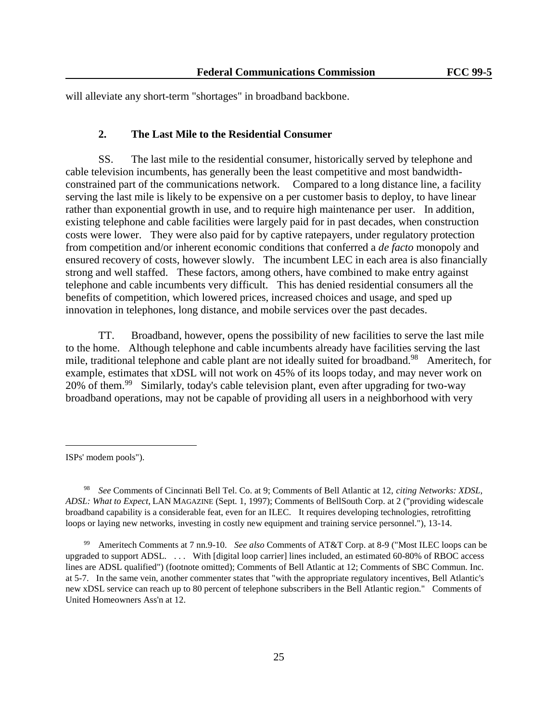will alleviate any short-term "shortages" in broadband backbone.

### **2. The Last Mile to the Residential Consumer**

SS. The last mile to the residential consumer, historically served by telephone and cable television incumbents, has generally been the least competitive and most bandwidthconstrained part of the communications network. Compared to a long distance line, a facility serving the last mile is likely to be expensive on a per customer basis to deploy, to have linear rather than exponential growth in use, and to require high maintenance per user. In addition, existing telephone and cable facilities were largely paid for in past decades, when construction costs were lower. They were also paid for by captive ratepayers, under regulatory protection from competition and/or inherent economic conditions that conferred a *de facto* monopoly and ensured recovery of costs, however slowly. The incumbent LEC in each area is also financially strong and well staffed. These factors, among others, have combined to make entry against telephone and cable incumbents very difficult. This has denied residential consumers all the benefits of competition, which lowered prices, increased choices and usage, and sped up innovation in telephones, long distance, and mobile services over the past decades.

TT. Broadband, however, opens the possibility of new facilities to serve the last mile to the home. Although telephone and cable incumbents already have facilities serving the last mile, traditional telephone and cable plant are not ideally suited for broadband.<sup>98</sup> Ameritech, for example, estimates that xDSL will not work on 45% of its loops today, and may never work on 20% of them.<sup>99</sup> Similarly, today's cable television plant, even after upgrading for two-way broadband operations, may not be capable of providing all users in a neighborhood with very

ISPs' modem pools").

<sup>98</sup> *See* Comments of Cincinnati Bell Tel. Co. at 9; Comments of Bell Atlantic at 12, *citing Networks: XDSL, ADSL: What to Expect*, LAN MAGAZINE (Sept. 1, 1997); Comments of BellSouth Corp. at 2 ("providing widescale broadband capability is a considerable feat, even for an ILEC. It requires developing technologies, retrofitting loops or laying new networks, investing in costly new equipment and training service personnel."), 13-14.

<sup>99</sup> Ameritech Comments at 7 nn.9-10. *See also* Comments of AT&T Corp. at 8-9 ("Most ILEC loops can be upgraded to support ADSL. . . . With [digital loop carrier] lines included, an estimated 60-80% of RBOC access lines are ADSL qualified") (footnote omitted); Comments of Bell Atlantic at 12; Comments of SBC Commun. Inc. at 5-7. In the same vein, another commenter states that "with the appropriate regulatory incentives, Bell Atlantic's new xDSL service can reach up to 80 percent of telephone subscribers in the Bell Atlantic region." Comments of United Homeowners Ass'n at 12.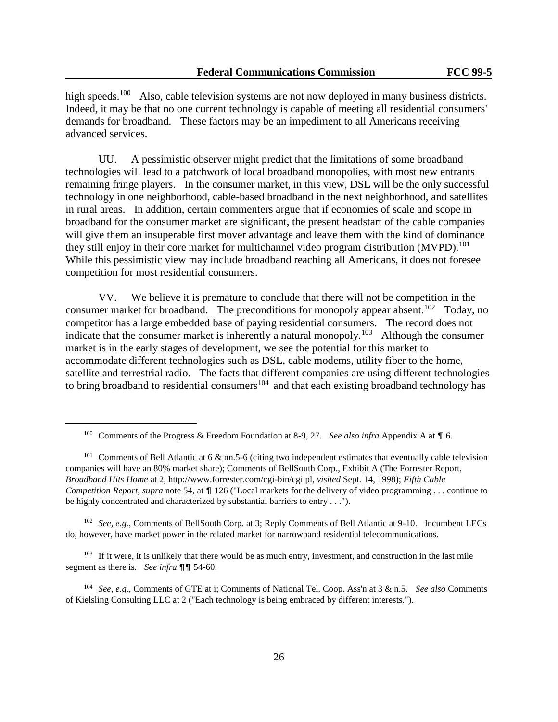high speeds.<sup>100</sup> Also, cable television systems are not now deployed in many business districts. Indeed, it may be that no one current technology is capable of meeting all residential consumers' demands for broadband. These factors may be an impediment to all Americans receiving advanced services.

UU. A pessimistic observer might predict that the limitations of some broadband technologies will lead to a patchwork of local broadband monopolies, with most new entrants remaining fringe players. In the consumer market, in this view, DSL will be the only successful technology in one neighborhood, cable-based broadband in the next neighborhood, and satellites in rural areas. In addition, certain commenters argue that if economies of scale and scope in broadband for the consumer market are significant, the present headstart of the cable companies will give them an insuperable first mover advantage and leave them with the kind of dominance they still enjoy in their core market for multichannel video program distribution (MVPD).<sup>101</sup> While this pessimistic view may include broadband reaching all Americans, it does not foresee competition for most residential consumers.

VV. We believe it is premature to conclude that there will not be competition in the consumer market for broadband. The preconditions for monopoly appear absent.<sup>102</sup> Today, no competitor has a large embedded base of paying residential consumers. The record does not indicate that the consumer market is inherently a natural monopoly.<sup>103</sup> Although the consumer market is in the early stages of development, we see the potential for this market to accommodate different technologies such as DSL, cable modems, utility fiber to the home, satellite and terrestrial radio. The facts that different companies are using different technologies to bring broadband to residential consumers<sup>104</sup> and that each existing broadband technology has

L,

<sup>102</sup> *See, e.g.*, Comments of BellSouth Corp. at 3; Reply Comments of Bell Atlantic at 9-10. Incumbent LECs do, however, have market power in the related market for narrowband residential telecommunications.

<sup>103</sup> If it were, it is unlikely that there would be as much entry, investment, and construction in the last mile segment as there is. *See infra*  $\P\P$  54-60.

<sup>104</sup> *See*, *e.g.*, Comments of GTE at i; Comments of National Tel. Coop. Ass'n at 3 & n.5. *See also* Comments of Kielsling Consulting LLC at 2 ("Each technology is being embraced by different interests.").

<sup>&</sup>lt;sup>100</sup> Comments of the Progress & Freedom Foundation at 8-9, 27. *See also infra* Appendix A at  $\P$  6.

<sup>&</sup>lt;sup>101</sup> Comments of Bell Atlantic at 6 & nn.5-6 (citing two independent estimates that eventually cable television companies will have an 80% market share); Comments of BellSouth Corp., Exhibit A (The Forrester Report, *Broadband Hits Home* at 2, http://www.forrester.com/cgi-bin/cgi.pl, *visited* Sept. 14, 1998); *Fifth Cable Competition Report, supra* note 54, at  $\P$  126 ("Local markets for the delivery of video programming . . . continue to be highly concentrated and characterized by substantial barriers to entry . . .").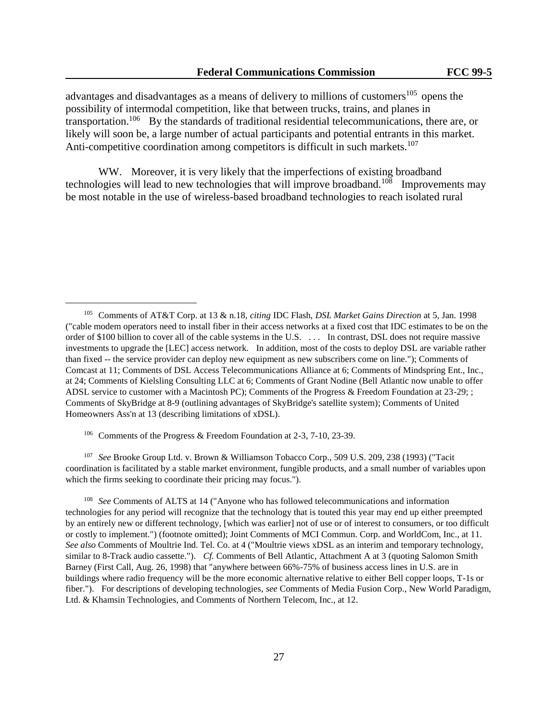advantages and disadvantages as a means of delivery to millions of customers<sup>105</sup> opens the possibility of intermodal competition, like that between trucks, trains, and planes in transportation.<sup>106</sup> By the standards of traditional residential telecommunications, there are, or likely will soon be, a large number of actual participants and potential entrants in this market. Anti-competitive coordination among competitors is difficult in such markets.<sup>107</sup>

WW. Moreover, it is very likely that the imperfections of existing broadband technologies will lead to new technologies that will improve broadband.<sup>108</sup> Improvements may be most notable in the use of wireless-based broadband technologies to reach isolated rural

<sup>106</sup> Comments of the Progress & Freedom Foundation at 2-3, 7-10, 23-39.

L,

<sup>107</sup> *See* Brooke Group Ltd. v. Brown & Williamson Tobacco Corp., 509 U.S. 209, 238 (1993) ("Tacit coordination is facilitated by a stable market environment, fungible products, and a small number of variables upon which the firms seeking to coordinate their pricing may focus.").

<sup>108</sup> *See* Comments of ALTS at 14 ("Anyone who has followed telecommunications and information technologies for any period will recognize that the technology that is touted this year may end up either preempted by an entirely new or different technology, [which was earlier] not of use or of interest to consumers, or too difficult or costly to implement.") (footnote omitted); Joint Comments of MCI Commun. Corp. and WorldCom, Inc., at 11. *See also* Comments of Moultrie Ind. Tel. Co. at 4 ("Moultrie views xDSL as an interim and temporary technology, similar to 8-Track audio cassette."). *Cf.* Comments of Bell Atlantic, Attachment A at 3 (quoting Salomon Smith Barney (First Call, Aug. 26, 1998) that "anywhere between 66%-75% of business access lines in U.S. are in buildings where radio frequency will be the more economic alternative relative to either Bell copper loops, T-1s or fiber."). For descriptions of developing technologies, *see* Comments of Media Fusion Corp., New World Paradigm, Ltd. & Khamsin Technologies, and Comments of Northern Telecom, Inc., at 12.

<sup>105</sup> Comments of AT&T Corp. at 13 & n.18, *citing* IDC Flash, *DSL Market Gains Direction* at 5, Jan. 1998 ("cable modem operators need to install fiber in their access networks at a fixed cost that IDC estimates to be on the order of \$100 billion to cover all of the cable systems in the U.S. . . . In contrast, DSL does not require massive investments to upgrade the [LEC] access network. In addition, most of the costs to deploy DSL are variable rather than fixed -- the service provider can deploy new equipment as new subscribers come on line."); Comments of Comcast at 11; Comments of DSL Access Telecommunications Alliance at 6; Comments of Mindspring Ent., Inc., at 24; Comments of Kielsling Consulting LLC at 6; Comments of Grant Nodine (Bell Atlantic now unable to offer ADSL service to customer with a Macintosh PC); Comments of the Progress & Freedom Foundation at 23-29; ; Comments of SkyBridge at 8-9 (outlining advantages of SkyBridge's satellite system); Comments of United Homeowners Ass'n at 13 (describing limitations of xDSL).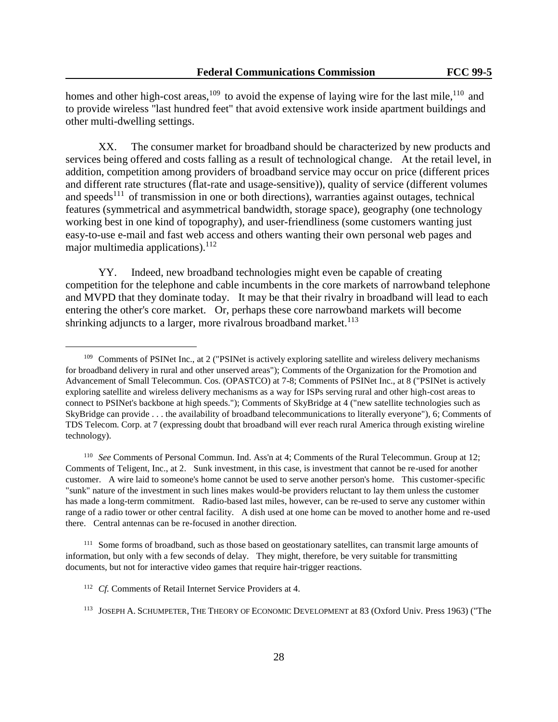homes and other high-cost areas,<sup>109</sup> to avoid the expense of laying wire for the last mile,<sup>110</sup> and to provide wireless "last hundred feet" that avoid extensive work inside apartment buildings and other multi-dwelling settings.

XX. The consumer market for broadband should be characterized by new products and services being offered and costs falling as a result of technological change. At the retail level, in addition, competition among providers of broadband service may occur on price (different prices and different rate structures (flat-rate and usage-sensitive)), quality of service (different volumes and speeds<sup>111</sup> of transmission in one or both directions), warranties against outages, technical features (symmetrical and asymmetrical bandwidth, storage space), geography (one technology working best in one kind of topography), and user-friendliness (some customers wanting just easy-to-use e-mail and fast web access and others wanting their own personal web pages and major multimedia applications). $^{112}$ 

YY. Indeed, new broadband technologies might even be capable of creating competition for the telephone and cable incumbents in the core markets of narrowband telephone and MVPD that they dominate today. It may be that their rivalry in broadband will lead to each entering the other's core market. Or, perhaps these core narrowband markets will become shrinking adjuncts to a larger, more rivalrous broadband market.<sup>113</sup>

<sup>111</sup> Some forms of broadband, such as those based on geostationary satellites, can transmit large amounts of information, but only with a few seconds of delay. They might, therefore, be very suitable for transmitting documents, but not for interactive video games that require hair-trigger reactions.

<sup>&</sup>lt;sup>109</sup> Comments of PSINet Inc., at 2 ("PSINet is actively exploring satellite and wireless delivery mechanisms for broadband delivery in rural and other unserved areas"); Comments of the Organization for the Promotion and Advancement of Small Telecommun. Cos. (OPASTCO) at 7-8; Comments of PSINet Inc., at 8 ("PSINet is actively exploring satellite and wireless delivery mechanisms as a way for ISPs serving rural and other high-cost areas to connect to PSINet's backbone at high speeds."); Comments of SkyBridge at 4 ("new satellite technologies such as SkyBridge can provide . . . the availability of broadband telecommunications to literally everyone"), 6; Comments of TDS Telecom. Corp. at 7 (expressing doubt that broadband will ever reach rural America through existing wireline technology).

<sup>110</sup> *See* Comments of Personal Commun. Ind. Ass'n at 4; Comments of the Rural Telecommun. Group at 12; Comments of Teligent, Inc., at 2. Sunk investment, in this case, is investment that cannot be re-used for another customer. A wire laid to someone's home cannot be used to serve another person's home. This customer-specific "sunk" nature of the investment in such lines makes would-be providers reluctant to lay them unless the customer has made a long-term commitment. Radio-based last miles, however, can be re-used to serve any customer within range of a radio tower or other central facility. A dish used at one home can be moved to another home and re-used there. Central antennas can be re-focused in another direction.

<sup>&</sup>lt;sup>112</sup> *Cf.* Comments of Retail Internet Service Providers at 4.

<sup>113</sup> JOSEPH A. SCHUMPETER, THE THEORY OF ECONOMIC DEVELOPMENT at 83 (Oxford Univ. Press 1963) ("The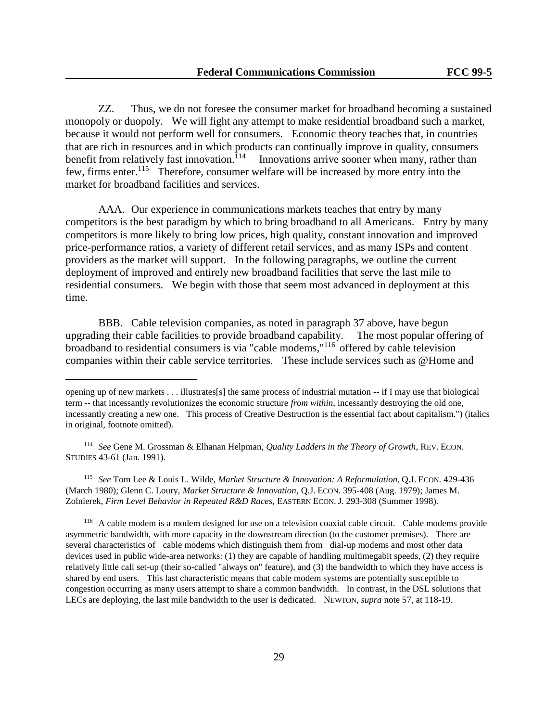ZZ. Thus, we do not foresee the consumer market for broadband becoming a sustained monopoly or duopoly. We will fight any attempt to make residential broadband such a market, because it would not perform well for consumers. Economic theory teaches that, in countries that are rich in resources and in which products can continually improve in quality, consumers benefit from relatively fast innovation.<sup>114</sup> Innovations arrive sooner when many, rather than few, firms enter.<sup>115</sup> Therefore, consumer welfare will be increased by more entry into the market for broadband facilities and services.

AAA. Our experience in communications markets teaches that entry by many competitors is the best paradigm by which to bring broadband to all Americans. Entry by many competitors is more likely to bring low prices, high quality, constant innovation and improved price-performance ratios, a variety of different retail services, and as many ISPs and content providers as the market will support. In the following paragraphs, we outline the current deployment of improved and entirely new broadband facilities that serve the last mile to residential consumers. We begin with those that seem most advanced in deployment at this time.

BBB. Cable television companies, as noted in paragraph 37 above, have begun upgrading their cable facilities to provide broadband capability. The most popular offering of broadband to residential consumers is via "cable modems,"<sup>116</sup> offered by cable television companies within their cable service territories. These include services such as @Home and

<sup>114</sup> *See* Gene M. Grossman & Elhanan Helpman, *Quality Ladders in the Theory of Growth*, REV. ECON. STUDIES 43-61 (Jan. 1991).

L,

<sup>115</sup> *See* Tom Lee & Louis L. Wilde, *Market Structure & Innovation: A Reformulation*, Q.J. ECON. 429-436 (March 1980); Glenn C. Loury, *Market Structure & Innovation*, Q.J. ECON. 395-408 (Aug. 1979); James M. Zolnierek, *Firm Level Behavior in Repeated R&D Races*, EASTERN ECON. J. 293-308 (Summer 1998).

<sup>116</sup> A cable modem is a modem designed for use on a television coaxial cable circuit. Cable modems provide asymmetric bandwidth, with more capacity in the downstream direction (to the customer premises). There are several characteristics of cable modems which distinguish them from dial-up modems and most other data devices used in public wide-area networks: (1) they are capable of handling multimegabit speeds, (2) they require relatively little call set-up (their so-called "always on" feature), and (3) the bandwidth to which they have access is shared by end users. This last characteristic means that cable modem systems are potentially susceptible to congestion occurring as many users attempt to share a common bandwidth. In contrast, in the DSL solutions that LECs are deploying, the last mile bandwidth to the user is dedicated. NEWTON, *supra* note 57*,* at 118-19.

opening up of new markets . . . illustrates[s] the same process of industrial mutation -- if I may use that biological term -- that incessantly revolutionizes the economic structure *from within*, incessantly destroying the old one, incessantly creating a new one. This process of Creative Destruction is the essential fact about capitalism.") (italics in original, footnote omitted).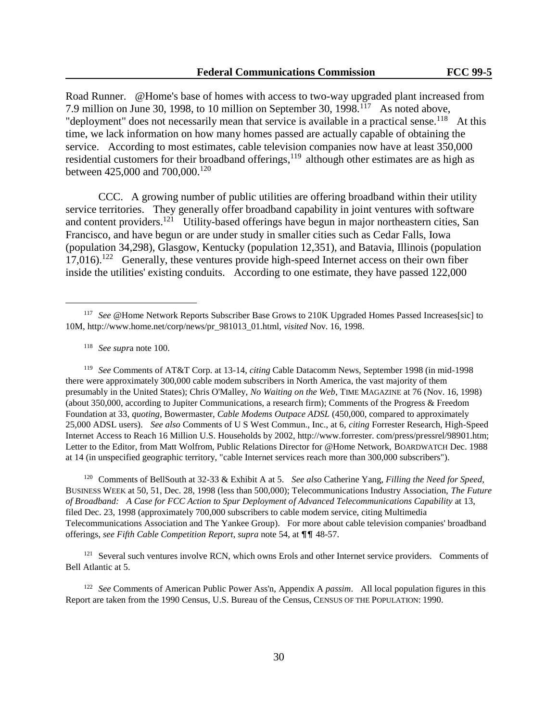Road Runner. @Home's base of homes with access to two-way upgraded plant increased from 7.9 million on June 30, 1998, to 10 million on September 30, 1998.<sup>117</sup> As noted above, "deployment" does not necessarily mean that service is available in a practical sense.<sup>118</sup> At this time, we lack information on how many homes passed are actually capable of obtaining the service. According to most estimates, cable television companies now have at least 350,000 residential customers for their broadband offerings,<sup>119</sup> although other estimates are as high as between 425,000 and 700,000.<sup>120</sup>

 CCC. A growing number of public utilities are offering broadband within their utility service territories. They generally offer broadband capability in joint ventures with software and content providers.<sup>121</sup> Utility-based offerings have begun in major northeastern cities, San Francisco, and have begun or are under study in smaller cities such as Cedar Falls, Iowa (population 34,298), Glasgow, Kentucky (population 12,351), and Batavia, Illinois (population 17,016).<sup>122</sup> Generally, these ventures provide high-speed Internet access on their own fiber inside the utilities' existing conduits. According to one estimate, they have passed 122,000

<sup>118</sup> *See supr*a note 100.

L,

<sup>119</sup> *See* Comments of AT&T Corp. at 13-14, *citing* Cable Datacomm News, September 1998 (in mid-1998 there were approximately 300,000 cable modem subscribers in North America, the vast majority of them presumably in the United States); Chris O'Malley, *No Waiting on the Web*, TIME MAGAZINE at 76 (Nov. 16, 1998) (about 350,000, according to Jupiter Communications, a research firm); Comments of the Progress & Freedom Foundation at 33, *quoting*, Bowermaster, *Cable Modems Outpace ADSL* (450,000, compared to approximately 25,000 ADSL users). *See also* Comments of U S West Commun., Inc., at 6, *citing* Forrester Research, High-Speed Internet Access to Reach 16 Million U.S. Households by 2002, http://www.forrester. com/press/pressrel/98901.htm; Letter to the Editor, from Matt Wolfrom, Public Relations Director for @Home Network, BOARDWATCH Dec. 1988 at 14 (in unspecified geographic territory, "cable Internet services reach more than 300,000 subscribers").

<sup>120</sup> Comments of BellSouth at 32-33 & Exhibit A at 5. *See also* Catherine Yang, *Filling the Need for Speed*, BUSINESS WEEK at 50, 51, Dec. 28, 1998 (less than 500,000); Telecommunications Industry Association, *The Future of Broadband: A Case for FCC Action to Spur Deployment of Advanced Telecommunications Capability* at 13, filed Dec. 23, 1998 (approximately 700,000 subscribers to cable modem service, citing Multimedia Telecommunications Association and The Yankee Group). For more about cable television companies' broadband offerings, *see Fifth Cable Competition Report*, *supra* note 54, at  $\P\P$  48-57.

<sup>121</sup> Several such ventures involve RCN, which owns Erols and other Internet service providers. Comments of Bell Atlantic at 5.

<sup>122</sup> *See* Comments of American Public Power Ass'n, Appendix A *passim*. All local population figures in this Report are taken from the 1990 Census, U.S. Bureau of the Census, CENSUS OF THE POPULATION: 1990.

<sup>117</sup> *See* @Home Network Reports Subscriber Base Grows to 210K Upgraded Homes Passed Increases[sic] to 10M, http://www.home.net/corp/news/pr\_981013\_01.html, *visited* Nov. 16, 1998.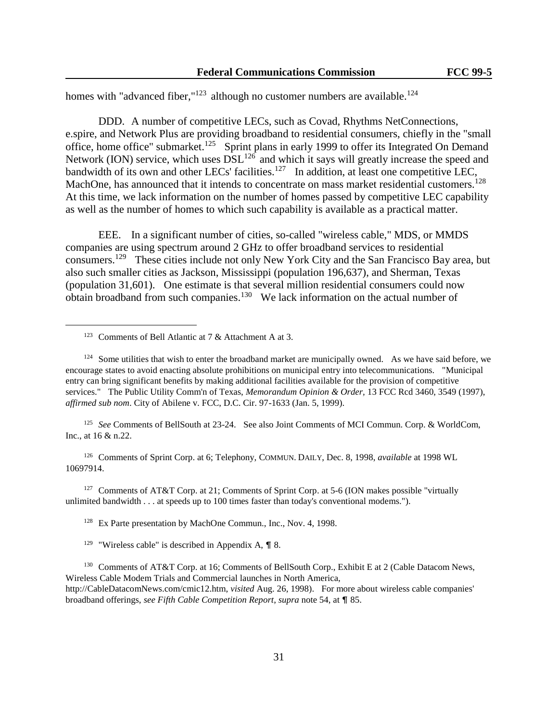homes with "advanced fiber," $123$  although no customer numbers are available.<sup>124</sup>

 DDD. A number of competitive LECs, such as Covad, Rhythms NetConnections, e.spire, and Network Plus are providing broadband to residential consumers, chiefly in the "small office, home office" submarket.<sup>125</sup> Sprint plans in early 1999 to offer its Integrated On Demand Network (ION) service, which uses  $DSL^{126}$  and which it says will greatly increase the speed and bandwidth of its own and other LECs' facilities.<sup>127</sup> In addition, at least one competitive LEC, MachOne, has announced that it intends to concentrate on mass market residential customers.<sup>128</sup> At this time, we lack information on the number of homes passed by competitive LEC capability as well as the number of homes to which such capability is available as a practical matter.

 EEE. In a significant number of cities, so-called "wireless cable," MDS, or MMDS companies are using spectrum around 2 GHz to offer broadband services to residential consumers.<sup>129</sup> These cities include not only New York City and the San Francisco Bay area, but also such smaller cities as Jackson, Mississippi (population 196,637), and Sherman, Texas (population 31,601). One estimate is that several million residential consumers could now obtain broadband from such companies.<sup>130</sup> We lack information on the actual number of

L,

<sup>125</sup> *See* Comments of BellSouth at 23-24. See also Joint Comments of MCI Commun. Corp. & WorldCom, Inc., at 16 & n.22.

<sup>126</sup> Comments of Sprint Corp. at 6; Telephony, COMMUN. DAILY, Dec. 8, 1998, *available* at 1998 WL 10697914.

<sup>127</sup> Comments of AT&T Corp. at 21; Comments of Sprint Corp. at 5-6 (ION makes possible "virtually unlimited bandwidth . . . at speeds up to 100 times faster than today's conventional modems.").

<sup>128</sup> Ex Parte presentation by MachOne Commun., Inc., Nov. 4, 1998.

<sup>129</sup> "Wireless cable" is described in Appendix A,  $\P$  8.

<sup>130</sup> Comments of AT&T Corp. at 16; Comments of BellSouth Corp., Exhibit E at 2 (Cable Datacom News, Wireless Cable Modem Trials and Commercial launches in North America, http://CableDatacomNews.com/cmic12.htm, *visited* Aug. 26, 1998). For more about wireless cable companies' broadband offerings, *see Fifth Cable Competition Report*, *supra* note 54, at  $\P$  85.

<sup>&</sup>lt;sup>123</sup> Comments of Bell Atlantic at 7  $\&$  Attachment A at 3.

 $124$  Some utilities that wish to enter the broadband market are municipally owned. As we have said before, we encourage states to avoid enacting absolute prohibitions on municipal entry into telecommunications. "Municipal entry can bring significant benefits by making additional facilities available for the provision of competitive services." The Public Utility Comm'n of Texas, *Memorandum Opinion & Order,* 13 FCC Rcd 3460, 3549 (1997), *affirmed sub nom*. City of Abilene v. FCC, D.C. Cir. 97-1633 (Jan. 5, 1999).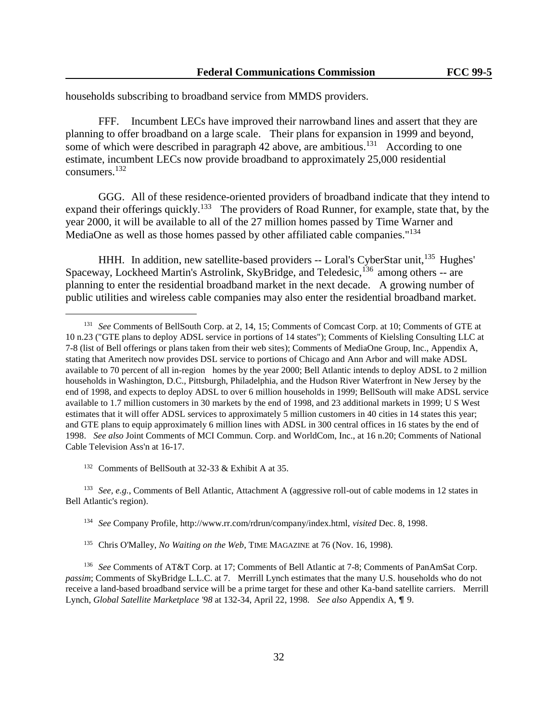households subscribing to broadband service from MMDS providers.

 FFF. Incumbent LECs have improved their narrowband lines and assert that they are planning to offer broadband on a large scale. Their plans for expansion in 1999 and beyond, some of which were described in paragraph 42 above, are ambitious.<sup>131</sup> According to one estimate, incumbent LECs now provide broadband to approximately 25,000 residential consumers.<sup>132</sup>

GGG. All of these residence-oriented providers of broadband indicate that they intend to expand their offerings quickly.<sup>133</sup> The providers of Road Runner, for example, state that, by the year 2000, it will be available to all of the 27 million homes passed by Time Warner and MediaOne as well as those homes passed by other affiliated cable companies."<sup>134</sup>

HHH. In addition, new satellite-based providers -- Loral's CyberStar unit, <sup>135</sup> Hughes' Spaceway, Lockheed Martin's Astrolink, SkyBridge, and Teledesic,<sup>136</sup> among others -- are planning to enter the residential broadband market in the next decade. A growing number of public utilities and wireless cable companies may also enter the residential broadband market.

<sup>132</sup> Comments of BellSouth at 32-33 & Exhibit A at 35.

L,

<sup>133</sup> *See, e.g.*, Comments of Bell Atlantic, Attachment A (aggressive roll-out of cable modems in 12 states in Bell Atlantic's region).

- <sup>134</sup> *See* Company Profile, http://www.rr.com/rdrun/company/index.html, *visited* Dec. 8, 1998.
- <sup>135</sup> Chris O'Malley, *No Waiting on the Web*, TIME MAGAZINE at 76 (Nov. 16, 1998).

<sup>131</sup> *See* Comments of BellSouth Corp. at 2, 14, 15; Comments of Comcast Corp. at 10; Comments of GTE at 10 n.23 ("GTE plans to deploy ADSL service in portions of 14 states"); Comments of Kielsling Consulting LLC at 7-8 (list of Bell offerings or plans taken from their web sites); Comments of MediaOne Group, Inc., Appendix A, stating that Ameritech now provides DSL service to portions of Chicago and Ann Arbor and will make ADSL available to 70 percent of all in-region homes by the year 2000; Bell Atlantic intends to deploy ADSL to 2 million households in Washington, D.C., Pittsburgh, Philadelphia, and the Hudson River Waterfront in New Jersey by the end of 1998, and expects to deploy ADSL to over 6 million households in 1999; BellSouth will make ADSL service available to 1.7 million customers in 30 markets by the end of 1998, and 23 additional markets in 1999; U S West estimates that it will offer ADSL services to approximately 5 million customers in 40 cities in 14 states this year; and GTE plans to equip approximately 6 million lines with ADSL in 300 central offices in 16 states by the end of 1998. *See also* Joint Comments of MCI Commun. Corp. and WorldCom, Inc., at 16 n.20; Comments of National Cable Television Ass'n at 16-17.

<sup>136</sup> *See* Comments of AT&T Corp. at 17; Comments of Bell Atlantic at 7-8; Comments of PanAmSat Corp. *passim*; Comments of SkyBridge L.L.C. at 7. Merrill Lynch estimates that the many U.S. households who do not receive a land-based broadband service will be a prime target for these and other Ka-band satellite carriers. Merrill Lynch, *Global Satellite Marketplace '98* at 132-34, April 22, 1998. *See also* Appendix A, ¶ 9.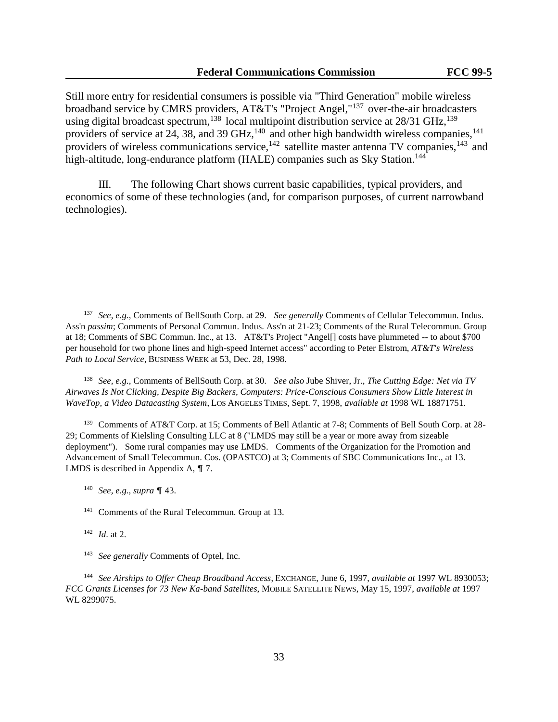Still more entry for residential consumers is possible via "Third Generation" mobile wireless broadband service by CMRS providers, AT&T's "Project Angel,"<sup>137</sup> over-the-air broadcasters using digital broadcast spectrum,<sup>138</sup> local multipoint distribution service at  $28/31$  GHz,<sup>139</sup> providers of service at 24, 38, and 39 GHz,<sup>140</sup> and other high bandwidth wireless companies,<sup>141</sup> providers of wireless communications service, $142$  satellite master antenna TV companies, $143$  and high-altitude, long-endurance platform (HALE) companies such as Sky Station.<sup>144</sup>

III. The following Chart shows current basic capabilities, typical providers, and economics of some of these technologies (and, for comparison purposes, of current narrowband technologies).

<sup>138</sup> *See, e.g.*, Comments of BellSouth Corp. at 30. *See also* Jube Shiver, Jr., *The Cutting Edge: Net via TV Airwaves Is Not Clicking, Despite Big Backers, Computers: Price-Conscious Consumers Show Little Interest in WaveTop, a Video Datacasting System*, LOS ANGELES TIMES, Sept. 7, 1998, *available at* 1998 WL 18871751.

<sup>139</sup> Comments of AT&T Corp. at 15; Comments of Bell Atlantic at 7-8; Comments of Bell South Corp. at 28- 29; Comments of Kielsling Consulting LLC at 8 ("LMDS may still be a year or more away from sizeable deployment"). Some rural companies may use LMDS. Comments of the Organization for the Promotion and Advancement of Small Telecommun. Cos. (OPASTCO) at 3; Comments of SBC Communications Inc., at 13. LMDS is described in Appendix A,  $\P$  7.

<sup>142</sup> *Id*. at 2.

L,

<sup>143</sup> *See generally* Comments of Optel, Inc.

<sup>137</sup> *See, e.g.*, Comments of BellSouth Corp. at 29. *See generally* Comments of Cellular Telecommun. Indus. Ass'n *passim*; Comments of Personal Commun. Indus. Ass'n at 21-23; Comments of the Rural Telecommun. Group at 18; Comments of SBC Commun. Inc., at 13. AT&T's Project "Angel[] costs have plummeted -- to about \$700 per household for two phone lines and high-speed Internet access" according to Peter Elstrom, *AT&T's Wireless Path to Local Service*, BUSINESS WEEK at 53, Dec. 28, 1998.

<sup>&</sup>lt;sup>140</sup> *See, e.g., supra* ¶ 43.

<sup>141</sup> Comments of the Rural Telecommun. Group at 13.

<sup>144</sup> *See Airships to Offer Cheap Broadband Access*, EXCHANGE, June 6, 1997, *available at* 1997 WL 8930053; *FCC Grants Licenses for 73 New Ka-band Satellites*, MOBILE SATELLITE NEWS, May 15, 1997, *available at* 1997 WL 8299075.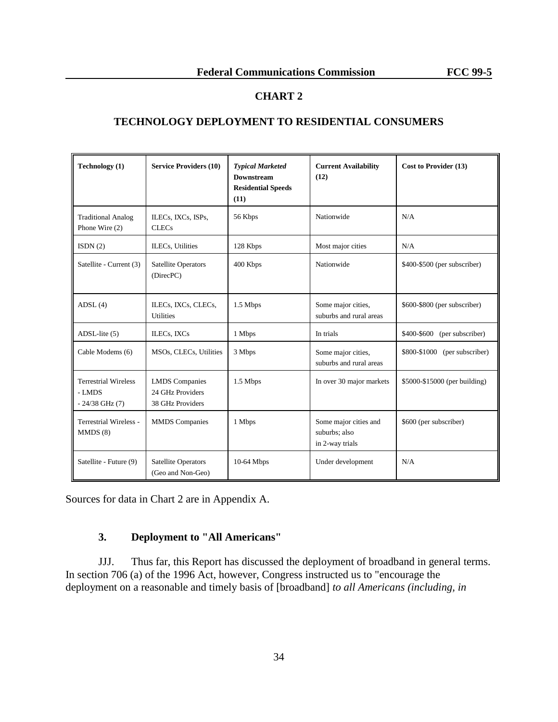# **CHART 2**

# **TECHNOLOGY DEPLOYMENT TO RESIDENTIAL CONSUMERS**

| Technology (1)                                              | <b>Service Providers (10)</b>                                 | <b>Typical Marketed</b><br><b>Downstream</b><br><b>Residential Speeds</b><br>(11) | <b>Current Availability</b><br>(12)                       | Cost to Provider (13)            |
|-------------------------------------------------------------|---------------------------------------------------------------|-----------------------------------------------------------------------------------|-----------------------------------------------------------|----------------------------------|
| <b>Traditional Analog</b><br>Phone Wire (2)                 | ILECs, IXCs, ISPs,<br><b>CLECs</b>                            | 56 Kbps                                                                           | Nationwide                                                | N/A                              |
| ISDN(2)                                                     | ILECs, Utilities                                              | 128 Kbps                                                                          | Most major cities                                         | N/A                              |
| Satellite - Current (3)                                     | <b>Satellite Operators</b><br>(DirecPC)                       | 400 Kbps                                                                          | Nationwide                                                | \$400-\$500 (per subscriber)     |
| ADSL(4)                                                     | ILECs, IXCs, CLECs,<br><b>Utilities</b>                       | 1.5 Mbps                                                                          | Some major cities,<br>suburbs and rural areas             | \$600-\$800 (per subscriber)     |
| $ADSL$ -lite $(5)$                                          | ILECs, IXCs                                                   | 1 Mbps                                                                            | In trials                                                 | \$400-\$600<br>(per subscriber)  |
| Cable Modems (6)                                            | MSOs, CLECs, Utilities                                        | 3 Mbps                                                                            | Some major cities,<br>suburbs and rural areas             | \$800-\$1000<br>(per subscriber) |
| <b>Terrestrial Wireless</b><br>- LMDS<br>$-24/38$ GHz $(7)$ | <b>LMDS</b> Companies<br>24 GHz Providers<br>38 GHz Providers | 1.5 Mbps                                                                          | In over 30 major markets                                  | \$5000-\$15000 (per building)    |
| <b>Terrestrial Wireless -</b><br>MMDS(8)                    | <b>MMDS</b> Companies                                         | 1 Mbps                                                                            | Some major cities and<br>suburbs; also<br>in 2-way trials | \$600 (per subscriber)           |
| Satellite - Future (9)                                      | <b>Satellite Operators</b><br>(Geo and Non-Geo)               | 10-64 Mbps                                                                        | Under development                                         | N/A                              |

Sources for data in Chart 2 are in Appendix A.

# **3. Deployment to "All Americans"**

JJJ. Thus far, this Report has discussed the deployment of broadband in general terms. In section 706 (a) of the 1996 Act, however, Congress instructed us to "encourage the deployment on a reasonable and timely basis of [broadband] *to all Americans (including, in*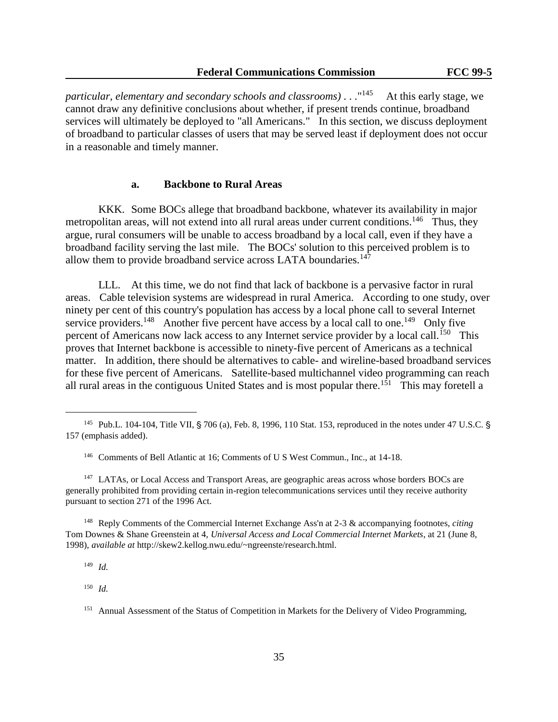*particular, elementary and secondary schools and classrooms)* . . ."<sup>145</sup> At this early stage, we cannot draw any definitive conclusions about whether, if present trends continue, broadband services will ultimately be deployed to "all Americans." In this section, we discuss deployment of broadband to particular classes of users that may be served least if deployment does not occur in a reasonable and timely manner.

## **a. Backbone to Rural Areas**

KKK. Some BOCs allege that broadband backbone, whatever its availability in major metropolitan areas, will not extend into all rural areas under current conditions.<sup>146</sup> Thus, they argue, rural consumers will be unable to access broadband by a local call, even if they have a broadband facility serving the last mile. The BOCs' solution to this perceived problem is to allow them to provide broadband service across LATA boundaries.<sup>147</sup>

LLL. At this time, we do not find that lack of backbone is a pervasive factor in rural areas. Cable television systems are widespread in rural America. According to one study, over ninety per cent of this country's population has access by a local phone call to several Internet service providers.<sup>148</sup> Another five percent have access by a local call to one.<sup>149</sup> Only five percent of Americans now lack access to any Internet service provider by a local call.<sup>150</sup> This proves that Internet backbone is accessible to ninety-five percent of Americans as a technical matter. In addition, there should be alternatives to cable- and wireline-based broadband services for these five percent of Americans. Satellite-based multichannel video programming can reach all rural areas in the contiguous United States and is most popular there.<sup>151</sup> This may foretell a

<sup>149</sup> *Id.*

L,

<sup>150</sup> *Id.*

<sup>&</sup>lt;sup>145</sup> Pub.L. 104-104, Title VII, § 706 (a), Feb. 8, 1996, 110 Stat. 153, reproduced in the notes under 47 U.S.C. § 157 (emphasis added).

<sup>146</sup> Comments of Bell Atlantic at 16; Comments of U S West Commun., Inc., at 14-18.

<sup>&</sup>lt;sup>147</sup> LATAs, or Local Access and Transport Areas, are geographic areas across whose borders BOCs are generally prohibited from providing certain in-region telecommunications services until they receive authority pursuant to section 271 of the 1996 Act.

<sup>148</sup> Reply Comments of the Commercial Internet Exchange Ass'n at 2-3 & accompanying footnotes, *citing* Tom Downes & Shane Greenstein at 4, *Universal Access and Local Commercial Internet Markets*, at 21 (June 8, 1998), *available at* http://skew2.kellog.nwu.edu/~ngreenste/research.html.

<sup>&</sup>lt;sup>151</sup> Annual Assessment of the Status of Competition in Markets for the Delivery of Video Programming,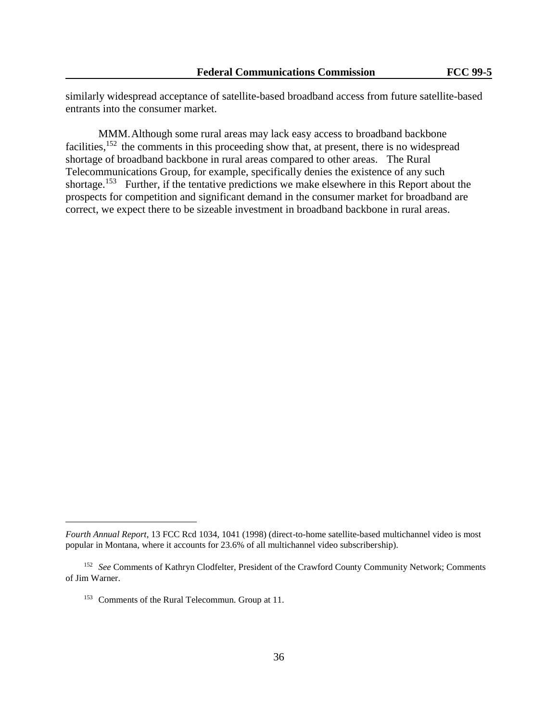similarly widespread acceptance of satellite-based broadband access from future satellite-based entrants into the consumer market.

MMM.Although some rural areas may lack easy access to broadband backbone facilities,  $152$  the comments in this proceeding show that, at present, there is no widespread shortage of broadband backbone in rural areas compared to other areas. The Rural Telecommunications Group, for example, specifically denies the existence of any such shortage.<sup>153</sup> Further, if the tentative predictions we make elsewhere in this Report about the prospects for competition and significant demand in the consumer market for broadband are correct, we expect there to be sizeable investment in broadband backbone in rural areas.

*Fourth Annual Report*, 13 FCC Rcd 1034, 1041 (1998) (direct-to-home satellite-based multichannel video is most popular in Montana, where it accounts for 23.6% of all multichannel video subscribership).

<sup>152</sup> *See* Comments of Kathryn Clodfelter, President of the Crawford County Community Network; Comments of Jim Warner.

<sup>153</sup> Comments of the Rural Telecommun. Group at 11.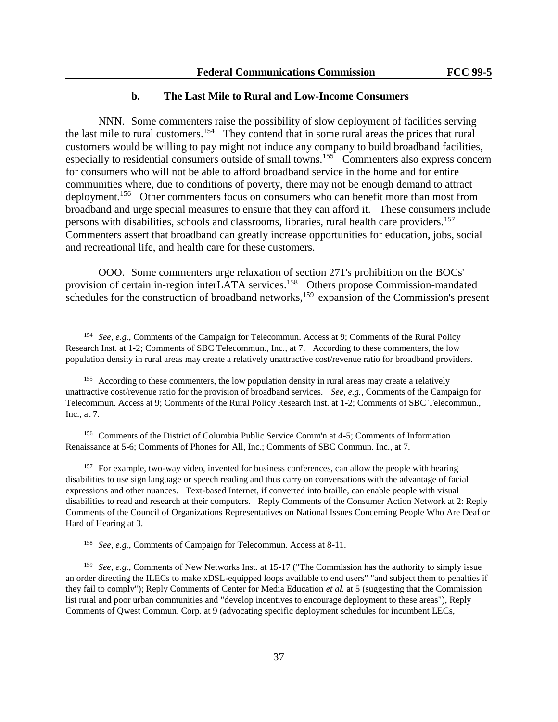#### **b. The Last Mile to Rural and Low-Income Consumers**

NNN. Some commenters raise the possibility of slow deployment of facilities serving the last mile to rural customers.<sup>154</sup> They contend that in some rural areas the prices that rural customers would be willing to pay might not induce any company to build broadband facilities, especially to residential consumers outside of small towns.<sup>155</sup> Commenters also express concern for consumers who will not be able to afford broadband service in the home and for entire communities where, due to conditions of poverty, there may not be enough demand to attract deployment.<sup>156</sup> Other commenters focus on consumers who can benefit more than most from broadband and urge special measures to ensure that they can afford it. These consumers include persons with disabilities, schools and classrooms, libraries, rural health care providers.<sup>157</sup> Commenters assert that broadband can greatly increase opportunities for education, jobs, social and recreational life, and health care for these customers.

OOO. Some commenters urge relaxation of section 271's prohibition on the BOCs' provision of certain in-region interLATA services.<sup>158</sup> Others propose Commission-mandated schedules for the construction of broadband networks,<sup>159</sup> expansion of the Commission's present

<sup>156</sup> Comments of the District of Columbia Public Service Comm'n at 4-5; Comments of Information Renaissance at 5-6; Comments of Phones for All, Inc.; Comments of SBC Commun. Inc., at 7.

 $157$  For example, two-way video, invented for business conferences, can allow the people with hearing disabilities to use sign language or speech reading and thus carry on conversations with the advantage of facial expressions and other nuances. Text-based Internet, if converted into braille, can enable people with visual disabilities to read and research at their computers. Reply Comments of the Consumer Action Network at 2: Reply Comments of the Council of Organizations Representatives on National Issues Concerning People Who Are Deaf or Hard of Hearing at 3.

<sup>158</sup> *See, e.g.*, Comments of Campaign for Telecommun. Access at 8-11.

l,

<sup>159</sup> *See*, *e.g.*, Comments of New Networks Inst. at 15-17 ("The Commission has the authority to simply issue an order directing the ILECs to make xDSL-equipped loops available to end users" "and subject them to penalties if they fail to comply"); Reply Comments of Center for Media Education *et al.* at 5 (suggesting that the Commission list rural and poor urban communities and "develop incentives to encourage deployment to these areas"), Reply Comments of Qwest Commun. Corp. at 9 (advocating specific deployment schedules for incumbent LECs,

<sup>154</sup> *See, e.g.*, Comments of the Campaign for Telecommun. Access at 9; Comments of the Rural Policy Research Inst. at 1-2; Comments of SBC Telecommun., Inc., at 7. According to these commenters, the low population density in rural areas may create a relatively unattractive cost/revenue ratio for broadband providers.

<sup>&</sup>lt;sup>155</sup> According to these commenters, the low population density in rural areas may create a relatively unattractive cost/revenue ratio for the provision of broadband services. *See, e.g.*, Comments of the Campaign for Telecommun. Access at 9; Comments of the Rural Policy Research Inst. at 1-2; Comments of SBC Telecommun., Inc., at 7.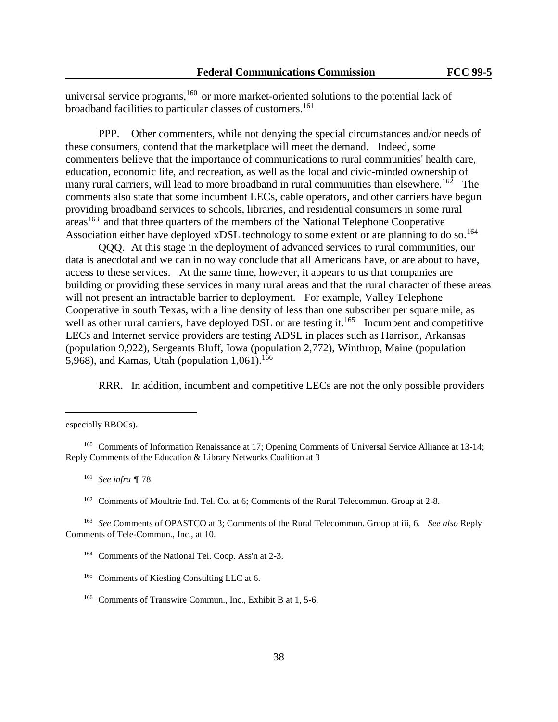universal service programs,<sup>160</sup> or more market-oriented solutions to the potential lack of broadband facilities to particular classes of customers.<sup>161</sup>

PPP. Other commenters, while not denying the special circumstances and/or needs of these consumers, contend that the marketplace will meet the demand. Indeed, some commenters believe that the importance of communications to rural communities' health care, education, economic life, and recreation, as well as the local and civic-minded ownership of many rural carriers, will lead to more broadband in rural communities than elsewhere.<sup>162</sup> The comments also state that some incumbent LECs, cable operators, and other carriers have begun providing broadband services to schools, libraries, and residential consumers in some rural  $a$ reas<sup>163</sup> and that three quarters of the members of the National Telephone Cooperative Association either have deployed xDSL technology to some extent or are planning to do so.<sup>164</sup>

QQQ. At this stage in the deployment of advanced services to rural communities, our data is anecdotal and we can in no way conclude that all Americans have, or are about to have, access to these services. At the same time, however, it appears to us that companies are building or providing these services in many rural areas and that the rural character of these areas will not present an intractable barrier to deployment. For example, Valley Telephone Cooperative in south Texas, with a line density of less than one subscriber per square mile, as well as other rural carriers, have deployed DSL or are testing it.<sup>165</sup> Incumbent and competitive LECs and Internet service providers are testing ADSL in places such as Harrison, Arkansas (population 9,922), Sergeants Bluff, Iowa (population 2,772), Winthrop, Maine (population 5,968), and Kamas, Utah (population  $1,061$ ).<sup>166</sup>

RRR. In addition, incumbent and competitive LECs are not the only possible providers

l,

especially RBOCs).

<sup>&</sup>lt;sup>160</sup> Comments of Information Renaissance at 17; Opening Comments of Universal Service Alliance at 13-14; Reply Comments of the Education & Library Networks Coalition at 3

<sup>&</sup>lt;sup>161</sup> *See infra* ¶ 78.

<sup>&</sup>lt;sup>162</sup> Comments of Moultrie Ind. Tel. Co. at 6; Comments of the Rural Telecommun. Group at 2-8.

<sup>163</sup> *See* Comments of OPASTCO at 3; Comments of the Rural Telecommun. Group at iii, 6. *See also* Reply Comments of Tele-Commun., Inc., at 10.

<sup>164</sup> Comments of the National Tel. Coop. Ass'n at 2-3.

<sup>&</sup>lt;sup>165</sup> Comments of Kiesling Consulting LLC at 6.

<sup>166</sup> Comments of Transwire Commun., Inc., Exhibit B at 1, 5-6.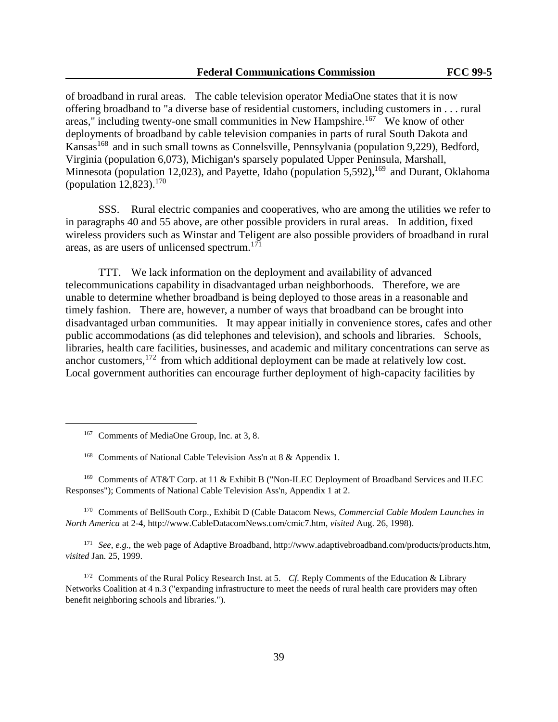of broadband in rural areas. The cable television operator MediaOne states that it is now offering broadband to "a diverse base of residential customers, including customers in . . . rural areas," including twenty-one small communities in New Hampshire.<sup>167</sup> We know of other deployments of broadband by cable television companies in parts of rural South Dakota and Kansas<sup>168</sup> and in such small towns as Connelsville, Pennsylvania (population 9,229), Bedford, Virginia (population 6,073), Michigan's sparsely populated Upper Peninsula, Marshall, Minnesota (population 12,023), and Payette, Idaho (population 5,592),  $^{169}$  and Durant, Oklahoma (population  $12,823$ ).<sup>170</sup>

SSS. Rural electric companies and cooperatives, who are among the utilities we refer to in paragraphs 40 and 55 above, are other possible providers in rural areas. In addition, fixed wireless providers such as Winstar and Teligent are also possible providers of broadband in rural areas, as are users of unlicensed spectrum.<sup>171</sup>

TTT. We lack information on the deployment and availability of advanced telecommunications capability in disadvantaged urban neighborhoods. Therefore, we are unable to determine whether broadband is being deployed to those areas in a reasonable and timely fashion. There are, however, a number of ways that broadband can be brought into disadvantaged urban communities. It may appear initially in convenience stores, cafes and other public accommodations (as did telephones and television), and schools and libraries. Schools, libraries, health care facilities, businesses, and academic and military concentrations can serve as anchor customers,<sup>172</sup> from which additional deployment can be made at relatively low cost. Local government authorities can encourage further deployment of high-capacity facilities by

l,

<sup>169</sup> Comments of AT&T Corp. at 11 & Exhibit B ("Non-ILEC Deployment of Broadband Services and ILEC Responses"); Comments of National Cable Television Ass'n, Appendix 1 at 2.

<sup>170</sup> Comments of BellSouth Corp., Exhibit D (Cable Datacom News, *Commercial Cable Modem Launches in North America* at 2-4, http://www.CableDatacomNews.com/cmic7.htm, *visited* Aug. 26, 1998).

<sup>171</sup> *See, e.g.,* the web page of Adaptive Broadband, http://www.adaptivebroadband.com/products/products.htm, *visited* Jan. 25, 1999.

<sup>172</sup> Comments of the Rural Policy Research Inst. at 5. *Cf.* Reply Comments of the Education & Library Networks Coalition at 4 n.3 ("expanding infrastructure to meet the needs of rural health care providers may often benefit neighboring schools and libraries.").

<sup>167</sup> Comments of MediaOne Group, Inc. at 3, 8.

<sup>&</sup>lt;sup>168</sup> Comments of National Cable Television Ass'n at 8 & Appendix 1.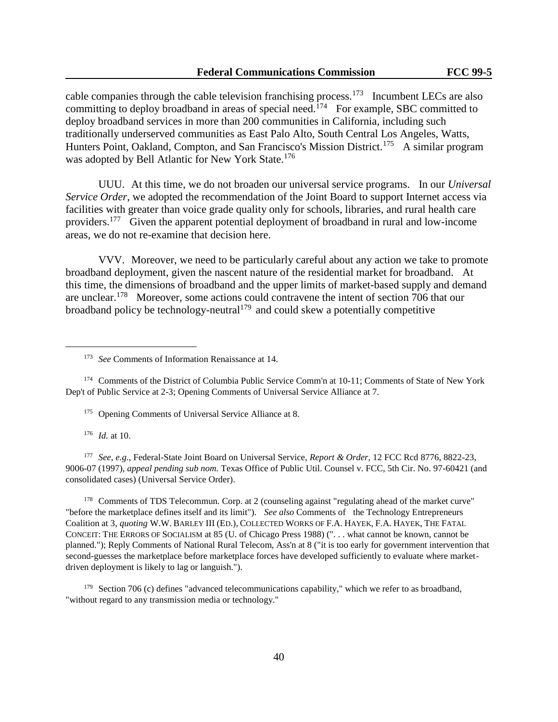cable companies through the cable television franchising process.<sup>173</sup> Incumbent LECs are also committing to deploy broadband in areas of special need.<sup>174</sup> For example, SBC committed to deploy broadband services in more than 200 communities in California, including such traditionally underserved communities as East Palo Alto, South Central Los Angeles, Watts, Hunters Point, Oakland, Compton, and San Francisco's Mission District.<sup>175</sup> A similar program was adopted by Bell Atlantic for New York State.<sup>176</sup>

UUU. At this time, we do not broaden our universal service programs. In our *Universal Service Order*, we adopted the recommendation of the Joint Board to support Internet access via facilities with greater than voice grade quality only for schools, libraries, and rural health care providers.<sup>177</sup> Given the apparent potential deployment of broadband in rural and low-income areas, we do not re-examine that decision here.

VVV. Moreover, we need to be particularly careful about any action we take to promote broadband deployment, given the nascent nature of the residential market for broadband. At this time, the dimensions of broadband and the upper limits of market-based supply and demand are unclear.<sup>178</sup> Moreover, some actions could contravene the intent of section 706 that our broadband policy be technology-neutral<sup>179</sup> and could skew a potentially competitive

<sup>174</sup> Comments of the District of Columbia Public Service Comm'n at 10-11; Comments of State of New York Dep't of Public Service at 2-3; Opening Comments of Universal Service Alliance at 7.

<sup>175</sup> Opening Comments of Universal Service Alliance at 8.

<sup>176</sup> *Id.* at 10.

l,

<sup>177</sup> *See*, *e.g.*, Federal-State Joint Board on Universal Service, *Report & Order*, 12 FCC Rcd 8776, 8822-23, 9006-07 (1997), *appeal pending sub nom.* Texas Office of Public Util. Counsel v. FCC, 5th Cir. No. 97-60421 (and consolidated cases) (Universal Service Order).

<sup>178</sup> Comments of TDS Telecommun. Corp. at 2 (counseling against "regulating ahead of the market curve" "before the marketplace defines itself and its limit"). *See also* Comments of the Technology Entrepreneurs Coalition at 3, *quoting* W.W. BARLEY III (ED.), COLLECTED WORKS OF F.A. HAYEK, F.A. HAYEK, THE FATAL CONCEIT: THE ERRORS OF SOCIALISM at 85 (U. of Chicago Press 1988) (". . . what cannot be known, cannot be planned."); Reply Comments of National Rural Telecom, Ass'n at 8 ("it is too early for government intervention that second-guesses the marketplace before marketplace forces have developed sufficiently to evaluate where marketdriven deployment is likely to lag or languish.").

<sup>179</sup> Section 706 (c) defines "advanced telecommunications capability," which we refer to as broadband, "without regard to any transmission media or technology."

<sup>173</sup> *See* Comments of Information Renaissance at 14.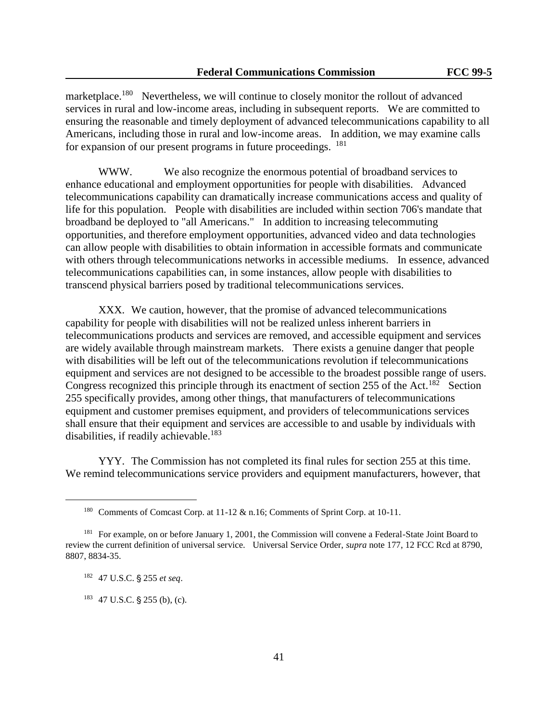marketplace.<sup>180</sup> Nevertheless, we will continue to closely monitor the rollout of advanced services in rural and low-income areas, including in subsequent reports. We are committed to ensuring the reasonable and timely deployment of advanced telecommunications capability to all Americans, including those in rural and low-income areas. In addition, we may examine calls for expansion of our present programs in future proceedings. <sup>181</sup>

WWW. We also recognize the enormous potential of broadband services to enhance educational and employment opportunities for people with disabilities. Advanced telecommunications capability can dramatically increase communications access and quality of life for this population. People with disabilities are included within section 706's mandate that broadband be deployed to "all Americans." In addition to increasing telecommuting opportunities, and therefore employment opportunities, advanced video and data technologies can allow people with disabilities to obtain information in accessible formats and communicate with others through telecommunications networks in accessible mediums. In essence, advanced telecommunications capabilities can, in some instances, allow people with disabilities to transcend physical barriers posed by traditional telecommunications services.

XXX. We caution, however, that the promise of advanced telecommunications capability for people with disabilities will not be realized unless inherent barriers in telecommunications products and services are removed, and accessible equipment and services are widely available through mainstream markets. There exists a genuine danger that people with disabilities will be left out of the telecommunications revolution if telecommunications equipment and services are not designed to be accessible to the broadest possible range of users. Congress recognized this principle through its enactment of section 255 of the Act.<sup>182</sup> Section 255 specifically provides, among other things, that manufacturers of telecommunications equipment and customer premises equipment, and providers of telecommunications services shall ensure that their equipment and services are accessible to and usable by individuals with disabilities, if readily achievable.<sup>183</sup>

YYY. The Commission has not completed its final rules for section 255 at this time. We remind telecommunications service providers and equipment manufacturers, however, that

l,

<sup>180</sup> Comments of Comcast Corp. at 11-12 & n.16; Comments of Sprint Corp. at 10-11.

<sup>&</sup>lt;sup>181</sup> For example, on or before January 1, 2001, the Commission will convene a Federal-State Joint Board to review the current definition of universal service. Universal Service Order, *supra* note 177, 12 FCC Rcd at 8790, 8807, 8834-35.

<sup>182 47</sup> U.S.C. § 255 et seq.

 $183$  47 U.S.C. § 255 (b), (c).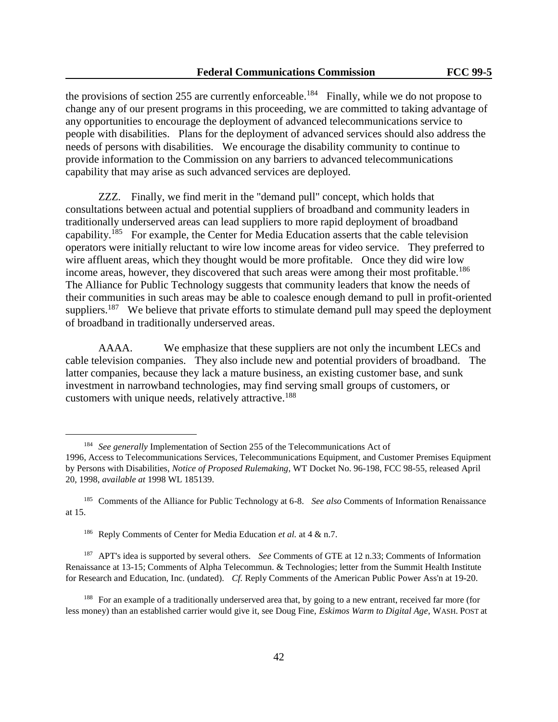the provisions of section 255 are currently enforceable.<sup>184</sup> Finally, while we do not propose to change any of our present programs in this proceeding, we are committed to taking advantage of any opportunities to encourage the deployment of advanced telecommunications service to people with disabilities. Plans for the deployment of advanced services should also address the needs of persons with disabilities. We encourage the disability community to continue to provide information to the Commission on any barriers to advanced telecommunications capability that may arise as such advanced services are deployed.

ZZZ. Finally, we find merit in the "demand pull" concept, which holds that consultations between actual and potential suppliers of broadband and community leaders in traditionally underserved areas can lead suppliers to more rapid deployment of broadband capability.<sup>185</sup> For example, the Center for Media Education asserts that the cable television operators were initially reluctant to wire low income areas for video service. They preferred to wire affluent areas, which they thought would be more profitable. Once they did wire low income areas, however, they discovered that such areas were among their most profitable.<sup>186</sup> The Alliance for Public Technology suggests that community leaders that know the needs of their communities in such areas may be able to coalesce enough demand to pull in profit-oriented suppliers.<sup>187</sup> We believe that private efforts to stimulate demand pull may speed the deployment of broadband in traditionally underserved areas.

AAAA. We emphasize that these suppliers are not only the incumbent LECs and cable television companies. They also include new and potential providers of broadband. The latter companies, because they lack a mature business, an existing customer base, and sunk investment in narrowband technologies, may find serving small groups of customers, or customers with unique needs, relatively attractive.<sup>188</sup>

l,

<sup>187</sup> APT's idea is supported by several others. *See* Comments of GTE at 12 n.33; Comments of Information Renaissance at 13-15; Comments of Alpha Telecommun. & Technologies; letter from the Summit Health Institute for Research and Education, Inc. (undated). *Cf.* Reply Comments of the American Public Power Ass'n at 19-20.

<sup>184</sup> *See generally* Implementation of Section 255 of the Telecommunications Act of 1996, Access to Telecommunications Services, Telecommunications Equipment, and Customer Premises Equipment by Persons with Disabilities, *Notice of Proposed Rulemaking*, WT Docket No. 96-198, FCC 98-55, released April 20, 1998, *available at* 1998 WL 185139.

<sup>185</sup> Comments of the Alliance for Public Technology at 6-8. *See also* Comments of Information Renaissance at 15.

<sup>186</sup> Reply Comments of Center for Media Education *et al.* at 4 & n.7.

<sup>&</sup>lt;sup>188</sup> For an example of a traditionally underserved area that, by going to a new entrant, received far more (for less money) than an established carrier would give it, see Doug Fine, *Eskimos Warm to Digital Age*, WASH. POST at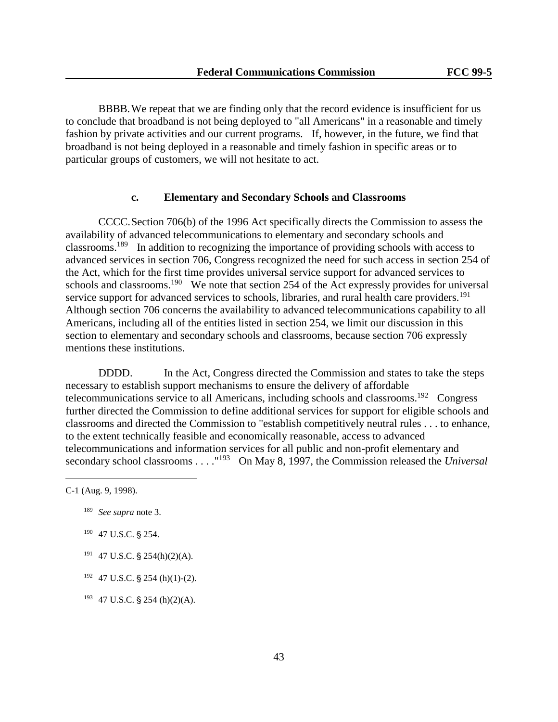BBBB.We repeat that we are finding only that the record evidence is insufficient for us to conclude that broadband is not being deployed to "all Americans" in a reasonable and timely fashion by private activities and our current programs. If, however, in the future, we find that broadband is not being deployed in a reasonable and timely fashion in specific areas or to particular groups of customers, we will not hesitate to act.

### **c. Elementary and Secondary Schools and Classrooms**

CCCC.Section 706(b) of the 1996 Act specifically directs the Commission to assess the availability of advanced telecommunications to elementary and secondary schools and classrooms.<sup>189</sup> In addition to recognizing the importance of providing schools with access to advanced services in section 706, Congress recognized the need for such access in section 254 of the Act, which for the first time provides universal service support for advanced services to schools and classrooms.<sup>190</sup> We note that section 254 of the Act expressly provides for universal service support for advanced services to schools, libraries, and rural health care providers.<sup>191</sup> Although section 706 concerns the availability to advanced telecommunications capability to all Americans, including all of the entities listed in section 254, we limit our discussion in this section to elementary and secondary schools and classrooms, because section 706 expressly mentions these institutions.

DDDD. In the Act, Congress directed the Commission and states to take the steps necessary to establish support mechanisms to ensure the delivery of affordable telecommunications service to all Americans, including schools and classrooms.<sup>192</sup> Congress further directed the Commission to define additional services for support for eligible schools and classrooms and directed the Commission to "establish competitively neutral rules . . . to enhance, to the extent technically feasible and economically reasonable, access to advanced telecommunications and information services for all public and non-profit elementary and secondary school classrooms . . . . "<sup>193</sup> On May 8, 1997, the Commission released the *Universal* 

l,

- <sup>189</sup> *See supra* note 3.
- $190$  47 U.S.C. § 254.
- $191$  47 U.S.C. § 254(h)(2)(A).
- $192$  47 U.S.C. § 254 (h)(1)-(2).
- $193$  47 U.S.C. § 254 (h)(2)(A).

C-1 (Aug. 9, 1998).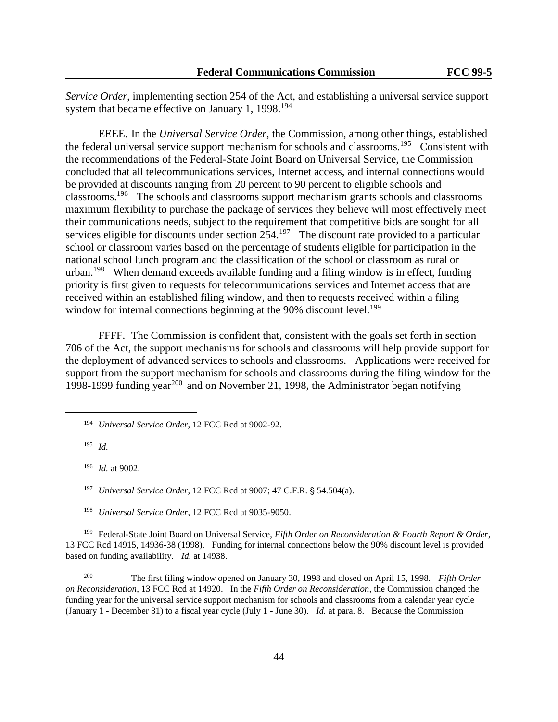*Service Order*, implementing section 254 of the Act, and establishing a universal service support system that became effective on January 1, 1998.<sup>194</sup>

EEEE. In the *Universal Service Order*, the Commission, among other things, established the federal universal service support mechanism for schools and classrooms.<sup>195</sup> Consistent with the recommendations of the Federal-State Joint Board on Universal Service, the Commission concluded that all telecommunications services, Internet access, and internal connections would be provided at discounts ranging from 20 percent to 90 percent to eligible schools and classrooms.<sup>196</sup> The schools and classrooms support mechanism grants schools and classrooms maximum flexibility to purchase the package of services they believe will most effectively meet their communications needs, subject to the requirement that competitive bids are sought for all services eligible for discounts under section  $254<sup>197</sup>$  The discount rate provided to a particular school or classroom varies based on the percentage of students eligible for participation in the national school lunch program and the classification of the school or classroom as rural or urban.<sup>198</sup> When demand exceeds available funding and a filing window is in effect, funding priority is first given to requests for telecommunications services and Internet access that are received within an established filing window, and then to requests received within a filing window for internal connections beginning at the 90% discount level.<sup>199</sup>

FFFF. The Commission is confident that, consistent with the goals set forth in section 706 of the Act, the support mechanisms for schools and classrooms will help provide support for the deployment of advanced services to schools and classrooms. Applications were received for support from the support mechanism for schools and classrooms during the filing window for the 1998-1999 funding year<sup>200</sup> and on November 21, 1998, the Administrator began notifying

<sup>195</sup> *Id.*

l,

<sup>196</sup> *Id.* at 9002.

<sup>197</sup> *Universal Service Order*, 12 FCC Rcd at 9007; 47 C.F.R. § 54.504(a).

<sup>198</sup> *Universal Service Order*, 12 FCC Rcd at 9035-9050.

<sup>199</sup> Federal-State Joint Board on Universal Service, *Fifth Order on Reconsideration & Fourth Report & Order*, 13 FCC Rcd 14915, 14936-38 (1998). Funding for internal connections below the 90% discount level is provided based on funding availability. *Id.* at 14938.

200 The first filing window opened on January 30, 1998 and closed on April 15, 1998. *Fifth Order on Reconsideration*, 13 FCC Rcd at 14920. In the *Fifth Order on Reconsideration*, the Commission changed the funding year for the universal service support mechanism for schools and classrooms from a calendar year cycle (January 1 - December 31) to a fiscal year cycle (July 1 - June 30). *Id.* at para. 8. Because the Commission

<sup>194</sup> *Universal Service Order*, 12 FCC Rcd at 9002-92.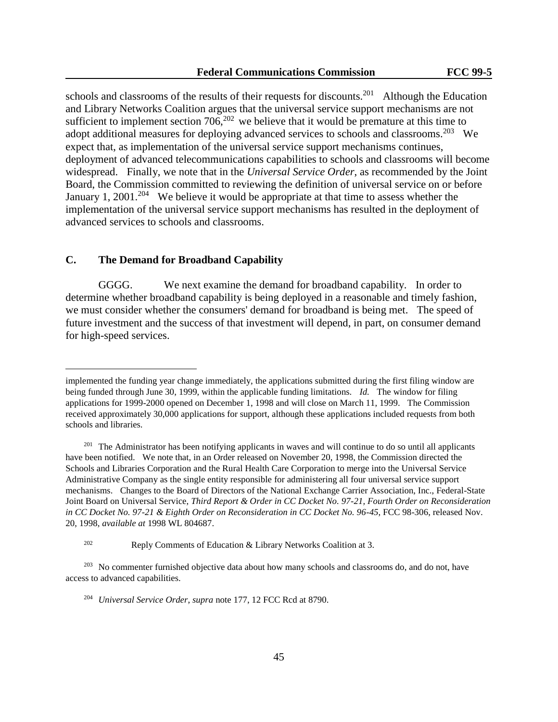schools and classrooms of the results of their requests for discounts.<sup>201</sup> Although the Education and Library Networks Coalition argues that the universal service support mechanisms are not sufficient to implement section  $706$ ,  $202$  we believe that it would be premature at this time to adopt additional measures for deploying advanced services to schools and classrooms.<sup>203</sup> We expect that, as implementation of the universal service support mechanisms continues, deployment of advanced telecommunications capabilities to schools and classrooms will become widespread. Finally, we note that in the *Universal Service Order*, as recommended by the Joint Board, the Commission committed to reviewing the definition of universal service on or before January 1, 2001.<sup>204</sup> We believe it would be appropriate at that time to assess whether the implementation of the universal service support mechanisms has resulted in the deployment of advanced services to schools and classrooms.

### **C. The Demand for Broadband Capability**

l,

GGGG. We next examine the demand for broadband capability. In order to determine whether broadband capability is being deployed in a reasonable and timely fashion, we must consider whether the consumers' demand for broadband is being met. The speed of future investment and the success of that investment will depend, in part, on consumer demand for high-speed services.

implemented the funding year change immediately, the applications submitted during the first filing window are being funded through June 30, 1999, within the applicable funding limitations. *Id.* The window for filing applications for 1999-2000 opened on December 1, 1998 and will close on March 11, 1999. The Commission received approximately 30,000 applications for support, although these applications included requests from both schools and libraries.

<sup>&</sup>lt;sup>201</sup> The Administrator has been notifying applicants in waves and will continue to do so until all applicants have been notified. We note that, in an Order released on November 20, 1998, the Commission directed the Schools and Libraries Corporation and the Rural Health Care Corporation to merge into the Universal Service Administrative Company as the single entity responsible for administering all four universal service support mechanisms. Changes to the Board of Directors of the National Exchange Carrier Association, Inc., Federal-State Joint Board on Universal Service, *Third Report & Order in CC Docket No. 97-21, Fourth Order on Reconsideration in CC Docket No. 97-21 & Eighth Order on Reconsideration in CC Docket No. 96-45*, FCC 98-306, released Nov. 20, 1998, *available at* 1998 WL 804687.

<sup>202</sup> Reply Comments of Education & Library Networks Coalition at 3.

<sup>&</sup>lt;sup>203</sup> No commenter furnished objective data about how many schools and classrooms do, and do not, have access to advanced capabilities.

<sup>204</sup> *Universal Service Order*, *supra* note 177, 12 FCC Rcd at 8790.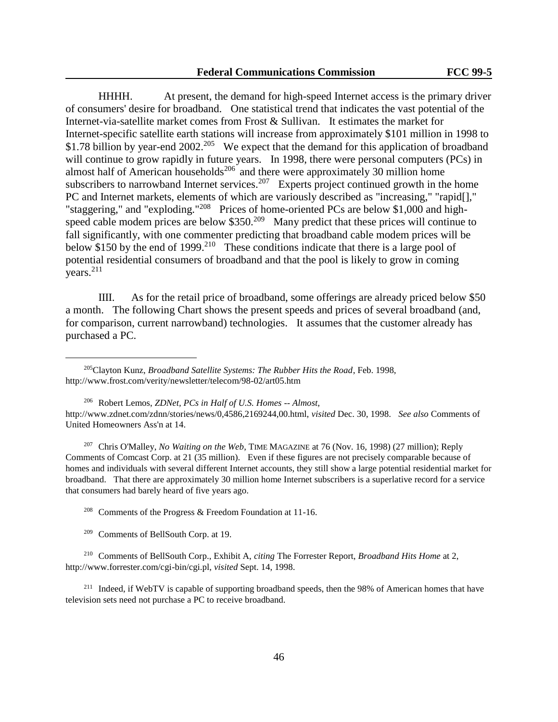HHHH. At present, the demand for high-speed Internet access is the primary driver of consumers' desire for broadband. One statistical trend that indicates the vast potential of the Internet-via-satellite market comes from Frost & Sullivan. It estimates the market for Internet-specific satellite earth stations will increase from approximately \$101 million in 1998 to \$1.78 billion by year-end 2002.<sup>205</sup> We expect that the demand for this application of broadband will continue to grow rapidly in future years. In 1998, there were personal computers (PCs) in almost half of American households<sup>206</sup> and there were approximately 30 million home subscribers to narrowband Internet services.<sup>207</sup> Experts project continued growth in the home PC and Internet markets, elements of which are variously described as "increasing," "rapid[]," "staggering," and "exploding."<sup>208</sup> Prices of home-oriented PCs are below \$1,000 and highspeed cable modem prices are below  $$350.<sup>209</sup>$  Many predict that these prices will continue to fall significantly, with one commenter predicting that broadband cable modem prices will be below \$150 by the end of 1999.<sup>210</sup> These conditions indicate that there is a large pool of potential residential consumers of broadband and that the pool is likely to grow in coming years.<sup>211</sup>

IIII. As for the retail price of broadband, some offerings are already priced below \$50 a month. The following Chart shows the present speeds and prices of several broadband (and, for comparison, current narrowband) technologies. It assumes that the customer already has purchased a PC.

<sup>207</sup> Chris O'Malley, *No Waiting on the Web*, TIME MAGAZINE at 76 (Nov. 16, 1998) (27 million); Reply Comments of Comcast Corp. at 21 (35 million). Even if these figures are not precisely comparable because of homes and individuals with several different Internet accounts, they still show a large potential residential market for broadband. That there are approximately 30 million home Internet subscribers is a superlative record for a service that consumers had barely heard of five years ago.

<sup>208</sup> Comments of the Progress & Freedom Foundation at 11-16.

<sup>209</sup> Comments of BellSouth Corp. at 19.

l,

<sup>210</sup> Comments of BellSouth Corp., Exhibit A, *citing* The Forrester Report, *Broadband Hits Home* at 2, http://www.forrester.com/cgi-bin/cgi.pl, *visited* Sept. 14, 1998.

<sup>211</sup> Indeed, if WebTV is capable of supporting broadband speeds, then the 98% of American homes that have television sets need not purchase a PC to receive broadband.

<sup>205</sup>Clayton Kunz, *Broadband Satellite Systems: The Rubber Hits the Road*, Feb. 1998, http://www.frost.com/verity/newsletter/telecom/98-02/art05.htm

<sup>206</sup> Robert Lemos, *ZDNet, PCs in Half of U.S. Homes -- Almost*, http://www.zdnet.com/zdnn/stories/news/0,4586,2169244,00.html, *visited* Dec. 30, 1998. *See also* Comments of United Homeowners Ass'n at 14.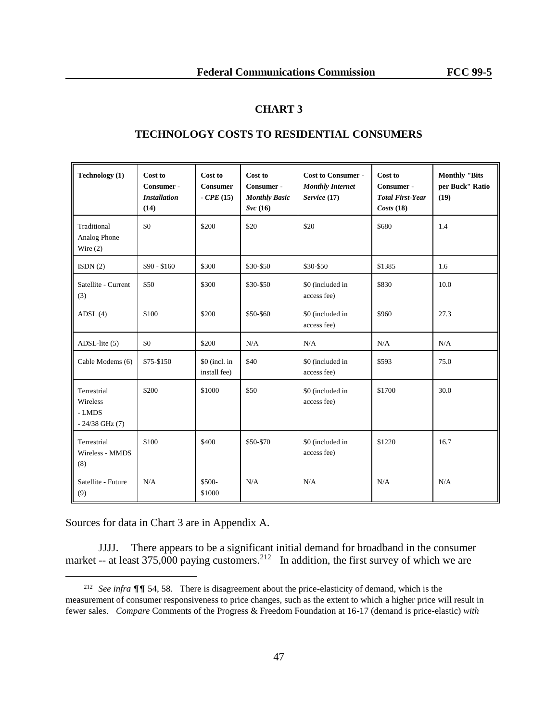### **CHART 3**

| <b>Technology</b> (1)                                   | Cost to                                   | Cost to                        | Cost to                                       | <b>Cost to Consumer -</b>               | Cost to                                            | <b>Monthly "Bits</b>    |
|---------------------------------------------------------|-------------------------------------------|--------------------------------|-----------------------------------------------|-----------------------------------------|----------------------------------------------------|-------------------------|
|                                                         | Consumer -<br><b>Installation</b><br>(14) | <b>Consumer</b><br>$-CPE(15)$  | Consumer -<br><b>Monthly Basic</b><br>Syc(16) | <b>Monthly Internet</b><br>Service (17) | Consumer -<br><b>Total First-Year</b><br>Costs(18) | per Buck" Ratio<br>(19) |
| Traditional<br>Analog Phone<br>Wire $(2)$               | \$0                                       | \$200                          | \$20                                          | \$20                                    | \$680                                              | 1.4                     |
| ISDN(2)                                                 | $$90 - $160$                              | \$300                          | \$30-\$50                                     | \$30-\$50                               | \$1385                                             | 1.6                     |
| Satellite - Current<br>(3)                              | \$50                                      | \$300                          | \$30-\$50                                     | \$0 (included in<br>access fee)         | \$830                                              | 10.0                    |
| ADSL(4)                                                 | \$100                                     | \$200                          | \$50-\$60                                     | \$0 (included in<br>access fee)         | \$960                                              | 27.3                    |
| $ADSL$ -lite $(5)$                                      | \$0                                       | \$200                          | N/A                                           | N/A                                     | N/A                                                | N/A                     |
| Cable Modems (6)                                        | \$75-\$150                                | $$0$ (incl. in<br>install fee) | \$40                                          | \$0 (included in<br>access fee)         | \$593                                              | 75.0                    |
| Terrestrial<br>Wireless<br>- LMDS<br>$-24/38$ GHz $(7)$ | \$200                                     | \$1000                         | \$50                                          | \$0 (included in<br>access fee)         | \$1700                                             | 30.0                    |
| Terrestrial<br>Wireless - MMDS<br>(8)                   | \$100                                     | \$400                          | \$50-\$70                                     | \$0 (included in<br>access fee)         | \$1220                                             | 16.7                    |
| Satellite - Future<br>(9)                               | N/A                                       | \$500-<br>\$1000               | N/A                                           | N/A                                     | N/A                                                | N/A                     |

### **TECHNOLOGY COSTS TO RESIDENTIAL CONSUMERS**

Sources for data in Chart 3 are in Appendix A.

l,

JJJJ. There appears to be a significant initial demand for broadband in the consumer market -- at least 375,000 paying customers.<sup>212</sup> In addition, the first survey of which we are

<sup>&</sup>lt;sup>212</sup> *See infra* **¶ f** 54, 58. There is disagreement about the price-elasticity of demand, which is the measurement of consumer responsiveness to price changes, such as the extent to which a higher price will result in fewer sales. *Compare* Comments of the Progress & Freedom Foundation at 16-17 (demand is price-elastic) *with*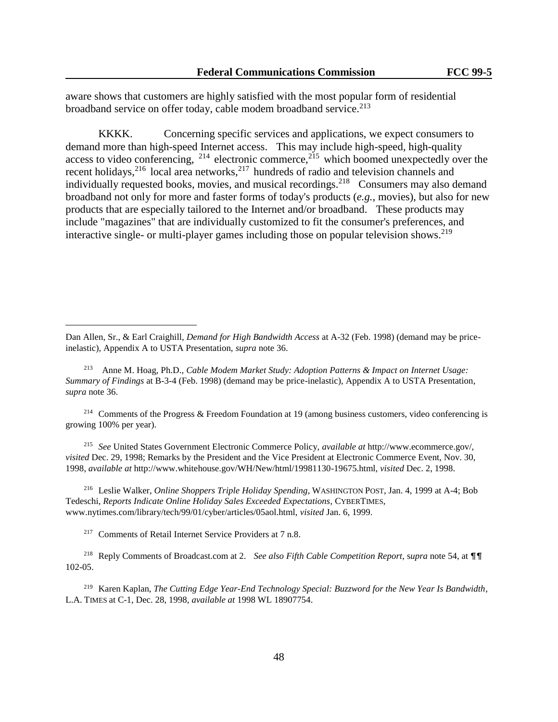aware shows that customers are highly satisfied with the most popular form of residential broadband service on offer today, cable modem broadband service.<sup>213</sup>

KKKK. Concerning specific services and applications, we expect consumers to demand more than high-speed Internet access. This may include high-speed, high-quality access to video conferencing,  $2^{14}$  electronic commerce,  $2^{15}$  which boomed unexpectedly over the recent holidays,<sup>216</sup> local area networks,<sup>217</sup> hundreds of radio and television channels and individually requested books, movies, and musical recordings.<sup>218</sup> Consumers may also demand broadband not only for more and faster forms of today's products (*e.g.*, movies), but also for new products that are especially tailored to the Internet and/or broadband. These products may include "magazines" that are individually customized to fit the consumer's preferences, and interactive single- or multi-player games including those on popular television shows.<sup>219</sup>

<sup>214</sup> Comments of the Progress & Freedom Foundation at 19 (among business customers, video conferencing is growing 100% per year).

<sup>215</sup> *See* United States Government Electronic Commerce Policy, *available at* http://www.ecommerce.gov/, *visited* Dec. 29, 1998; Remarks by the President and the Vice President at Electronic Commerce Event, Nov. 30, 1998, *available at* http://www.whitehouse.gov/WH/New/html/19981130-19675.html, *visited* Dec. 2, 1998.

<sup>216</sup> Leslie Walker, *Online Shoppers Triple Holiday Spending*, WASHINGTON POST, Jan. 4, 1999 at A-4; Bob Tedeschi, *Reports Indicate Online Holiday Sales Exceeded Expectations*, CYBERTIMES, www.nytimes.com/library/tech/99/01/cyber/articles/05aol.html, *visited* Jan. 6, 1999.

<sup>217</sup> Comments of Retail Internet Service Providers at 7 n.8.

l,

<sup>218</sup> Reply Comments of Broadcast.com at 2. *See also Fifth Cable Competition Report*, supra note 54, at  $\P\P$ 102-05.

<sup>219</sup> Karen Kaplan, *The Cutting Edge Year-End Technology Special: Buzzword for the New Year Is Bandwidth*, L.A. TIMES at C-1, Dec. 28, 1998, *available at* 1998 WL 18907754.

Dan Allen, Sr., & Earl Craighill, *Demand for High Bandwidth Access* at A-32 (Feb. 1998) (demand may be priceinelastic), Appendix A to USTA Presentation, *supra* note 36.

<sup>213</sup> Anne M. Hoag, Ph.D., *Cable Modem Market Study: Adoption Patterns & Impact on Internet Usage: Summary of Findings* at B-3-4 (Feb. 1998) (demand may be price-inelastic), Appendix A to USTA Presentation, *supra* note 36.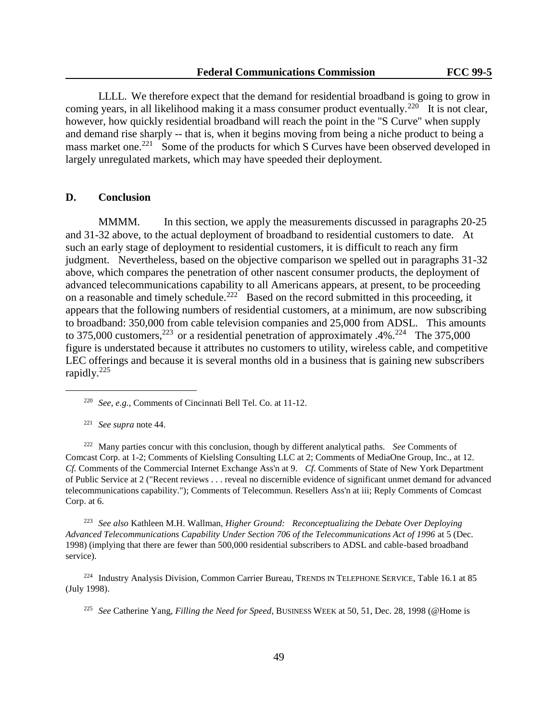LLLL. We therefore expect that the demand for residential broadband is going to grow in coming years, in all likelihood making it a mass consumer product eventually.<sup>220</sup> It is not clear, however, how quickly residential broadband will reach the point in the "S Curve" when supply and demand rise sharply -- that is, when it begins moving from being a niche product to being a mass market one.<sup>221</sup> Some of the products for which S Curves have been observed developed in largely unregulated markets, which may have speeded their deployment.

### **D. Conclusion**

MMMM. In this section, we apply the measurements discussed in paragraphs 20-25 and 31-32 above, to the actual deployment of broadband to residential customers to date. At such an early stage of deployment to residential customers, it is difficult to reach any firm judgment. Nevertheless, based on the objective comparison we spelled out in paragraphs 31-32 above, which compares the penetration of other nascent consumer products, the deployment of advanced telecommunications capability to all Americans appears, at present, to be proceeding on a reasonable and timely schedule.<sup>222</sup> Based on the record submitted in this proceeding, it appears that the following numbers of residential customers, at a minimum, are now subscribing to broadband: 350,000 from cable television companies and 25,000 from ADSL. This amounts to 375,000 customers,<sup>223</sup> or a residential penetration of approximately .4%.<sup>224</sup> The 375,000 figure is understated because it attributes no customers to utility, wireless cable, and competitive LEC offerings and because it is several months old in a business that is gaining new subscribers rapidly.<sup>225</sup>

L,

<sup>222</sup> Many parties concur with this conclusion, though by different analytical paths. *See* Comments of Comcast Corp. at 1-2; Comments of Kielsling Consulting LLC at 2; Comments of MediaOne Group, Inc., at 12. *Cf.* Comments of the Commercial Internet Exchange Ass'n at 9. *Cf*. Comments of State of New York Department of Public Service at 2 ("Recent reviews . . . reveal no discernible evidence of significant unmet demand for advanced telecommunications capability."); Comments of Telecommun. Resellers Ass'n at iii; Reply Comments of Comcast Corp. at 6.

<sup>223</sup> *See also* Kathleen M.H. Wallman, *Higher Ground: Reconceptualizing the Debate Over Deploying Advanced Telecommunications Capability Under Section 706 of the Telecommunications Act of 1996* at 5 (Dec. 1998) (implying that there are fewer than 500,000 residential subscribers to ADSL and cable-based broadband service).

<sup>224</sup> Industry Analysis Division, Common Carrier Bureau, TRENDS IN TELEPHONE SERVICE, Table 16.1 at 85 (July 1998).

<sup>225</sup> *See* Catherine Yang, *Filling the Need for Speed*, BUSINESS WEEK at 50, 51, Dec. 28, 1998 (@Home is

<sup>220</sup> *See, e.g.*, Comments of Cincinnati Bell Tel. Co. at 11-12.

<sup>221</sup> *See supra* note 44.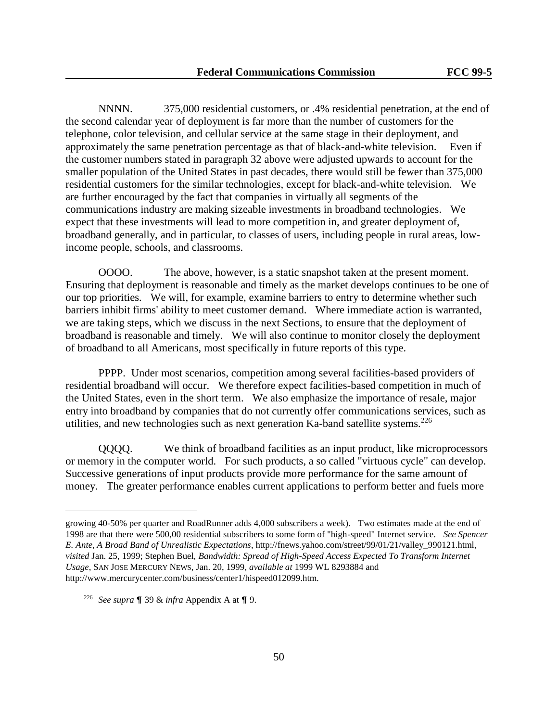NNNN. 375,000 residential customers, or .4% residential penetration, at the end of the second calendar year of deployment is far more than the number of customers for the telephone, color television, and cellular service at the same stage in their deployment, and approximately the same penetration percentage as that of black-and-white television. Even if the customer numbers stated in paragraph 32 above were adjusted upwards to account for the smaller population of the United States in past decades, there would still be fewer than 375,000 residential customers for the similar technologies, except for black-and-white television. We are further encouraged by the fact that companies in virtually all segments of the communications industry are making sizeable investments in broadband technologies. We expect that these investments will lead to more competition in, and greater deployment of, broadband generally, and in particular, to classes of users, including people in rural areas, lowincome people, schools, and classrooms.

OOOO. The above, however, is a static snapshot taken at the present moment. Ensuring that deployment is reasonable and timely as the market develops continues to be one of our top priorities. We will, for example, examine barriers to entry to determine whether such barriers inhibit firms' ability to meet customer demand. Where immediate action is warranted, we are taking steps, which we discuss in the next Sections, to ensure that the deployment of broadband is reasonable and timely. We will also continue to monitor closely the deployment of broadband to all Americans, most specifically in future reports of this type.

PPPP. Under most scenarios, competition among several facilities-based providers of residential broadband will occur. We therefore expect facilities-based competition in much of the United States, even in the short term. We also emphasize the importance of resale, major entry into broadband by companies that do not currently offer communications services, such as utilities, and new technologies such as next generation Ka-band satellite systems.<sup>226</sup>

QQQQ. We think of broadband facilities as an input product, like microprocessors or memory in the computer world. For such products, a so called "virtuous cycle" can develop. Successive generations of input products provide more performance for the same amount of money. The greater performance enables current applications to perform better and fuels more

growing 40-50% per quarter and RoadRunner adds 4,000 subscribers a week). Two estimates made at the end of 1998 are that there were 500,00 residential subscribers to some form of "high-speed" Internet service. *See Spencer E. Ante, A Broad Band of Unrealistic Expectations*, http://fnews.yahoo.com/street/99/01/21/valley\_990121.html, *visited* Jan. 25, 1999; Stephen Buel, *Bandwidth: Spread of High-Speed Access Expected To Transform Internet Usage*, SAN JOSE MERCURY NEWS, Jan. 20, 1999, *available at* 1999 WL 8293884 and http://www.mercurycenter.com/business/center1/hispeed012099.htm.

<sup>&</sup>lt;sup>226</sup> *See supra*  $\mathbb{I}$  39 & *infra* Appendix A at  $\mathbb{I}$  9.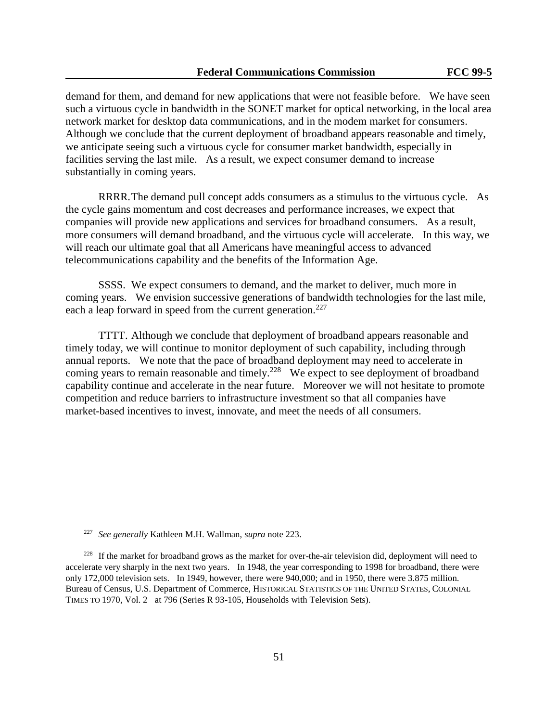demand for them, and demand for new applications that were not feasible before. We have seen such a virtuous cycle in bandwidth in the SONET market for optical networking, in the local area network market for desktop data communications, and in the modem market for consumers. Although we conclude that the current deployment of broadband appears reasonable and timely, we anticipate seeing such a virtuous cycle for consumer market bandwidth, especially in facilities serving the last mile. As a result, we expect consumer demand to increase substantially in coming years.

RRRR.The demand pull concept adds consumers as a stimulus to the virtuous cycle. As the cycle gains momentum and cost decreases and performance increases, we expect that companies will provide new applications and services for broadband consumers. As a result, more consumers will demand broadband, and the virtuous cycle will accelerate. In this way, we will reach our ultimate goal that all Americans have meaningful access to advanced telecommunications capability and the benefits of the Information Age.

SSSS. We expect consumers to demand, and the market to deliver, much more in coming years. We envision successive generations of bandwidth technologies for the last mile, each a leap forward in speed from the current generation.<sup>227</sup>

TTTT. Although we conclude that deployment of broadband appears reasonable and timely today, we will continue to monitor deployment of such capability, including through annual reports. We note that the pace of broadband deployment may need to accelerate in coming years to remain reasonable and timely.<sup>228</sup> We expect to see deployment of broadband capability continue and accelerate in the near future. Moreover we will not hesitate to promote competition and reduce barriers to infrastructure investment so that all companies have market-based incentives to invest, innovate, and meet the needs of all consumers.

<sup>227</sup> *See generally* Kathleen M.H. Wallman, *supra* note 223.

<sup>&</sup>lt;sup>228</sup> If the market for broadband grows as the market for over-the-air television did, deployment will need to accelerate very sharply in the next two years. In 1948, the year corresponding to 1998 for broadband, there were only 172,000 television sets. In 1949, however, there were 940,000; and in 1950, there were 3.875 million. Bureau of Census, U.S. Department of Commerce, HISTORICAL STATISTICS OF THE UNITED STATES, COLONIAL TIMES TO 1970, Vol. 2 at 796 (Series R 93-105, Households with Television Sets).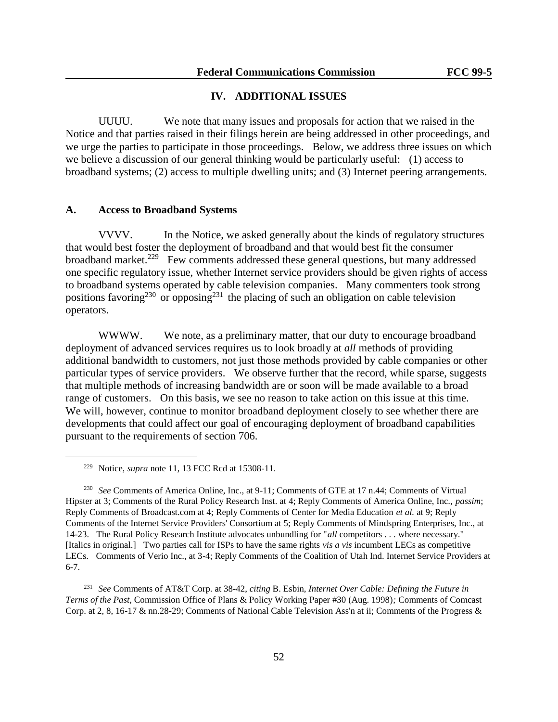### **IV. ADDITIONAL ISSUES**

UUUU. We note that many issues and proposals for action that we raised in the Notice and that parties raised in their filings herein are being addressed in other proceedings, and we urge the parties to participate in those proceedings. Below, we address three issues on which we believe a discussion of our general thinking would be particularly useful: (1) access to broadband systems; (2) access to multiple dwelling units; and (3) Internet peering arrangements.

### **A. Access to Broadband Systems**

VVVV. In the Notice, we asked generally about the kinds of regulatory structures that would best foster the deployment of broadband and that would best fit the consumer broadband market.<sup>229</sup> Few comments addressed these general questions, but many addressed one specific regulatory issue, whether Internet service providers should be given rights of access to broadband systems operated by cable television companies. Many commenters took strong positions favoring<sup>230</sup> or opposing<sup>231</sup> the placing of such an obligation on cable television operators.

WWWW. We note, as a preliminary matter, that our duty to encourage broadband deployment of advanced services requires us to look broadly at *all* methods of providing additional bandwidth to customers, not just those methods provided by cable companies or other particular types of service providers. We observe further that the record, while sparse, suggests that multiple methods of increasing bandwidth are or soon will be made available to a broad range of customers. On this basis, we see no reason to take action on this issue at this time. We will, however, continue to monitor broadband deployment closely to see whether there are developments that could affect our goal of encouraging deployment of broadband capabilities pursuant to the requirements of section 706.

L,

<sup>231</sup> *See* Comments of AT&T Corp. at 38-42, *citing* B. Esbin, *Internet Over Cable: Defining the Future in Terms of the Past*, Commission Office of Plans & Policy Working Paper #30 (Aug. 1998)*;* Comments of Comcast Corp. at 2, 8, 16-17 & nn.28-29; Comments of National Cable Television Ass'n at ii; Comments of the Progress &

<sup>229</sup> Notice, *supra* note 11, 13 FCC Rcd at 15308-11.

<sup>230</sup> *See* Comments of America Online, Inc., at 9-11; Comments of GTE at 17 n.44; Comments of Virtual Hipster at 3; Comments of the Rural Policy Research Inst. at 4; Reply Comments of America Online, Inc., *passim*; Reply Comments of Broadcast.com at 4; Reply Comments of Center for Media Education *et al.* at 9; Reply Comments of the Internet Service Providers' Consortium at 5; Reply Comments of Mindspring Enterprises, Inc., at 14-23. The Rural Policy Research Institute advocates unbundling for "*all* competitors . . . where necessary." [Italics in original.] Two parties call for ISPs to have the same rights *vis a vis* incumbent LECs as competitive LECs. Comments of Verio Inc., at 3-4; Reply Comments of the Coalition of Utah Ind. Internet Service Providers at 6-7.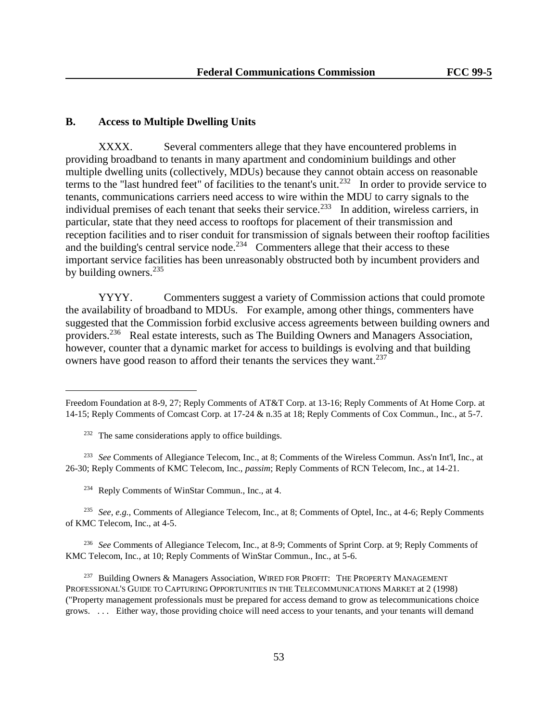### **B. Access to Multiple Dwelling Units**

XXXX. Several commenters allege that they have encountered problems in providing broadband to tenants in many apartment and condominium buildings and other multiple dwelling units (collectively, MDUs) because they cannot obtain access on reasonable terms to the "last hundred feet" of facilities to the tenant's unit.<sup>232</sup> In order to provide service to tenants, communications carriers need access to wire within the MDU to carry signals to the individual premises of each tenant that seeks their service.<sup>233</sup> In addition, wireless carriers, in particular, state that they need access to rooftops for placement of their transmission and reception facilities and to riser conduit for transmission of signals between their rooftop facilities and the building's central service node.<sup>234</sup> Commenters allege that their access to these important service facilities has been unreasonably obstructed both by incumbent providers and by building owners. $235$ 

YYYY. Commenters suggest a variety of Commission actions that could promote the availability of broadband to MDUs. For example, among other things, commenters have suggested that the Commission forbid exclusive access agreements between building owners and providers.<sup>236</sup> Real estate interests, such as The Building Owners and Managers Association, however, counter that a dynamic market for access to buildings is evolving and that building owners have good reason to afford their tenants the services they want.<sup>237</sup>

L,

<sup>236</sup> *See* Comments of Allegiance Telecom, Inc., at 8-9; Comments of Sprint Corp. at 9; Reply Comments of KMC Telecom, Inc., at 10; Reply Comments of WinStar Commun., Inc., at 5-6.

<sup>237</sup> Building Owners & Managers Association, WIRED FOR PROFIT: THE PROPERTY MANAGEMENT PROFESSIONAL'S GUIDE TO CAPTURING OPPORTUNITIES IN THE TELECOMMUNICATIONS MARKET at 2 (1998) ("Property management professionals must be prepared for access demand to grow as telecommunications choice grows. . . . Either way, those providing choice will need access to your tenants, and your tenants will demand

Freedom Foundation at 8-9, 27; Reply Comments of AT&T Corp. at 13-16; Reply Comments of At Home Corp. at 14-15; Reply Comments of Comcast Corp. at 17-24 & n.35 at 18; Reply Comments of Cox Commun., Inc., at 5-7.

<sup>&</sup>lt;sup>232</sup> The same considerations apply to office buildings.

<sup>233</sup> *See* Comments of Allegiance Telecom, Inc., at 8; Comments of the Wireless Commun. Ass'n Int'l, Inc., at 26-30; Reply Comments of KMC Telecom, Inc., *passim*; Reply Comments of RCN Telecom, Inc., at 14-21.

<sup>234</sup> Reply Comments of WinStar Commun., Inc., at 4.

<sup>235</sup> *See, e.g.,* Comments of Allegiance Telecom, Inc., at 8; Comments of Optel, Inc., at 4-6; Reply Comments of KMC Telecom, Inc., at 4-5.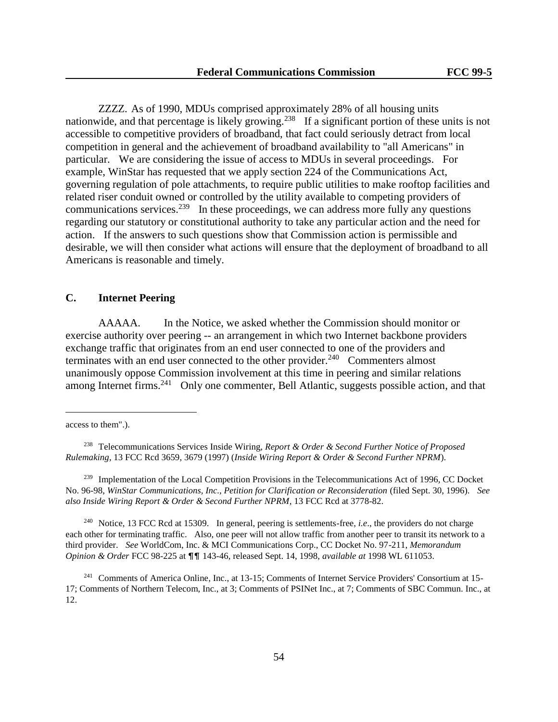ZZZZ. As of 1990, MDUs comprised approximately 28% of all housing units nationwide, and that percentage is likely growing.<sup>238</sup> If a significant portion of these units is not accessible to competitive providers of broadband, that fact could seriously detract from local competition in general and the achievement of broadband availability to "all Americans" in particular. We are considering the issue of access to MDUs in several proceedings. For example, WinStar has requested that we apply section 224 of the Communications Act, governing regulation of pole attachments, to require public utilities to make rooftop facilities and related riser conduit owned or controlled by the utility available to competing providers of communications services.<sup>239</sup> In these proceedings, we can address more fully any questions regarding our statutory or constitutional authority to take any particular action and the need for action. If the answers to such questions show that Commission action is permissible and desirable, we will then consider what actions will ensure that the deployment of broadband to all Americans is reasonable and timely.

### **C. Internet Peering**

AAAAA. In the Notice, we asked whether the Commission should monitor or exercise authority over peering -- an arrangement in which two Internet backbone providers exchange traffic that originates from an end user connected to one of the providers and terminates with an end user connected to the other provider.<sup>240</sup> Commenters almost unanimously oppose Commission involvement at this time in peering and similar relations among Internet firms.<sup>241</sup> Only one commenter, Bell Atlantic, suggests possible action, and that

L,

<sup>239</sup> Implementation of the Local Competition Provisions in the Telecommunications Act of 1996, CC Docket No. 96-98, *WinStar Communications, Inc., Petition for Clarification or Reconsideration* (filed Sept. 30, 1996). *See also Inside Wiring Report & Order & Second Further NPRM*, 13 FCC Rcd at 3778-82.

<sup>240</sup> Notice, 13 FCC Rcd at 15309. In general, peering is settlements-free, *i.e*., the providers do not charge each other for terminating traffic. Also, one peer will not allow traffic from another peer to transit its network to a third provider. *See* WorldCom, Inc. & MCI Communications Corp., CC Docket No. 97-211, *Memorandum Opinion & Order* FCC 98-225 at  $\P\P$  143-46, released Sept. 14, 1998, *available at* 1998 WL 611053.

access to them".).

<sup>238</sup> Telecommunications Services Inside Wiring, *Report & Order & Second Further Notice of Proposed Rulemaking*, 13 FCC Rcd 3659, 3679 (1997) (*Inside Wiring Report & Order & Second Further NPRM*).

<sup>241</sup> Comments of America Online, Inc., at 13-15; Comments of Internet Service Providers' Consortium at 15- 17; Comments of Northern Telecom, Inc., at 3; Comments of PSINet Inc., at 7; Comments of SBC Commun. Inc., at 12.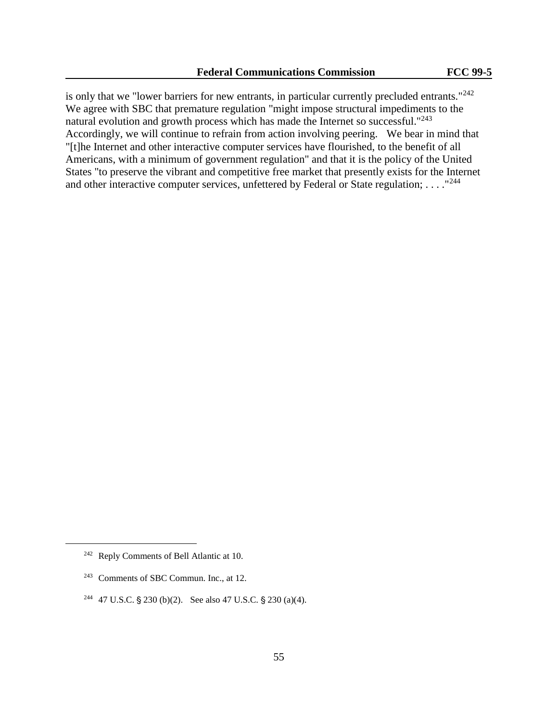is only that we "lower barriers for new entrants, in particular currently precluded entrants."<sup>242</sup> We agree with SBC that premature regulation "might impose structural impediments to the natural evolution and growth process which has made the Internet so successful."<sup>243</sup> Accordingly, we will continue to refrain from action involving peering. We bear in mind that "[t]he Internet and other interactive computer services have flourished, to the benefit of all Americans, with a minimum of government regulation" and that it is the policy of the United States "to preserve the vibrant and competitive free market that presently exists for the Internet and other interactive computer services, unfettered by Federal or State regulation; . . . . "<sup>244</sup>

<sup>242</sup> Reply Comments of Bell Atlantic at 10.

<sup>243</sup> Comments of SBC Commun. Inc., at 12.

<sup>&</sup>lt;sup>244</sup> 47 U.S.C. § 230 (b)(2). See also 47 U.S.C. § 230 (a)(4).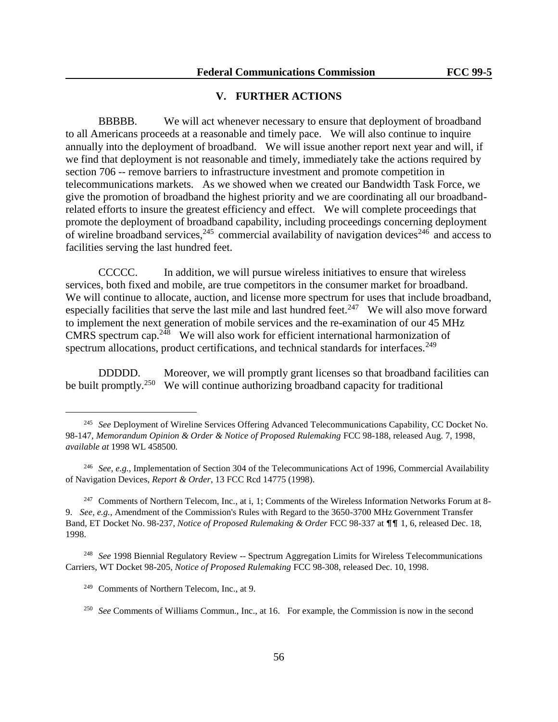# **V. FURTHER ACTIONS**

BBBBB. We will act whenever necessary to ensure that deployment of broadband to all Americans proceeds at a reasonable and timely pace. We will also continue to inquire annually into the deployment of broadband. We will issue another report next year and will, if we find that deployment is not reasonable and timely, immediately take the actions required by section 706 -- remove barriers to infrastructure investment and promote competition in telecommunications markets. As we showed when we created our Bandwidth Task Force, we give the promotion of broadband the highest priority and we are coordinating all our broadbandrelated efforts to insure the greatest efficiency and effect. We will complete proceedings that promote the deployment of broadband capability, including proceedings concerning deployment of wireline broadband services,  $245$  commercial availability of navigation devices  $246$  and access to facilities serving the last hundred feet.

CCCCC. In addition, we will pursue wireless initiatives to ensure that wireless services, both fixed and mobile, are true competitors in the consumer market for broadband. We will continue to allocate, auction, and license more spectrum for uses that include broadband, especially facilities that serve the last mile and last hundred feet.<sup>247</sup> We will also move forward to implement the next generation of mobile services and the re-examination of our 45 MHz CMRS spectrum cap.<sup>248</sup> We will also work for efficient international harmonization of spectrum allocations, product certifications, and technical standards for interfaces.<sup>249</sup>

DDDDD. Moreover, we will promptly grant licenses so that broadband facilities can be built promptly.<sup>250</sup> We will continue authorizing broadband capacity for traditional

<sup>247</sup> Comments of Northern Telecom, Inc., at i, 1; Comments of the Wireless Information Networks Forum at 8-9. *See, e.g.*, Amendment of the Commission's Rules with Regard to the 3650-3700 MHz Government Transfer Band, ET Docket No. 98-237, *Notice of Proposed Rulemaking & Order* FCC 98-337 at  $\P\P$  1, 6, released Dec. 18, 1998.

<sup>248</sup> *See* 1998 Biennial Regulatory Review -- Spectrum Aggregation Limits for Wireless Telecommunications Carriers, WT Docket 98-205, *Notice of Proposed Rulemaking* FCC 98-308, released Dec. 10, 1998.

<sup>&</sup>lt;sup>245</sup> See Deployment of Wireline Services Offering Advanced Telecommunications Capability, CC Docket No. 98-147, *Memorandum Opinion & Order & Notice of Proposed Rulemaking* FCC 98-188, released Aug. 7, 1998, *available at* 1998 WL 458500.

<sup>&</sup>lt;sup>246</sup> *See, e.g.*, Implementation of Section 304 of the Telecommunications Act of 1996, Commercial Availability of Navigation Devices, *Report & Order*, 13 FCC Rcd 14775 (1998).

<sup>249</sup> Comments of Northern Telecom, Inc., at 9.

<sup>&</sup>lt;sup>250</sup> See Comments of Williams Commun., Inc., at 16. For example, the Commission is now in the second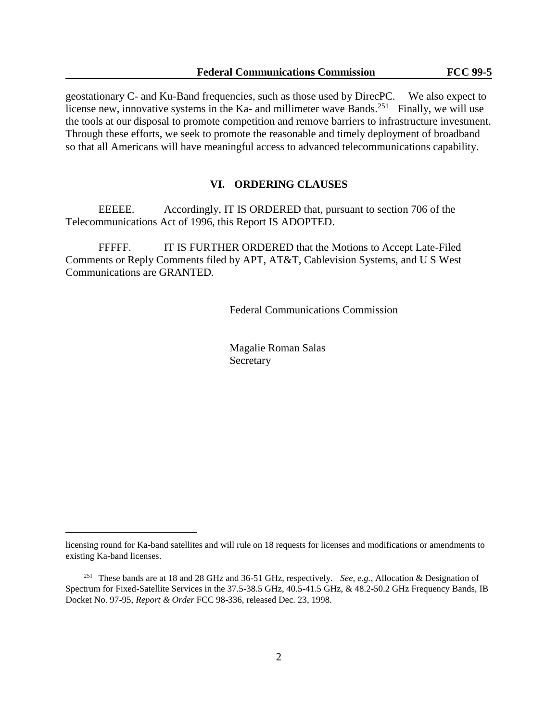geostationary C- and Ku-Band frequencies, such as those used by DirecPC. We also expect to license new, innovative systems in the Ka- and millimeter wave Bands.<sup>251</sup> Finally, we will use the tools at our disposal to promote competition and remove barriers to infrastructure investment. Through these efforts, we seek to promote the reasonable and timely deployment of broadband so that all Americans will have meaningful access to advanced telecommunications capability.

#### **VI. ORDERING CLAUSES**

EEEEE. Accordingly, IT IS ORDERED that, pursuant to section 706 of the Telecommunications Act of 1996, this Report IS ADOPTED.

FFFFF. IT IS FURTHER ORDERED that the Motions to Accept Late-Filed Comments or Reply Comments filed by APT, AT&T, Cablevision Systems, and U S West Communications are GRANTED.

Federal Communications Commission

Magalie Roman Salas Secretary

licensing round for Ka-band satellites and will rule on 18 requests for licenses and modifications or amendments to existing Ka-band licenses.

<sup>251</sup> These bands are at 18 and 28 GHz and 36-51 GHz, respectively. *See, e.g.*, Allocation & Designation of Spectrum for Fixed-Satellite Services in the 37.5-38.5 GHz, 40.5-41.5 GHz, & 48.2-50.2 GHz Frequency Bands, IB Docket No. 97-95, *Report & Order* FCC 98-336, released Dec. 23, 1998.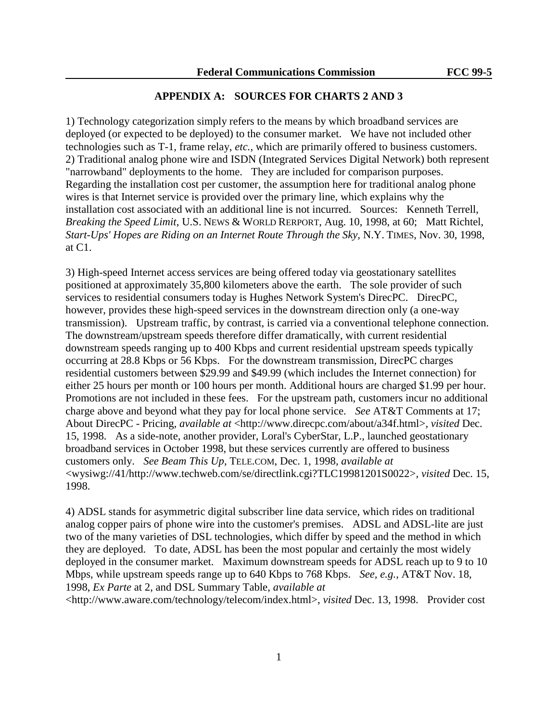### **APPENDIX A: SOURCES FOR CHARTS 2 AND 3**

1) Technology categorization simply refers to the means by which broadband services are deployed (or expected to be deployed) to the consumer market. We have not included other technologies such as T-1, frame relay, *etc.*, which are primarily offered to business customers. 2) Traditional analog phone wire and ISDN (Integrated Services Digital Network) both represent "narrowband" deployments to the home. They are included for comparison purposes. Regarding the installation cost per customer, the assumption here for traditional analog phone wires is that Internet service is provided over the primary line, which explains why the installation cost associated with an additional line is not incurred. Sources: Kenneth Terrell, *Breaking the Speed Limit*, U.S. NEWS & WORLD RERPORT, Aug. 10, 1998, at 60; Matt Richtel, *Start-Ups' Hopes are Riding on an Internet Route Through the Sky,* N.Y. TIMES, Nov. 30, 1998, at C1.

3) High-speed Internet access services are being offered today via geostationary satellites positioned at approximately 35,800 kilometers above the earth. The sole provider of such services to residential consumers today is Hughes Network System's DirecPC. DirecPC, however, provides these high-speed services in the downstream direction only (a one-way transmission). Upstream traffic, by contrast, is carried via a conventional telephone connection. The downstream/upstream speeds therefore differ dramatically, with current residential downstream speeds ranging up to 400 Kbps and current residential upstream speeds typically occurring at 28.8 Kbps or 56 Kbps. For the downstream transmission, DirecPC charges residential customers between \$29.99 and \$49.99 (which includes the Internet connection) for either 25 hours per month or 100 hours per month. Additional hours are charged \$1.99 per hour. Promotions are not included in these fees. For the upstream path, customers incur no additional charge above and beyond what they pay for local phone service. *See* AT&T Comments at 17; About DirecPC - Pricing, *available at* <http://www.direcpc.com/about/a34f.html>*, visited* Dec. 15, 1998. As a side-note, another provider, Loral's CyberStar, L.P., launched geostationary broadband services in October 1998, but these services currently are offered to business customers only. *See Beam This Up*, TELE.COM, Dec. 1, 1998*, available at*  <wysiwg://41/http://www.techweb.com/se/directlink.cgi?TLC19981201S0022>*, visited* Dec. 15, 1998.

4) ADSL stands for asymmetric digital subscriber line data service, which rides on traditional analog copper pairs of phone wire into the customer's premises. ADSL and ADSL-lite are just two of the many varieties of DSL technologies, which differ by speed and the method in which they are deployed. To date, ADSL has been the most popular and certainly the most widely deployed in the consumer market. Maximum downstream speeds for ADSL reach up to 9 to 10 Mbps, while upstream speeds range up to 640 Kbps to 768 Kbps. *See, e.g.*, AT&T Nov. 18, 1998, *Ex Parte* at 2, and DSL Summary Table, *available at* 

<http://www.aware.com/technology/telecom/index.html>, *visited* Dec. 13, 1998. Provider cost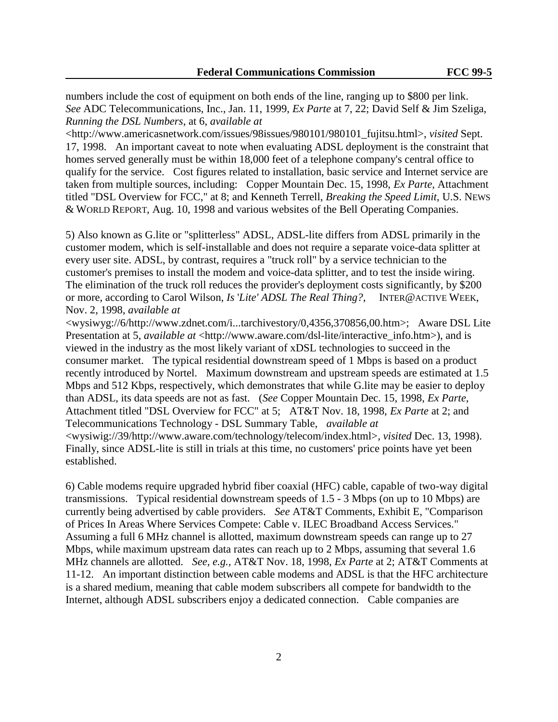numbers include the cost of equipment on both ends of the line, ranging up to \$800 per link. *See* ADC Telecommunications, Inc., Jan. 11, 1999, *Ex Parte* at 7, 22; David Self & Jim Szeliga, *Running the DSL Numbers*, at 6, *available at* 

<http://www.americasnetwork.com/issues/98issues/980101/980101\_fujitsu.html>, *visited* Sept. 17, 1998. An important caveat to note when evaluating ADSL deployment is the constraint that homes served generally must be within 18,000 feet of a telephone company's central office to qualify for the service. Cost figures related to installation, basic service and Internet service are taken from multiple sources, including: Copper Mountain Dec. 15, 1998, *Ex Parte*, Attachment titled "DSL Overview for FCC," at 8; and Kenneth Terrell, *Breaking the Speed Limit,* U.S. NEWS & WORLD REPORT, Aug. 10, 1998 and various websites of the Bell Operating Companies.

5) Also known as G.lite or "splitterless" ADSL, ADSL-lite differs from ADSL primarily in the customer modem, which is self-installable and does not require a separate voice-data splitter at every user site. ADSL, by contrast, requires a "truck roll" by a service technician to the customer's premises to install the modem and voice-data splitter, and to test the inside wiring. The elimination of the truck roll reduces the provider's deployment costs significantly, by \$200 or more, according to Carol Wilson, *Is* '*Lite' ADSL The Real Thing?*, INTER@ACTIVE WEEK, Nov. 2, 1998, *available at* 

<wysiwyg://6/http://www.zdnet.com/i...tarchivestory/0,4356,370856,00.htm>; Aware DSL Lite Presentation at 5, *available at* <http://www.aware.com/dsl-lite/interactive\_info.htm>), and is viewed in the industry as the most likely variant of xDSL technologies to succeed in the consumer market. The typical residential downstream speed of 1 Mbps is based on a product recently introduced by Nortel. Maximum downstream and upstream speeds are estimated at 1.5 Mbps and 512 Kbps, respectively, which demonstrates that while G.lite may be easier to deploy than ADSL, its data speeds are not as fast. (*See* Copper Mountain Dec. 15, 1998, *Ex Parte*, Attachment titled "DSL Overview for FCC" at 5; AT&T Nov. 18, 1998, *Ex Parte* at 2; and Telecommunications Technology - DSL Summary Table, *available at*  <wysiwig://39/http://www.aware.com/technology/telecom/index.html>*, visited* Dec. 13, 1998). Finally, since ADSL-lite is still in trials at this time, no customers' price points have yet been established.

6) Cable modems require upgraded hybrid fiber coaxial (HFC) cable, capable of two-way digital transmissions. Typical residential downstream speeds of 1.5 - 3 Mbps (on up to 10 Mbps) are currently being advertised by cable providers. *See* AT&T Comments, Exhibit E, "Comparison of Prices In Areas Where Services Compete: Cable v. ILEC Broadband Access Services." Assuming a full 6 MHz channel is allotted, maximum downstream speeds can range up to 27 Mbps, while maximum upstream data rates can reach up to 2 Mbps, assuming that several 1.6 MHz channels are allotted. *See, e.g.,* AT&T Nov. 18, 1998, *Ex Parte* at 2; AT&T Comments at 11-12. An important distinction between cable modems and ADSL is that the HFC architecture is a shared medium, meaning that cable modem subscribers all compete for bandwidth to the Internet, although ADSL subscribers enjoy a dedicated connection. Cable companies are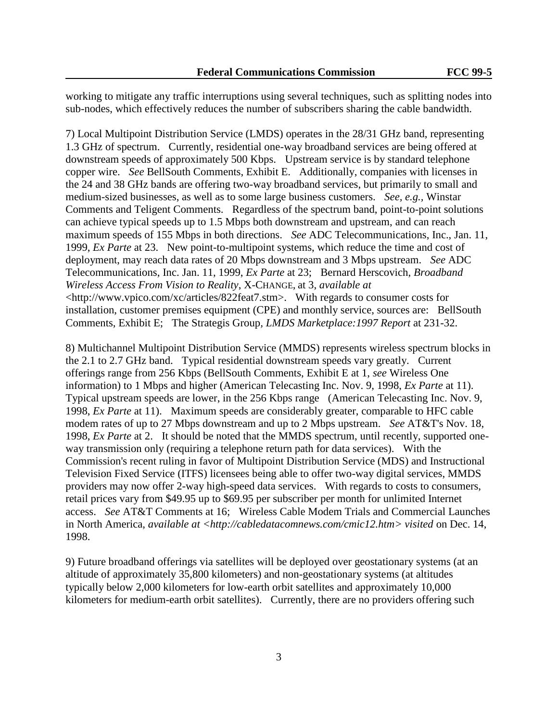working to mitigate any traffic interruptions using several techniques, such as splitting nodes into sub-nodes, which effectively reduces the number of subscribers sharing the cable bandwidth.

7) Local Multipoint Distribution Service (LMDS) operates in the 28/31 GHz band, representing 1.3 GHz of spectrum. Currently, residential one-way broadband services are being offered at downstream speeds of approximately 500 Kbps. Upstream service is by standard telephone copper wire. *See* BellSouth Comments, Exhibit E. Additionally, companies with licenses in the 24 and 38 GHz bands are offering two-way broadband services, but primarily to small and medium-sized businesses, as well as to some large business customers. *See, e.g.,* Winstar Comments and Teligent Comments. Regardless of the spectrum band, point-to-point solutions can achieve typical speeds up to 1.5 Mbps both downstream and upstream, and can reach maximum speeds of 155 Mbps in both directions. *See* ADC Telecommunications, Inc., Jan. 11, 1999, *Ex Parte* at 23. New point-to-multipoint systems, which reduce the time and cost of deployment, may reach data rates of 20 Mbps downstream and 3 Mbps upstream. *See* ADC Telecommunications, Inc. Jan. 11, 1999, *Ex Parte* at 23; Bernard Herscovich, *Broadband Wireless Access From Vision to Reality*, X-CHANGE, at 3, *available at*  <http://www.vpico.com/xc/articles/822feat7.stm>. With regards to consumer costs for installation, customer premises equipment (CPE) and monthly service, sources are: BellSouth Comments, Exhibit E; The Strategis Group*, LMDS Marketplace:1997 Report* at 231-32.

8) Multichannel Multipoint Distribution Service (MMDS) represents wireless spectrum blocks in the 2.1 to 2.7 GHz band. Typical residential downstream speeds vary greatly. Current offerings range from 256 Kbps (BellSouth Comments, Exhibit E at 1, *see* Wireless One information) to 1 Mbps and higher (American Telecasting Inc. Nov. 9, 1998, *Ex Parte* at 11). Typical upstream speeds are lower, in the 256 Kbps range (American Telecasting Inc. Nov. 9, 1998, *Ex Parte* at 11). Maximum speeds are considerably greater, comparable to HFC cable modem rates of up to 27 Mbps downstream and up to 2 Mbps upstream. *See* AT&T's Nov. 18, 1998, *Ex Parte* at 2. It should be noted that the MMDS spectrum, until recently, supported oneway transmission only (requiring a telephone return path for data services). With the Commission's recent ruling in favor of Multipoint Distribution Service (MDS) and Instructional Television Fixed Service (ITFS) licensees being able to offer two-way digital services, MMDS providers may now offer 2-way high-speed data services. With regards to costs to consumers, retail prices vary from \$49.95 up to \$69.95 per subscriber per month for unlimited Internet access. *See* AT&T Comments at 16; Wireless Cable Modem Trials and Commercial Launches in North America, *available at <http://cabledatacomnews.com/cmic12.htm> visited* on Dec. 14, 1998.

9) Future broadband offerings via satellites will be deployed over geostationary systems (at an altitude of approximately 35,800 kilometers) and non-geostationary systems (at altitudes typically below 2,000 kilometers for low-earth orbit satellites and approximately 10,000 kilometers for medium-earth orbit satellites). Currently, there are no providers offering such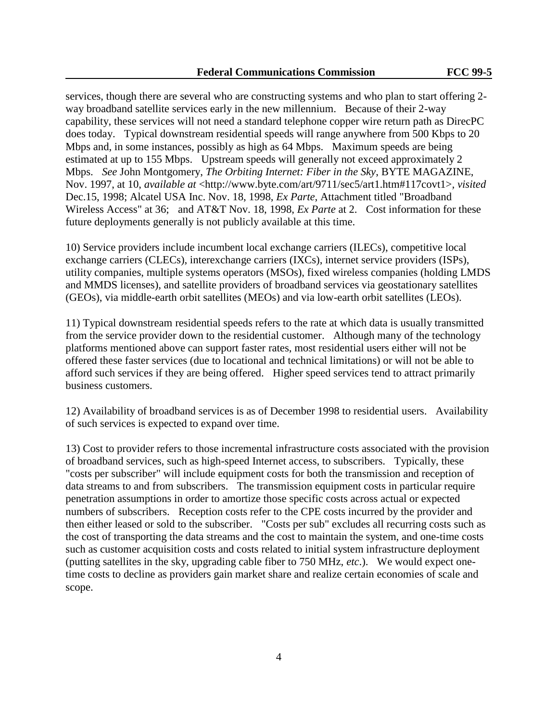services, though there are several who are constructing systems and who plan to start offering 2 way broadband satellite services early in the new millennium. Because of their 2-way capability, these services will not need a standard telephone copper wire return path as DirecPC does today. Typical downstream residential speeds will range anywhere from 500 Kbps to 20 Mbps and, in some instances, possibly as high as 64 Mbps. Maximum speeds are being estimated at up to 155 Mbps. Upstream speeds will generally not exceed approximately 2 Mbps. *See* John Montgomery, *The Orbiting Internet: Fiber in the Sky*, BYTE MAGAZINE, Nov. 1997, at 10, *available at* <http://www.byte.com/art/9711/sec5/art1.htm#117covt1>*, visited* Dec.15, 1998; Alcatel USA Inc. Nov. 18, 1998, *Ex Parte*, Attachment titled "Broadband Wireless Access" at 36; and AT&T Nov. 18, 1998, *Ex Parte* at 2. Cost information for these future deployments generally is not publicly available at this time.

10) Service providers include incumbent local exchange carriers (ILECs), competitive local exchange carriers (CLECs), interexchange carriers (IXCs), internet service providers (ISPs), utility companies, multiple systems operators (MSOs), fixed wireless companies (holding LMDS and MMDS licenses), and satellite providers of broadband services via geostationary satellites (GEOs), via middle-earth orbit satellites (MEOs) and via low-earth orbit satellites (LEOs).

11) Typical downstream residential speeds refers to the rate at which data is usually transmitted from the service provider down to the residential customer. Although many of the technology platforms mentioned above can support faster rates, most residential users either will not be offered these faster services (due to locational and technical limitations) or will not be able to afford such services if they are being offered. Higher speed services tend to attract primarily business customers.

12) Availability of broadband services is as of December 1998 to residential users. Availability of such services is expected to expand over time.

13) Cost to provider refers to those incremental infrastructure costs associated with the provision of broadband services, such as high-speed Internet access, to subscribers. Typically, these "costs per subscriber" will include equipment costs for both the transmission and reception of data streams to and from subscribers. The transmission equipment costs in particular require penetration assumptions in order to amortize those specific costs across actual or expected numbers of subscribers. Reception costs refer to the CPE costs incurred by the provider and then either leased or sold to the subscriber. "Costs per sub" excludes all recurring costs such as the cost of transporting the data streams and the cost to maintain the system, and one-time costs such as customer acquisition costs and costs related to initial system infrastructure deployment (putting satellites in the sky, upgrading cable fiber to 750 MHz, *etc*.). We would expect onetime costs to decline as providers gain market share and realize certain economies of scale and scope.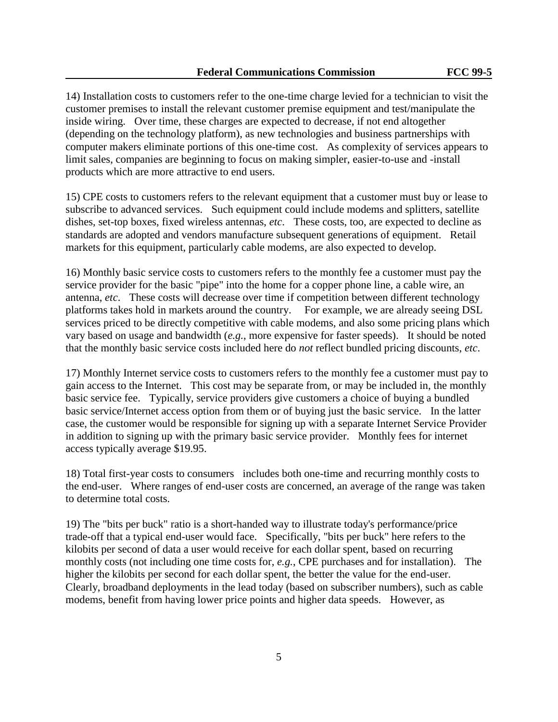14) Installation costs to customers refer to the one-time charge levied for a technician to visit the customer premises to install the relevant customer premise equipment and test/manipulate the inside wiring. Over time, these charges are expected to decrease, if not end altogether (depending on the technology platform), as new technologies and business partnerships with computer makers eliminate portions of this one-time cost. As complexity of services appears to limit sales, companies are beginning to focus on making simpler, easier-to-use and -install products which are more attractive to end users.

15) CPE costs to customers refers to the relevant equipment that a customer must buy or lease to subscribe to advanced services. Such equipment could include modems and splitters, satellite dishes, set-top boxes, fixed wireless antennas, *etc*. These costs, too, are expected to decline as standards are adopted and vendors manufacture subsequent generations of equipment. Retail markets for this equipment, particularly cable modems, are also expected to develop.

16) Monthly basic service costs to customers refers to the monthly fee a customer must pay the service provider for the basic "pipe" into the home for a copper phone line, a cable wire, an antenna, *etc*. These costs will decrease over time if competition between different technology platforms takes hold in markets around the country. For example, we are already seeing DSL services priced to be directly competitive with cable modems, and also some pricing plans which vary based on usage and bandwidth (*e.g.*, more expensive for faster speeds). It should be noted that the monthly basic service costs included here do *not* reflect bundled pricing discounts, *etc*.

17) Monthly Internet service costs to customers refers to the monthly fee a customer must pay to gain access to the Internet. This cost may be separate from, or may be included in, the monthly basic service fee. Typically, service providers give customers a choice of buying a bundled basic service/Internet access option from them or of buying just the basic service. In the latter case, the customer would be responsible for signing up with a separate Internet Service Provider in addition to signing up with the primary basic service provider. Monthly fees for internet access typically average \$19.95.

18) Total first-year costs to consumers includes both one-time and recurring monthly costs to the end-user. Where ranges of end-user costs are concerned, an average of the range was taken to determine total costs.

19) The "bits per buck" ratio is a short-handed way to illustrate today's performance/price trade-off that a typical end-user would face. Specifically, "bits per buck" here refers to the kilobits per second of data a user would receive for each dollar spent, based on recurring monthly costs (not including one time costs for, *e.g.*, CPE purchases and for installation). The higher the kilobits per second for each dollar spent, the better the value for the end-user. Clearly, broadband deployments in the lead today (based on subscriber numbers), such as cable modems, benefit from having lower price points and higher data speeds. However, as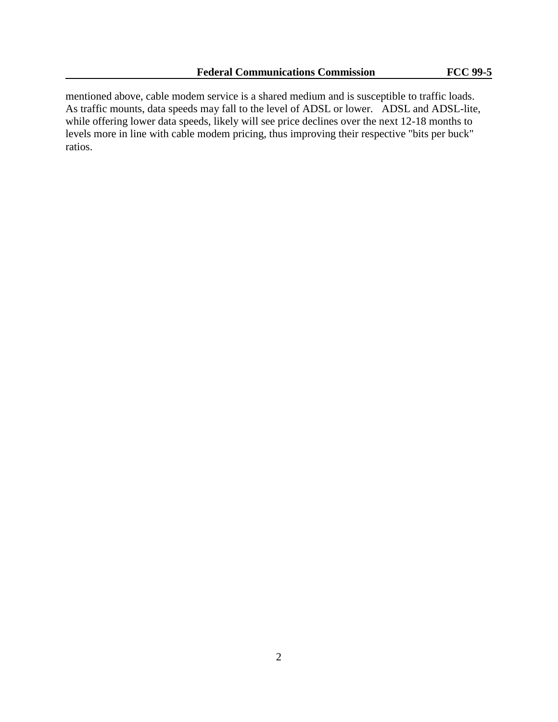mentioned above, cable modem service is a shared medium and is susceptible to traffic loads. As traffic mounts, data speeds may fall to the level of ADSL or lower. ADSL and ADSL-lite, while offering lower data speeds, likely will see price declines over the next 12-18 months to levels more in line with cable modem pricing, thus improving their respective "bits per buck" ratios.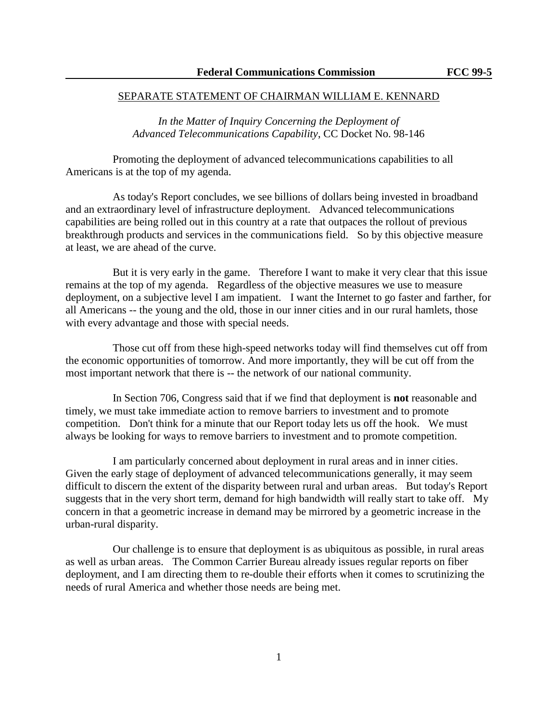### SEPARATE STATEMENT OF CHAIRMAN WILLIAM E. KENNARD

*In the Matter of Inquiry Concerning the Deployment of Advanced Telecommunications Capability*, CC Docket No. 98-146

Promoting the deployment of advanced telecommunications capabilities to all Americans is at the top of my agenda.

As today's Report concludes, we see billions of dollars being invested in broadband and an extraordinary level of infrastructure deployment. Advanced telecommunications capabilities are being rolled out in this country at a rate that outpaces the rollout of previous breakthrough products and services in the communications field. So by this objective measure at least, we are ahead of the curve.

But it is very early in the game. Therefore I want to make it very clear that this issue remains at the top of my agenda. Regardless of the objective measures we use to measure deployment, on a subjective level I am impatient. I want the Internet to go faster and farther, for all Americans -- the young and the old, those in our inner cities and in our rural hamlets, those with every advantage and those with special needs.

Those cut off from these high-speed networks today will find themselves cut off from the economic opportunities of tomorrow. And more importantly, they will be cut off from the most important network that there is -- the network of our national community.

In Section 706, Congress said that if we find that deployment is **not** reasonable and timely, we must take immediate action to remove barriers to investment and to promote competition. Don't think for a minute that our Report today lets us off the hook. We must always be looking for ways to remove barriers to investment and to promote competition.

I am particularly concerned about deployment in rural areas and in inner cities. Given the early stage of deployment of advanced telecommunications generally, it may seem difficult to discern the extent of the disparity between rural and urban areas. But today's Report suggests that in the very short term, demand for high bandwidth will really start to take off. My concern in that a geometric increase in demand may be mirrored by a geometric increase in the urban-rural disparity.

Our challenge is to ensure that deployment is as ubiquitous as possible, in rural areas as well as urban areas. The Common Carrier Bureau already issues regular reports on fiber deployment, and I am directing them to re-double their efforts when it comes to scrutinizing the needs of rural America and whether those needs are being met.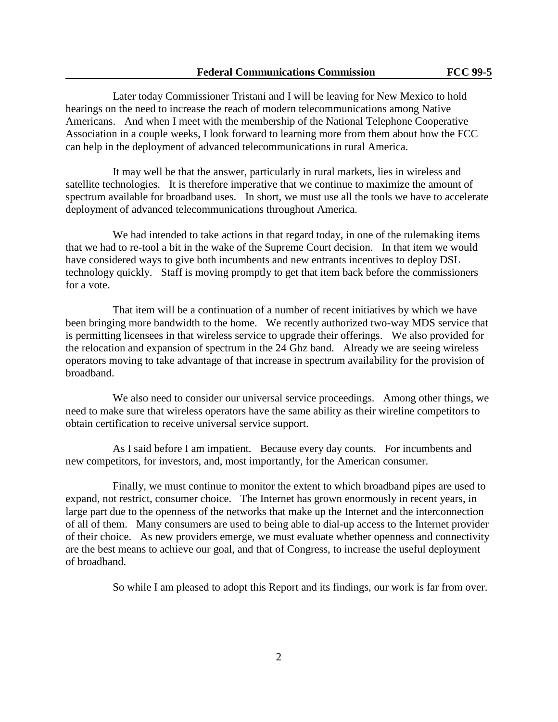Later today Commissioner Tristani and I will be leaving for New Mexico to hold hearings on the need to increase the reach of modern telecommunications among Native Americans. And when I meet with the membership of the National Telephone Cooperative Association in a couple weeks, I look forward to learning more from them about how the FCC can help in the deployment of advanced telecommunications in rural America.

It may well be that the answer, particularly in rural markets, lies in wireless and satellite technologies. It is therefore imperative that we continue to maximize the amount of spectrum available for broadband uses. In short, we must use all the tools we have to accelerate deployment of advanced telecommunications throughout America.

We had intended to take actions in that regard today, in one of the rulemaking items that we had to re-tool a bit in the wake of the Supreme Court decision. In that item we would have considered ways to give both incumbents and new entrants incentives to deploy DSL technology quickly. Staff is moving promptly to get that item back before the commissioners for a vote.

That item will be a continuation of a number of recent initiatives by which we have been bringing more bandwidth to the home. We recently authorized two-way MDS service that is permitting licensees in that wireless service to upgrade their offerings. We also provided for the relocation and expansion of spectrum in the 24 Ghz band. Already we are seeing wireless operators moving to take advantage of that increase in spectrum availability for the provision of broadband.

We also need to consider our universal service proceedings. Among other things, we need to make sure that wireless operators have the same ability as their wireline competitors to obtain certification to receive universal service support.

As I said before I am impatient. Because every day counts. For incumbents and new competitors, for investors, and, most importantly, for the American consumer.

Finally, we must continue to monitor the extent to which broadband pipes are used to expand, not restrict, consumer choice. The Internet has grown enormously in recent years, in large part due to the openness of the networks that make up the Internet and the interconnection of all of them. Many consumers are used to being able to dial-up access to the Internet provider of their choice. As new providers emerge, we must evaluate whether openness and connectivity are the best means to achieve our goal, and that of Congress, to increase the useful deployment of broadband.

So while I am pleased to adopt this Report and its findings, our work is far from over.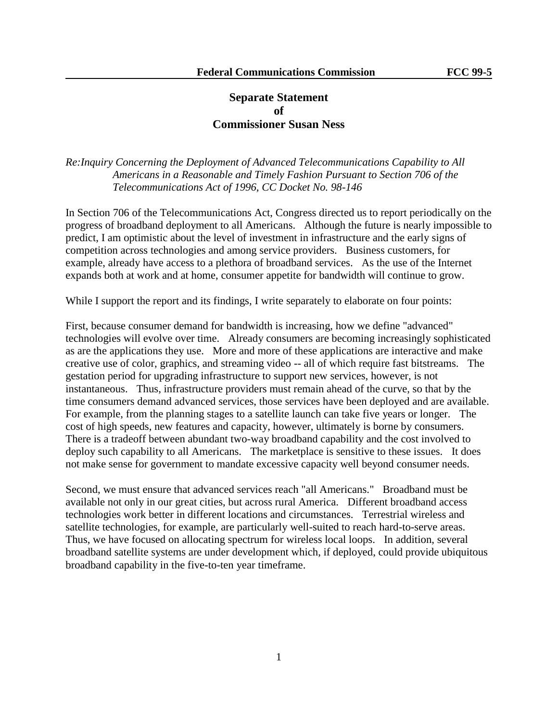# **Separate Statement of Commissioner Susan Ness**

*Re:Inquiry Concerning the Deployment of Advanced Telecommunications Capability to All Americans in a Reasonable and Timely Fashion Pursuant to Section 706 of the Telecommunications Act of 1996, CC Docket No. 98-146*

In Section 706 of the Telecommunications Act, Congress directed us to report periodically on the progress of broadband deployment to all Americans. Although the future is nearly impossible to predict, I am optimistic about the level of investment in infrastructure and the early signs of competition across technologies and among service providers. Business customers, for example, already have access to a plethora of broadband services. As the use of the Internet expands both at work and at home, consumer appetite for bandwidth will continue to grow.

While I support the report and its findings, I write separately to elaborate on four points:

First, because consumer demand for bandwidth is increasing, how we define "advanced" technologies will evolve over time. Already consumers are becoming increasingly sophisticated as are the applications they use. More and more of these applications are interactive and make creative use of color, graphics, and streaming video -- all of which require fast bitstreams. The gestation period for upgrading infrastructure to support new services, however, is not instantaneous. Thus, infrastructure providers must remain ahead of the curve, so that by the time consumers demand advanced services, those services have been deployed and are available. For example, from the planning stages to a satellite launch can take five years or longer. The cost of high speeds, new features and capacity, however, ultimately is borne by consumers. There is a tradeoff between abundant two-way broadband capability and the cost involved to deploy such capability to all Americans. The marketplace is sensitive to these issues. It does not make sense for government to mandate excessive capacity well beyond consumer needs.

Second, we must ensure that advanced services reach "all Americans." Broadband must be available not only in our great cities, but across rural America. Different broadband access technologies work better in different locations and circumstances. Terrestrial wireless and satellite technologies, for example, are particularly well-suited to reach hard-to-serve areas. Thus, we have focused on allocating spectrum for wireless local loops. In addition, several broadband satellite systems are under development which, if deployed, could provide ubiquitous broadband capability in the five-to-ten year timeframe.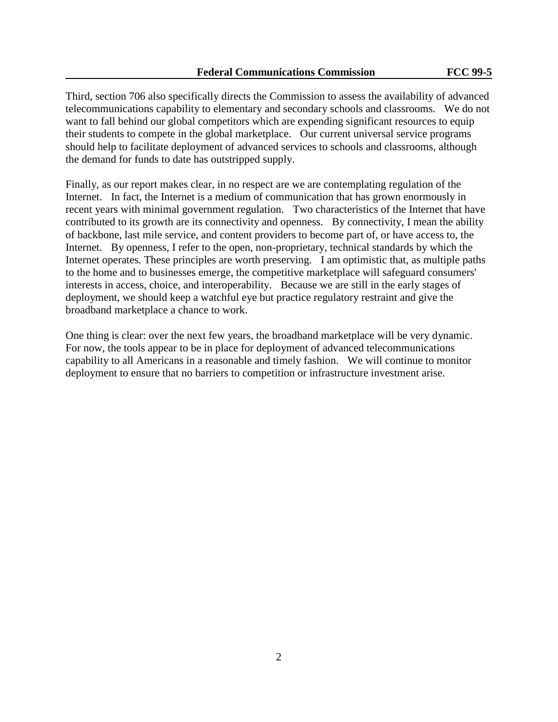Third, section 706 also specifically directs the Commission to assess the availability of advanced telecommunications capability to elementary and secondary schools and classrooms. We do not want to fall behind our global competitors which are expending significant resources to equip their students to compete in the global marketplace. Our current universal service programs should help to facilitate deployment of advanced services to schools and classrooms, although the demand for funds to date has outstripped supply.

Finally, as our report makes clear, in no respect are we are contemplating regulation of the Internet. In fact, the Internet is a medium of communication that has grown enormously in recent years with minimal government regulation. Two characteristics of the Internet that have contributed to its growth are its connectivity and openness. By connectivity, I mean the ability of backbone, last mile service, and content providers to become part of, or have access to, the Internet. By openness, I refer to the open, non-proprietary, technical standards by which the Internet operates. These principles are worth preserving. I am optimistic that, as multiple paths to the home and to businesses emerge, the competitive marketplace will safeguard consumers' interests in access, choice, and interoperability. Because we are still in the early stages of deployment, we should keep a watchful eye but practice regulatory restraint and give the broadband marketplace a chance to work.

One thing is clear: over the next few years, the broadband marketplace will be very dynamic. For now, the tools appear to be in place for deployment of advanced telecommunications capability to all Americans in a reasonable and timely fashion. We will continue to monitor deployment to ensure that no barriers to competition or infrastructure investment arise.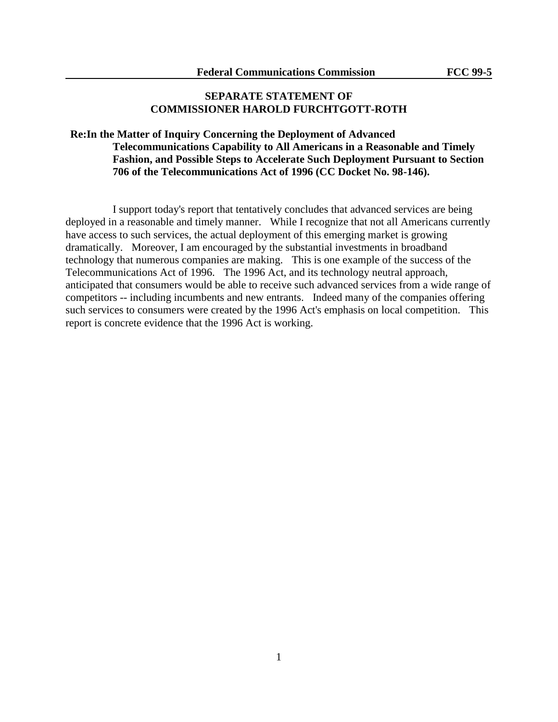# **SEPARATE STATEMENT OF COMMISSIONER HAROLD FURCHTGOTT-ROTH**

# **Re:In the Matter of Inquiry Concerning the Deployment of Advanced Telecommunications Capability to All Americans in a Reasonable and Timely Fashion, and Possible Steps to Accelerate Such Deployment Pursuant to Section 706 of the Telecommunications Act of 1996 (CC Docket No. 98-146).**

I support today's report that tentatively concludes that advanced services are being deployed in a reasonable and timely manner. While I recognize that not all Americans currently have access to such services, the actual deployment of this emerging market is growing dramatically. Moreover, I am encouraged by the substantial investments in broadband technology that numerous companies are making. This is one example of the success of the Telecommunications Act of 1996. The 1996 Act, and its technology neutral approach, anticipated that consumers would be able to receive such advanced services from a wide range of competitors -- including incumbents and new entrants. Indeed many of the companies offering such services to consumers were created by the 1996 Act's emphasis on local competition. This report is concrete evidence that the 1996 Act is working.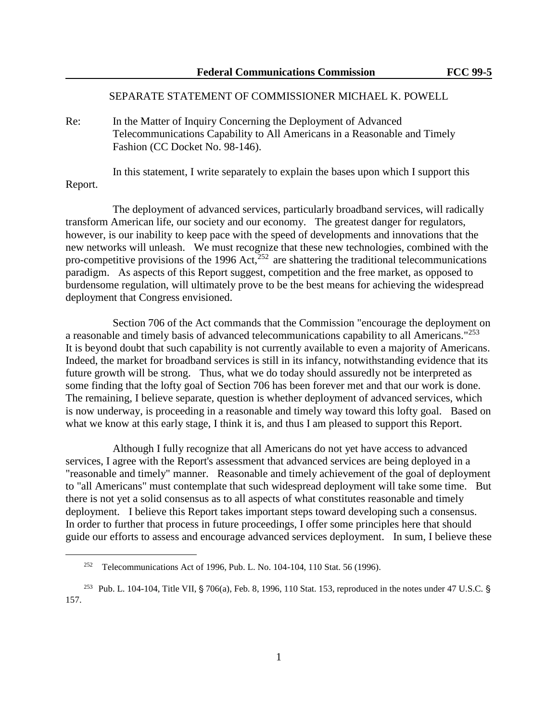### SEPARATE STATEMENT OF COMMISSIONER MICHAEL K. POWELL

Re: In the Matter of Inquiry Concerning the Deployment of Advanced Telecommunications Capability to All Americans in a Reasonable and Timely Fashion (CC Docket No. 98-146).

In this statement, I write separately to explain the bases upon which I support this Report.

The deployment of advanced services, particularly broadband services, will radically transform American life, our society and our economy. The greatest danger for regulators, however, is our inability to keep pace with the speed of developments and innovations that the new networks will unleash. We must recognize that these new technologies, combined with the pro-competitive provisions of the 1996 Act, $^{252}$  are shattering the traditional telecommunications paradigm. As aspects of this Report suggest, competition and the free market, as opposed to burdensome regulation, will ultimately prove to be the best means for achieving the widespread deployment that Congress envisioned.

Section 706 of the Act commands that the Commission "encourage the deployment on a reasonable and timely basis of advanced telecommunications capability to all Americans."<sup>253</sup> It is beyond doubt that such capability is not currently available to even a majority of Americans. Indeed, the market for broadband services is still in its infancy, notwithstanding evidence that its future growth will be strong. Thus, what we do today should assuredly not be interpreted as some finding that the lofty goal of Section 706 has been forever met and that our work is done. The remaining, I believe separate, question is whether deployment of advanced services, which is now underway, is proceeding in a reasonable and timely way toward this lofty goal. Based on what we know at this early stage, I think it is, and thus I am pleased to support this Report.

Although I fully recognize that all Americans do not yet have access to advanced services, I agree with the Report's assessment that advanced services are being deployed in a "reasonable and timely" manner. Reasonable and timely achievement of the goal of deployment to "all Americans" must contemplate that such widespread deployment will take some time. But there is not yet a solid consensus as to all aspects of what constitutes reasonable and timely deployment. I believe this Report takes important steps toward developing such a consensus. In order to further that process in future proceedings, I offer some principles here that should guide our efforts to assess and encourage advanced services deployment. In sum, I believe these

<sup>&</sup>lt;sup>252</sup> Telecommunications Act of 1996, Pub. L. No. 104-104, 110 Stat. 56 (1996).

<sup>&</sup>lt;sup>253</sup> Pub. L. 104-104, Title VII, § 706(a), Feb. 8, 1996, 110 Stat. 153, reproduced in the notes under 47 U.S.C. § 157.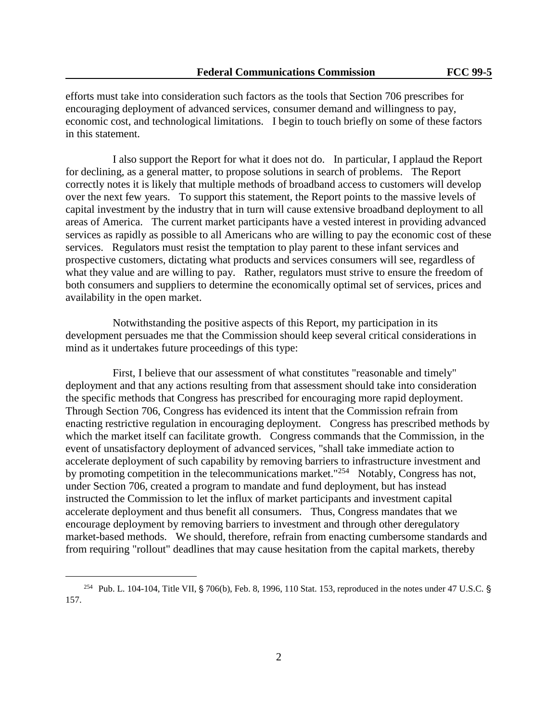efforts must take into consideration such factors as the tools that Section 706 prescribes for encouraging deployment of advanced services, consumer demand and willingness to pay, economic cost, and technological limitations. I begin to touch briefly on some of these factors in this statement.

I also support the Report for what it does not do. In particular, I applaud the Report for declining, as a general matter, to propose solutions in search of problems. The Report correctly notes it is likely that multiple methods of broadband access to customers will develop over the next few years. To support this statement, the Report points to the massive levels of capital investment by the industry that in turn will cause extensive broadband deployment to all areas of America. The current market participants have a vested interest in providing advanced services as rapidly as possible to all Americans who are willing to pay the economic cost of these services. Regulators must resist the temptation to play parent to these infant services and prospective customers, dictating what products and services consumers will see, regardless of what they value and are willing to pay. Rather, regulators must strive to ensure the freedom of both consumers and suppliers to determine the economically optimal set of services, prices and availability in the open market.

Notwithstanding the positive aspects of this Report, my participation in its development persuades me that the Commission should keep several critical considerations in mind as it undertakes future proceedings of this type:

First, I believe that our assessment of what constitutes "reasonable and timely" deployment and that any actions resulting from that assessment should take into consideration the specific methods that Congress has prescribed for encouraging more rapid deployment. Through Section 706, Congress has evidenced its intent that the Commission refrain from enacting restrictive regulation in encouraging deployment. Congress has prescribed methods by which the market itself can facilitate growth. Congress commands that the Commission, in the event of unsatisfactory deployment of advanced services, "shall take immediate action to accelerate deployment of such capability by removing barriers to infrastructure investment and by promoting competition in the telecommunications market."<sup>254</sup> Notably, Congress has not, under Section 706, created a program to mandate and fund deployment, but has instead instructed the Commission to let the influx of market participants and investment capital accelerate deployment and thus benefit all consumers. Thus, Congress mandates that we encourage deployment by removing barriers to investment and through other deregulatory market-based methods. We should, therefore, refrain from enacting cumbersome standards and from requiring "rollout" deadlines that may cause hesitation from the capital markets, thereby

<sup>&</sup>lt;sup>254</sup> Pub. L. 104-104, Title VII, § 706(b), Feb. 8, 1996, 110 Stat. 153, reproduced in the notes under 47 U.S.C. § 157.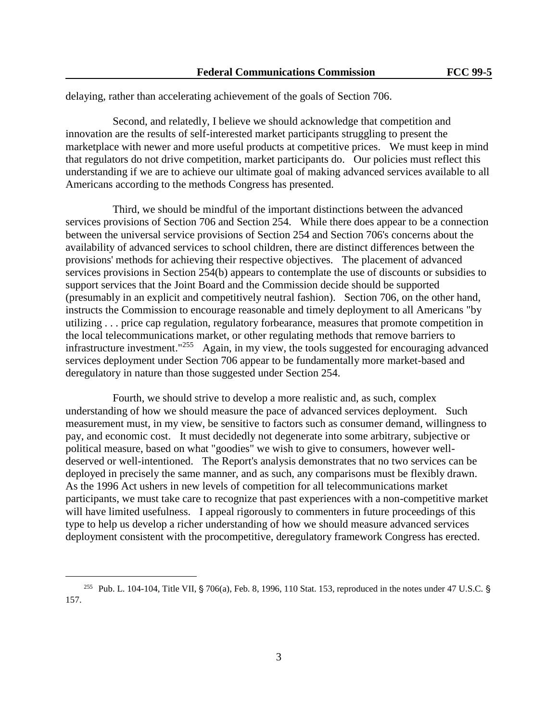delaying, rather than accelerating achievement of the goals of Section 706.

Second, and relatedly, I believe we should acknowledge that competition and innovation are the results of self-interested market participants struggling to present the marketplace with newer and more useful products at competitive prices. We must keep in mind that regulators do not drive competition, market participants do. Our policies must reflect this understanding if we are to achieve our ultimate goal of making advanced services available to all Americans according to the methods Congress has presented.

Third, we should be mindful of the important distinctions between the advanced services provisions of Section 706 and Section 254. While there does appear to be a connection between the universal service provisions of Section 254 and Section 706's concerns about the availability of advanced services to school children, there are distinct differences between the provisions' methods for achieving their respective objectives. The placement of advanced services provisions in Section 254(b) appears to contemplate the use of discounts or subsidies to support services that the Joint Board and the Commission decide should be supported (presumably in an explicit and competitively neutral fashion). Section 706, on the other hand, instructs the Commission to encourage reasonable and timely deployment to all Americans "by utilizing . . . price cap regulation, regulatory forbearance, measures that promote competition in the local telecommunications market, or other regulating methods that remove barriers to infrastructure investment."<sup>255</sup> Again, in my view, the tools suggested for encouraging advanced services deployment under Section 706 appear to be fundamentally more market-based and deregulatory in nature than those suggested under Section 254.

Fourth, we should strive to develop a more realistic and, as such, complex understanding of how we should measure the pace of advanced services deployment. Such measurement must, in my view, be sensitive to factors such as consumer demand, willingness to pay, and economic cost. It must decidedly not degenerate into some arbitrary, subjective or political measure, based on what "goodies" we wish to give to consumers, however welldeserved or well-intentioned. The Report's analysis demonstrates that no two services can be deployed in precisely the same manner, and as such, any comparisons must be flexibly drawn. As the 1996 Act ushers in new levels of competition for all telecommunications market participants, we must take care to recognize that past experiences with a non-competitive market will have limited usefulness. I appeal rigorously to commenters in future proceedings of this type to help us develop a richer understanding of how we should measure advanced services deployment consistent with the procompetitive, deregulatory framework Congress has erected.

<sup>&</sup>lt;sup>255</sup> Pub. L. 104-104, Title VII, § 706(a), Feb. 8, 1996, 110 Stat. 153, reproduced in the notes under 47 U.S.C. § 157.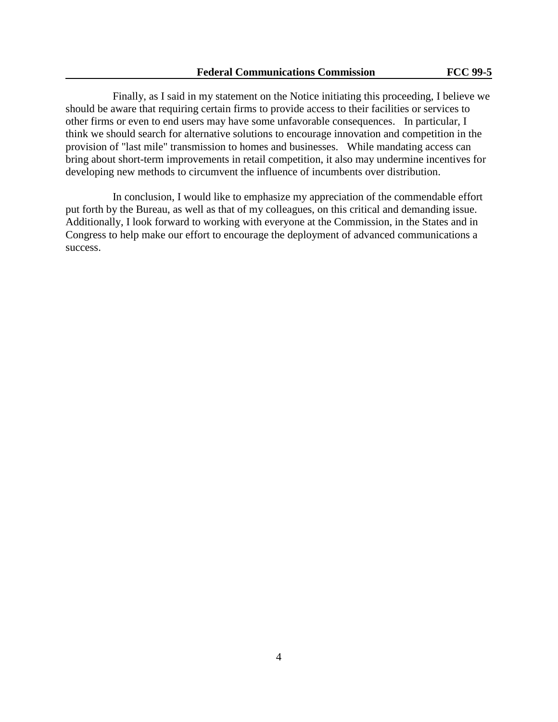Finally, as I said in my statement on the Notice initiating this proceeding, I believe we should be aware that requiring certain firms to provide access to their facilities or services to other firms or even to end users may have some unfavorable consequences. In particular, I think we should search for alternative solutions to encourage innovation and competition in the provision of "last mile" transmission to homes and businesses. While mandating access can bring about short-term improvements in retail competition, it also may undermine incentives for developing new methods to circumvent the influence of incumbents over distribution.

In conclusion, I would like to emphasize my appreciation of the commendable effort put forth by the Bureau, as well as that of my colleagues, on this critical and demanding issue. Additionally, I look forward to working with everyone at the Commission, in the States and in Congress to help make our effort to encourage the deployment of advanced communications a success.